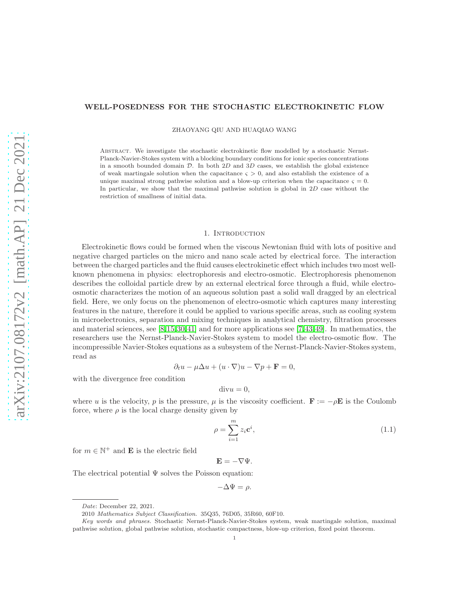## WELL-POSEDNESS FOR THE STOCHASTIC ELECTROKINETIC FLOW

ZHAOYANG QIU AND HUAQIAO WANG

Abstract. We investigate the stochastic electrokinetic flow modelled by a stochastic Nernst-Planck-Navier-Stokes system with a blocking boundary conditions for ionic species concentrations in a smooth bounded domain  $D$ . In both  $2D$  and  $3D$  cases, we establish the global existence of weak martingale solution when the capacitance  $\varsigma > 0$ , and also establish the existence of a unique maximal strong pathwise solution and a blow-up criterion when the capacitance  $\zeta = 0$ . In particular, we show that the maximal pathwise solution is global in 2D case without the restriction of smallness of initial data.

#### 1. INTRODUCTION

Electrokinetic flows could be formed when the viscous Newtonian fluid with lots of positive and negative charged particles on the micro and nano scale acted by electrical force. The interaction between the charged particles and the fluid causes electrokinetic effect which includes two most wellknown phenomena in physics: electrophoresis and electro-osmotic. Electrophoresis phenomenon describes the colloidal particle drew by an external electrical force through a fluid, while electroosmotic characterizes the motion of an aqueous solution past a solid wall dragged by an electrical field. Here, we only focus on the phenomenon of electro-osmotic which captures many interesting features in the nature, therefore it could be applied to various specific areas, such as cooling system in microelectronics, separation and mixing techniques in analytical chemistry, filtration processes and material sciences, see [\[8,](#page-40-0)[15,](#page-41-0)[30,](#page-41-1)[41\]](#page-41-2) and for more applications see [\[7,](#page-40-1)[43,](#page-41-3)[49\]](#page-42-0). In mathematics, the researchers use the Nernst-Planck-Navier-Stokes system to model the electro-osmotic flow. The incompressible Navier-Stokes equations as a subsystem of the Nernst-Planck-Navier-Stokes system, read as

$$
\partial_t u - \mu \Delta u + (u \cdot \nabla) u - \nabla p + \mathbf{F} = 0,
$$

with the divergence free condition

$$
divu = 0,
$$

where u is the velocity, p is the pressure,  $\mu$  is the viscosity coefficient.  $\mathbf{F} := -\rho \mathbf{E}$  is the Coulomb force, where  $\rho$  is the local charge density given by

<span id="page-0-0"></span>
$$
\rho = \sum_{i=1}^{m} z_i \mathbf{c}^i,\tag{1.1}
$$

for  $m \in \mathbb{N}^+$  and **E** is the electric field

$$
\mathbf{E}=-\nabla\Psi.
$$

The electrical potential  $\Psi$  solves the Poisson equation:

$$
-\Delta \Psi = \rho.
$$

Date: December 22, 2021.

<sup>2010</sup> Mathematics Subject Classification. 35Q35, 76D05, 35R60, 60F10.

Key words and phrases. Stochastic Nernst-Planck-Navier-Stokes system, weak martingale solution, maximal pathwise solution, global pathwise solution, stochastic compactness, blow-up criterion, fixed point theorem.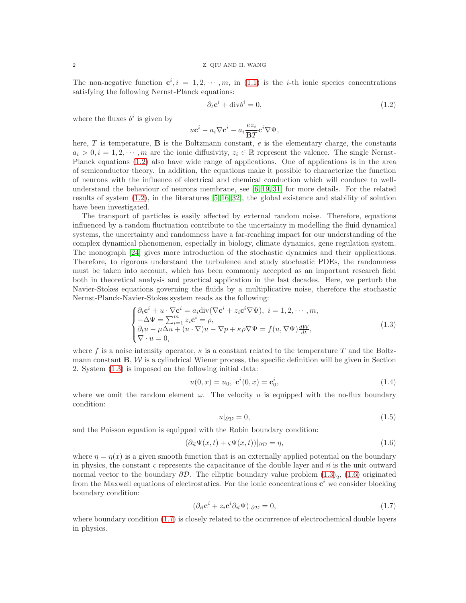The non-negative function  $\mathbf{c}^i, i = 1, 2, \cdots, m$ , in [\(1.1\)](#page-0-0) is the *i*-th ionic species concentrations satisfying the following Nernst-Planck equations:

<span id="page-1-0"></span>
$$
\partial_t \mathbf{c}^i + \text{div} b^i = 0,\tag{1.2}
$$

where the fluxes  $b^i$  is given by

$$
u\mathbf{c}^i - a_i\nabla \mathbf{c}^i - a_i\frac{ez_i}{\mathbf{B}T}\mathbf{c}^i\nabla\Psi,
$$

here,  $T$  is temperature,  $\bf{B}$  is the Boltzmann constant,  $e$  is the elementary charge, the constants  $a_i > 0, i = 1, 2, \dots, m$  are the ionic diffusivity,  $z_i \in \mathbb{R}$  represent the valence. The single Nernst-Planck equations [\(1.2\)](#page-1-0) also have wide range of applications. One of applications is in the area of semiconductor theory. In addition, the equations make it possible to characterize the function of neurons with the influence of electrical and chemical conduction which will conduce to wellunderstand the behaviour of neurons membrane, see [\[6,](#page-40-2) [19,](#page-41-4) [31\]](#page-41-5) for more details. For the related results of system [\(1.2\)](#page-1-0), in the literatures [\[5,](#page-40-3) [16,](#page-41-6) [32\]](#page-41-7), the global existence and stability of solution have been investigated.

The transport of particles is easily affected by external random noise. Therefore, equations influenced by a random fluctuation contribute to the uncertainty in modelling the fluid dynamical systems, the uncertainty and randomness have a far-reaching impact for our understanding of the complex dynamical phenomenon, especially in biology, climate dynamics, gene regulation system. The monograph [\[24\]](#page-41-8) gives more introduction of the stochastic dynamics and their applications. Therefore, to rigorous understand the turbulence and study stochastic PDEs, the randomness must be taken into account, which has been commonly accepted as an important research field both in theoretical analysis and practical application in the last decades. Here, we perturb the Navier-Stokes equations governing the fluids by a multiplicative noise, therefore the stochastic Nernst-Planck-Navier-Stokes system reads as the following:

<span id="page-1-1"></span>
$$
\begin{cases} \partial_t \mathbf{c}^i + u \cdot \nabla \mathbf{c}^i = a_i \text{div}(\nabla \mathbf{c}^i + z_i \mathbf{c}^i \nabla \Psi), \ i = 1, 2, \cdots, m, \\ -\Delta \Psi = \sum_{i=1}^m z_i \mathbf{c}^i = \rho, \\ \partial_t u - \mu \Delta u + (u \cdot \nabla) u - \nabla p + \kappa \rho \nabla \Psi = f(u, \nabla \Psi) \frac{d \mathcal{W}}{dt}, \\ \nabla \cdot u = 0, \end{cases} \tag{1.3}
$$

where f is a noise intensity operator,  $\kappa$  is a constant related to the temperature T and the Boltzmann constant  $B, W$  is a cylindrical Wiener process, the specific definition will be given in Section 2. System [\(1.3\)](#page-1-1) is imposed on the following initial data:

$$
u(0, x) = u_0, \ \mathbf{c}^i(0, x) = \mathbf{c}_0^i,
$$
\n(1.4)

where we omit the random element  $\omega$ . The velocity u is equipped with the no-flux boundary condition:

<span id="page-1-4"></span><span id="page-1-3"></span><span id="page-1-2"></span>
$$
u|_{\partial \mathcal{D}} = 0,\tag{1.5}
$$

and the Poisson equation is equipped with the Robin boundary condition:

$$
(\partial_{\vec{n}}\Psi(x,t)+\varsigma\Psi(x,t))|_{\partial\mathcal{D}}=\eta,
$$
\n(1.6)

where  $\eta = \eta(x)$  is a given smooth function that is an externally applied potential on the boundary in physics, the constant  $\varsigma$  represents the capacitance of the double layer and  $\vec{n}$  is the unit outward normal vector to the boundary  $\partial \mathcal{D}$ . The elliptic boundary value problem  $(1.3)_2$ ,  $(1.6)$  originated from the Maxwell equations of electrostatics. For the ionic concentrations  $c^i$  we consider blocking boundary condition:

$$
(\partial_{\vec{n}} \mathbf{c}^i + z_i \mathbf{c}^i \partial_{\vec{n}} \Psi)|_{\partial \mathcal{D}} = 0,\tag{1.7}
$$

where boundary condition [\(1.7\)](#page-1-3) is closely related to the occurrence of electrochemical double layers in physics.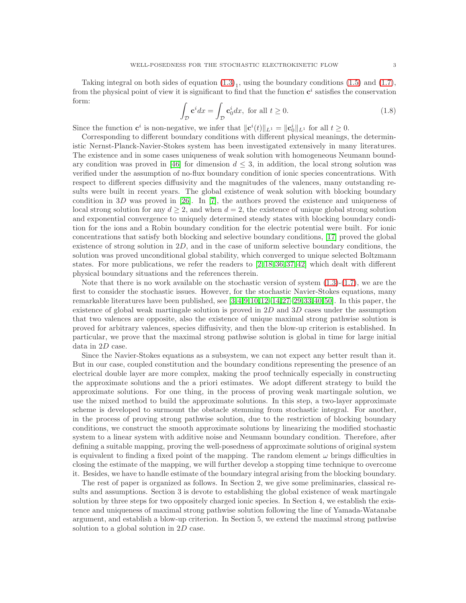Taking integral on both sides of equation  $(1.3)<sub>1</sub>$ , using the boundary conditions  $(1.5)$  and  $(1.7)$ , from the physical point of view it is significant to find that the function  $c^i$  satisfies the conservation form:

<span id="page-2-0"></span>
$$
\int_{\mathcal{D}} \mathbf{c}^i dx = \int_{\mathcal{D}} \mathbf{c}_0^i dx, \text{ for all } t \ge 0.
$$
\n(1.8)

Since the function  $\mathbf{c}^i$  is non-negative, we infer that  $\|\mathbf{c}^i(t)\|_{L^1} = \|\mathbf{c}_0^i\|_{L^1}$  for all  $t \geq 0$ .

Corresponding to different boundary conditions with different physical meanings, the deterministic Nernst-Planck-Navier-Stokes system has been investigated extensively in many literatures. The existence and in some cases uniqueness of weak solution with homogeneous Neumann bound-ary condition was proved in [\[46\]](#page-42-1) for dimension  $d \leq 3$ , in addition, the local strong solution was verified under the assumption of no-flux boundary condition of ionic species concentrations. With respect to different species diffusivity and the magnitudes of the valences, many outstanding results were built in recent years. The global existence of weak solution with blocking boundary condition in 3D was proved in [\[26\]](#page-41-9). In [\[7\]](#page-40-1), the authors proved the existence and uniqueness of local strong solution for any  $d \geq 2$ , and when  $d = 2$ , the existence of unique global strong solution and exponential convergence to uniquely determined steady states with blocking boundary condition for the ions and a Robin boundary condition for the electric potential were built. For ionic concentrations that satisfy both blocking and selective boundary conditions, [\[17\]](#page-41-10) proved the global existence of strong solution in  $2D$ , and in the case of uniform selective boundary conditions, the solution was proved unconditional global stability, which converged to unique selected Boltzmann states. For more publications, we refer the readers to [\[2,](#page-40-4) [18,](#page-41-11) [36,](#page-41-12) [37,](#page-41-13) [42\]](#page-41-14) which dealt with different physical boundary situations and the references therein.

Note that there is no work available on the stochastic version of system  $(1.3)-(1.7)$  $(1.3)-(1.7)$ , we are the first to consider the stochastic issues. However, for the stochastic Navier-Stokes equations, many remarkable literatures have been published, see [\[3,](#page-40-5)[4,](#page-40-6)[9,](#page-40-7)[10,](#page-40-8)[12–](#page-41-15)[14,](#page-41-16)[27–](#page-41-17)[29,](#page-41-18)[33,](#page-41-19)[40,](#page-41-20)[50\]](#page-42-2). In this paper, the existence of global weak martingale solution is proved in  $2D$  and  $3D$  cases under the assumption that two valences are opposite, also the existence of unique maximal strong pathwise solution is proved for arbitrary valences, species diffusivity, and then the blow-up criterion is established. In particular, we prove that the maximal strong pathwise solution is global in time for large initial data in 2D case.

Since the Navier-Stokes equations as a subsystem, we can not expect any better result than it. But in our case, coupled constitution and the boundary conditions representing the presence of an electrical double layer are more complex, making the proof technically especially in constructing the approximate solutions and the a priori estimates. We adopt different strategy to build the approximate solutions. For one thing, in the process of proving weak martingale solution, we use the mixed method to build the approximate solutions. In this step, a two-layer approximate scheme is developed to surmount the obstacle stemming from stochastic integral. For another, in the process of proving strong pathwise solution, due to the restriction of blocking boundary conditions, we construct the smooth approximate solutions by linearizing the modified stochastic system to a linear system with additive noise and Neumann boundary condition. Therefore, after defining a suitable mapping, proving the well-posedness of approximate solutions of original system is equivalent to finding a fixed point of the mapping. The random element  $\omega$  brings difficulties in closing the estimate of the mapping, we will further develop a stopping time technique to overcome it. Besides, we have to handle estimate of the boundary integral arising from the blocking boundary.

The rest of paper is organized as follows. In Section 2, we give some preliminaries, classical results and assumptions. Section 3 is devote to establishing the global existence of weak martingale solution by three steps for two oppositely charged ionic species. In Section 4, we establish the existence and uniqueness of maximal strong pathwise solution following the line of Yamada-Watanabe argument, and establish a blow-up criterion. In Section 5, we extend the maximal strong pathwise solution to a global solution in 2D case.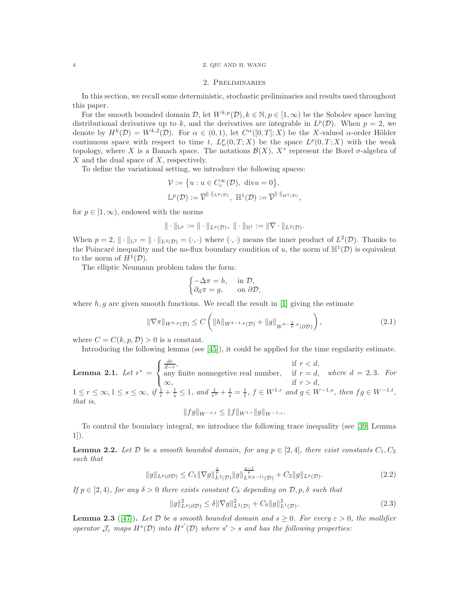## 4 Z. QIU AND H. WANG

## 2. Preliminaries

In this section, we recall some deterministic, stochastic preliminaries and results used throughout this paper.

For the smooth bounded domain  $\mathcal{D}$ , let  $W^{k,p}(\mathcal{D}), k \in \mathbb{N}, p \in [1,\infty)$  be the Sobolev space having distributional derivatives up to k, and the derivatives are integrable in  $L^p(\mathcal{D})$ . When  $p = 2$ , we denote by  $H^k(\mathcal{D}) = W^{k,2}(\mathcal{D})$ . For  $\alpha \in (0,1)$ , let  $C^{\alpha}([0,T];X)$  be the X-valued  $\alpha$ -order Hölder continuous space with respect to time t,  $L_w^p(0,T;X)$  be the space  $L^p(0,T;X)$  with the weak topology, where X is a Banach space. The notations  $\mathcal{B}(X)$ ,  $X^*$  represent the Borel  $\sigma$ -algebra of  $X$  and the dual space of  $X$ , respectively.

To define the variational setting, we introduce the following spaces:

$$
\mathcal{V} := \{ u : u \in C_c^{\infty}(\mathcal{D}), \text{ div } u = 0 \},\
$$
  

$$
\mathbb{L}^p(\mathcal{D}) := \overline{\mathcal{V}}^{\|\cdot\|_{L^p(\mathcal{D})}}, \ \mathbb{H}^1(\mathcal{D}) := \overline{\mathcal{V}}^{\|\cdot\|_{H^1(\mathcal{D})}},
$$

for  $p \in [1, \infty)$ , endowed with the norms

$$
\|\cdot\|_{\mathbb{L}^p} := \|\cdot\|_{L^p(\mathcal{D})},\ \|\cdot\|_{\mathbb{H}^1} := \|\nabla \cdot\|_{L^2(\mathcal{D})}.
$$

When  $p = 2$ ,  $\|\cdot\|_{\mathbb{L}^2} = \|\cdot\|_{L^2(\mathcal{D})} = (\cdot, \cdot)$  where  $(\cdot, \cdot)$  means the inner product of  $L^2(\mathcal{D})$ . Thanks to the Poincaré inequality and the no-flux boundary condition of u, the norm of  $\mathbb{H}^1(\mathcal{D})$  is equivalent to the norm of  $H^1(\mathcal{D})$ .

The elliptic Neumann problem takes the form:

<span id="page-3-1"></span>
$$
\begin{cases} -\Delta \pi = h, & \text{in } \mathcal{D}, \\ \partial_{\vec{n}} \pi = g, & \text{on } \partial \mathcal{D}, \end{cases}
$$

where  $h, g$  are given smooth functions. We recall the result in [\[1\]](#page-40-9) giving the estimate

$$
\|\nabla \pi\|_{W^{k,p}(\mathcal{D})} \le C \left( \|h\|_{W^{k-1,p}(\mathcal{D})} + \|g\|_{W^{k-\frac{1}{p},p}(\partial \mathcal{D})} \right),\tag{2.1}
$$

where  $C = C(k, p, \mathcal{D}) > 0$  is a constant.

Introducing the following lemma (see [\[45\]](#page-42-3)), it could be applied for the time regularity estimate.

<span id="page-3-2"></span>**Lemma 2.1.** *Let*  $r^* =$  $\sqrt{ }$  $\frac{1}{2}$  $\mathcal{L}$  $\frac{dr}{d-r}$ , if  $r < d$ , any finite nonnegetive real number, if  $r = d$ ,  $\infty$ , if  $r > d$ , *where*  $d = 2, 3$ *. For*  $1 \leq r \leq \infty, 1 \leq s \leq \infty, \text{ if } \frac{1}{r} + \frac{1}{s} \leq 1, \text{ and } \frac{1}{r^*} + \frac{1}{s} = \frac{1}{t}, f \in W^{1,r} \text{ and } g \in W^{-1,s}, \text{ then } fg \in W^{-1,t},$ *that is,*

 $||fg||_{W^{-1,t}} \leq ||f||_{W^{1,r}} ||g||_{W^{-1,s}}.$ 

To control the boundary integral, we introduce the following trace inequality (see [\[39,](#page-41-21) Lemma 1]).

<span id="page-3-0"></span>**Lemma 2.2.** Let D be a smooth bounded domain, for any  $p \in [2, 4]$ , there exist constants  $C_1, C_2$ *such that*

$$
||g||_{L^{p}(\partial \mathcal{D})} \leq C_{1} ||\nabla g||_{L^{2}(\mathcal{D})}^{\frac{1}{p}} ||g||_{L^{2(p-1)}(\mathcal{D})}^{\frac{p-1}{p}} + C_{2} ||g||_{L^{p}(\mathcal{D})}.
$$
\n(2.2)

*If*  $p \in [2, 4)$ *, for any*  $\delta > 0$  *there exists constant*  $C_{\delta}$  *depending on*  $\mathcal{D}, p, \delta$  *such that* 

$$
||g||_{L^{p}(\partial \mathcal{D})}^{2} \leq \delta ||\nabla g||_{L^{2}(\mathcal{D})}^{2} + C_{\delta} ||g||_{L^{1}(\mathcal{D})}^{2}.
$$
\n(2.3)

<span id="page-3-3"></span>**Lemma 2.3** ([\[47\]](#page-42-4)). Let D be a smooth bounded domain and  $s \geq 0$ . For every  $\varepsilon > 0$ , the mollifier *operator*  $\mathcal{J}_{\varepsilon}$  *maps*  $H^{s}(\mathcal{D})$  *into*  $H^{s'}(\mathcal{D})$  *where*  $s' > s$  *and has the following properties:*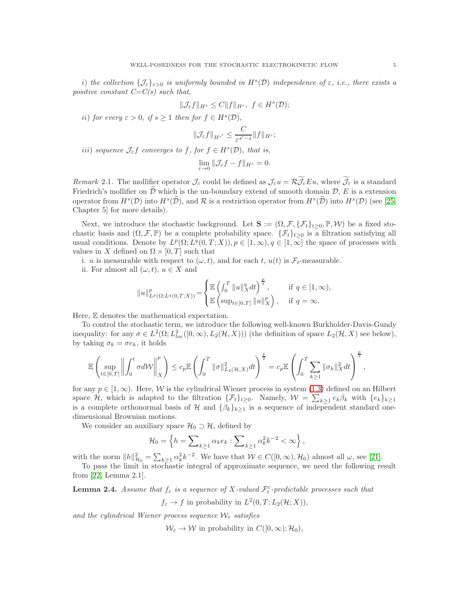*i*) *the collection*  $\{\mathcal{J}_{\varepsilon}\}_{\varepsilon>0}$  *is uniformly bounded in*  $H^s(\mathcal{D})$  *independence of*  $\varepsilon$ *, i.e., there exists a positive constant C=C(s) such that,*

$$
\|\mathcal{J}_{\varepsilon}f\|_{H^s}\leq C\|f\|_{H^s},\ f\in H^s(\mathcal{D});
$$

*ii*) *for every*  $\varepsilon > 0$ *, if*  $s \ge 1$  *then for*  $f \in H^s(\mathcal{D})$ *,* 

$$
\|\mathcal{J}_{\varepsilon}f\|_{H^{s'}}\leq \frac{C}{\varepsilon^{s'-s}}\|f\|_{H^s};
$$

*iii*) *sequence*  $\mathcal{J}_{\varepsilon} f$  *converges to*  $f$ *, for*  $f \in H^s(\mathcal{D})$ *, that is,* 

$$
\lim_{\varepsilon \to 0} \|\mathcal{J}_{\varepsilon}f - f\|_{H^s} = 0.
$$

<span id="page-4-1"></span>*Remark* 2.1. The mollifier operator  $\mathcal{J}_{\varepsilon}$  could be defined as  $\mathcal{J}_{\varepsilon}u = \mathcal{R}\widetilde{\mathcal{J}_{\varepsilon}}Eu$ , where  $\widetilde{\mathcal{J}_{\varepsilon}}$  is a standard Friedrich's mollifier on  $D$  which is the un-boundary extend of smooth domain  $D$ , E is a extension operator from  $H^s(\mathcal{D})$  into  $H^s(\tilde{\mathcal{D}})$ , and  $\mathcal R$  is a restriction operator from  $H^s(\tilde{\mathcal{D}})$  into  $H^s(\mathcal{D})$  (see [\[25,](#page-41-22) Chapter 5] for more details).

Next, we introduce the stochastic background. Let  $\mathbf{S} := (\Omega, \mathcal{F}, \{\mathcal{F}_t\}_{t\geq0}, \mathbb{P}, \mathcal{W})$  be a fixed stochastic basis and  $(\Omega, \mathcal{F}, \mathbb{P})$  be a complete probability space.  $\{\mathcal{F}_t\}_{t\geq 0}$  is a filtration satisfying all usual conditions. Denote by  $L^p(\Omega; L^q(0,T;X)), p \in [1,\infty), q \in [1,\infty]$  the space of processes with values in X defined on  $\Omega \times [0, T]$  such that

i. u is measurable with respect to  $(\omega, t)$ , and for each t,  $u(t)$  is  $\mathcal{F}_t$ -measurable.

ii. For almost all  $(\omega, t)$ ,  $u \in X$  and

$$
||u||_{L^p(\Omega;L^q(0,T;X))}^p=\begin{cases} \mathbb{E}\left(\int_0^T\|u\|_X^qdt\right)^{\frac{p}{q}}, &\text{if } q\in[1,\infty),\\ \mathbb{E}\left(\sup_{t\in[0,T]}\|u\|_X^p\right), &\text{if } q=\infty.\end{cases}
$$

Here, E denotes the mathematical expectation.

To control the stochastic term, we introduce the following well-known Burkholder-Davis-Gundy inequality: for any  $\sigma \in L^2(\Omega; L^2_{loc}([0,\infty), L_2(\mathcal{H},X)))$  (the definition of space  $L_2(\mathcal{H}, X)$  see below), by taking  $\sigma_k = \sigma e_k$ , it holds

$$
\mathbb{E}\left(\sup_{t\in[0,T]}\left\|\int_0^t\sigma d\mathcal{W}\right\|_X^p\right)\leq c_p\mathbb{E}\left(\int_0^T\|\sigma\|_{L_2(\mathcal{H},X)}^2dt\right)^{\frac{p}{2}}=c_p\mathbb{E}\left(\int_0^T\sum_{k\geq 1}\|\sigma_k\|_X^2dt\right)^{\frac{p}{2}},
$$

for any  $p \in [1,\infty)$ . Here, W is the cylindrical Wiener process in system [\(1.3\)](#page-1-1) defined on an Hilbert space H, which is adapted to the filtration  $\{\mathcal{F}_t\}_{t\geq 0}$ . Namely,  $\mathcal{W} = \sum_{k\geq 1} e_k \beta_k$  with  $\{e_k\}_{k\geq 1}$ is a complete orthonormal basis of H and  $\{\beta_k\}_{k>1}$  is a sequence of independent standard onedimensional Brownian motions.

We consider an auxiliary space  $\mathcal{H}_0 \supset \mathcal{H}$ , defined by

$$
\mathcal{H}_0 = \left\{ h = \sum\nolimits_{k \geq 1} \alpha_k e_k : \sum\nolimits_{k \geq 1} \alpha_k^2 k^{-2} < \infty \right\},\,
$$

with the norm  $||h||_{\mathcal{H}_0}^2 = \sum_{k\geq 1} \alpha_k^2 k^{-2}$ . We have that  $\mathcal{W} \in C([0,\infty), \mathcal{H}_0)$  almost all  $\omega$ , see [\[21\]](#page-41-23).

To pass the limit in stochastic integral of approximate sequence, we need the following result from [\[22,](#page-41-24) Lemma 2.1].

<span id="page-4-0"></span>**Lemma 2.4.** *Assume that*  $f_{\varepsilon}$  *is a sequence of* X-valued  $\mathcal{F}_{t}^{\varepsilon}$ -predictable processes such that

 $f_{\varepsilon} \to f$  in probability in  $L^2(0,T;L_2(\mathcal{H};X)),$ 

and the cylindrical Wiener process sequence  $W_{\varepsilon}$  satisfies

 $W_{\varepsilon} \to W$  in probability in  $C([0,\infty);\mathcal{H}_0)$ ,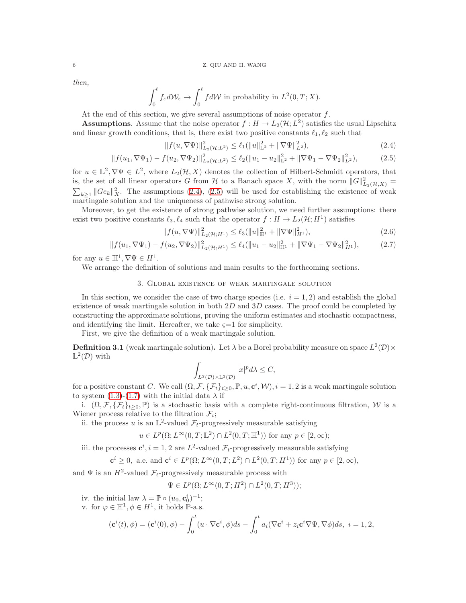*then,*

$$
\int_0^t f_{\varepsilon} d\mathcal{W}_{\varepsilon} \to \int_0^t f d\mathcal{W} \text{ in probability in } L^2(0, T; X).
$$

At the end of this section, we give several assumptions of noise operator  $f$ .

**Assumptions.** Assume that the noise operator  $f : H \to L_2(\mathcal{H}; L^2)$  satisfies the usual Lipschitz and linear growth conditions, that is, there exist two positive constants  $\ell_1, \ell_2$  such that

<span id="page-5-1"></span><span id="page-5-0"></span>
$$
|| f(u, \nabla \Psi)||_{L_2(\mathcal{H}; L^2)}^2 \le \ell_1(||u||_{\mathbb{L}^2}^2 + ||\nabla \Psi||_{L^2}^2),
$$
\n(2.4)

$$
||f(u_1, \nabla\Psi_1) - f(u_2, \nabla\Psi_2)||_{L_2(\mathcal{H}; L^2)}^2 \le \ell_2(||u_1 - u_2||_{\mathbb{L}^2}^2 + ||\nabla\Psi_1 - \nabla\Psi_2||_{L^2}^2),\tag{2.5}
$$

for  $u \in \mathbb{L}^2$ ,  $\nabla \Psi \in L^2$ , where  $L_2(\mathcal{H}, X)$  denotes the collection of Hilbert-Schmidt operators, that is, the set of all linear operators G from  $\mathcal H$  to a Banach space X, with the norm  $||G||_{L_2(\mathcal H,X)}^2 = \sum_{k>1} ||Ge_k||_{X}^2$ . The assumptions (2.4), (2.5) will be used for establishing the existence of weak  $\|k_k\|_{X}^2$ . The assumptions [\(2.4\)](#page-5-0), [\(2.5\)](#page-5-1) will be used for establishing the existence of weak martingale solution and the uniqueness of pathwise strong solution.

Moreover, to get the existence of strong pathwise solution, we need further assumptions: there exist two positive constants  $\ell_3, \ell_4$  such that the operator  $f: H \to L_2(\mathcal{H}; H^1)$  satisfies

<span id="page-5-4"></span><span id="page-5-3"></span>
$$
||f(u, \nabla \Psi)||_{L_2(\mathcal{H}; H^1)}^2 \le \ell_3(||u||_{\mathbb{H}^1}^2 + ||\nabla \Psi||_{H^1}^2),
$$
\n(2.6)

$$
|| f(u_1, \nabla \Psi_1) - f(u_2, \nabla \Psi_2)||_{L_2(\mathcal{H}; H^1)}^2 \le \ell_4(||u_1 - u_2||_{\mathbb{H}^1}^2 + ||\nabla \Psi_1 - \nabla \Psi_2||_{H^1}^2),
$$
 (2.7)

for any  $u \in \mathbb{H}^1, \nabla \Psi \in H^1$ .

We arrange the definition of solutions and main results to the forthcoming sections.

## 3. Global existence of weak martingale solution

In this section, we consider the case of two charge species (i.e.  $i = 1, 2$ ) and establish the global existence of weak martingale solution in both  $2D$  and  $3D$  cases. The proof could be completed by constructing the approximate solutions, proving the uniform estimates and stochastic compactness, and identifying the limit. Hereafter, we take  $\zeta = 1$  for simplicity.

First, we give the definition of a weak martingale solution.

<span id="page-5-2"></span>**Definition 3.1** (weak martingale solution). Let  $\lambda$  be a Borel probability measure on space  $L^2(\mathcal{D}) \times$  $\mathbb{L}^2(\mathcal{D})$  with

$$
\int_{L^2(\mathcal{D})\times \mathbb{L}^2(\mathcal{D})} |x|^p d\lambda \leq C,
$$

for a positive constant C. We call  $(\Omega, \mathcal{F}, \{\mathcal{F}_t\}_{t\geq 0}, \mathbb{P}, u, \mathbf{c}^i, \mathcal{W}), i = 1, 2$  is a weak martingale solution to system  $(1.3)-(1.7)$  $(1.3)-(1.7)$  with the initial data  $\lambda$  if

i.  $(\Omega, \mathcal{F}, {\{\mathcal{F}_t\}_{t>0}, \mathbb{P}})$  is a stochastic basis with a complete right-continuous filtration, W is a Wiener process relative to the filtration  $\mathcal{F}_t$ ;

ii. the process u is an  $\mathbb{L}^2$ -valued  $\mathcal{F}_t$ -progressively measurable satisfying

$$
u \in L^p(\Omega; L^\infty(0,T;\mathbb{L}^2) \cap L^2(0,T;\mathbb{H}^1))
$$
 for any  $p \in [2,\infty)$ ;

iii. the processes  $\mathbf{c}^i$ ,  $i = 1, 2$  are  $L^2$ -valued  $\mathcal{F}_t$ -progressively measurable satisfying

$$
\mathbf{c}^i \geq 0
$$
, a.e. and  $\mathbf{c}^i \in L^p(\Omega; L^{\infty}(0,T; L^2) \cap L^2(0,T; H^1))$  for any  $p \in [2, \infty)$ ,

and  $\Psi$  is an  $H^2$ -valued  $\mathcal{F}_t$ -progressively measurable process with

$$
\Psi \in L^p(\Omega; L^\infty(0,T;H^2) \cap L^2(0,T;H^3));
$$

iv. the initial law  $\lambda = \mathbb{P} \circ (u_0, \mathbf{c}_0^i)^{-1};$ 

v. for  $\varphi \in \mathbb{H}^1, \phi \in H^1$ , it holds  $\mathbb{P}\text{-a.s.}$ 

$$
(\mathbf{c}^i(t), \phi) = (\mathbf{c}^i(0), \phi) - \int_0^t (u \cdot \nabla \mathbf{c}^i, \phi) ds - \int_0^t a_i (\nabla \mathbf{c}^i + z_i \mathbf{c}^i \nabla \Psi, \nabla \phi) ds, \ i = 1, 2,
$$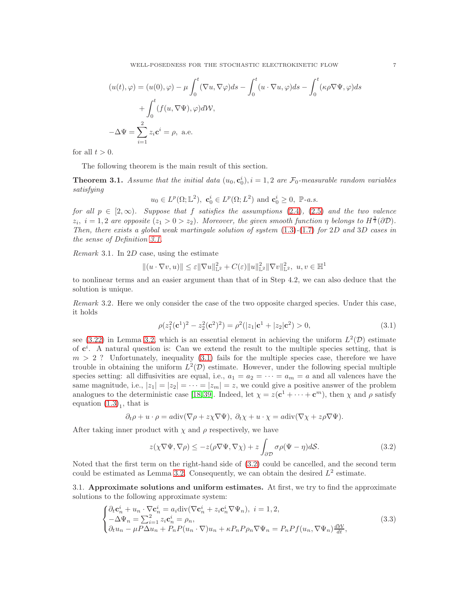$$
(u(t), \varphi) = (u(0), \varphi) - \mu \int_0^t (\nabla u, \nabla \varphi) ds - \int_0^t (u \cdot \nabla u, \varphi) ds - \int_0^t (\kappa \rho \nabla \Psi, \varphi) ds
$$

$$
+ \int_0^t (f(u, \nabla \Psi), \varphi) d\mathcal{W},
$$

$$
- \Delta \Psi = \sum_{i=1}^2 z_i \mathbf{c}^i = \rho, \text{ a.e.}
$$

for all  $t > 0$ .

The following theorem is the main result of this section.

**Theorem 3.1.** Assume that the initial data  $(u_0, \mathbf{c}_0^i)$ ,  $i = 1, 2$  are  $\mathcal{F}_0$ -measurable random variables *satisfying*

$$
u_0 \in L^p(\Omega; \mathbb{L}^2)
$$
,  $\mathbf{c}_0^i \in L^p(\Omega; L^2)$  and  $\mathbf{c}_0^i \geq 0$ ,  $\mathbb{P}\text{-}a.s.$ 

*for all*  $p \in [2,\infty)$ *. Suppose that f satisfies the assumptions* [\(2.4\)](#page-5-0)*,* [\(2.5\)](#page-5-1) *and the two valence*  $z_i$ ,  $i = 1, 2$  are opposite  $(z_1 > 0 > z_2)$ . Moreover, the given smooth function  $\eta$  belongs to  $H^{\frac{3}{2}}(\partial \mathcal{D})$ . *Then, there exists a global weak martingale solution of system* [\(1.3\)](#page-1-1)*-*[\(1.7\)](#page-1-3) *for* 2D *and* 3D *cases in the sense of Definition [3.1.](#page-5-2)*

*Remark* 3.1*.* In 2D case, using the estimate

$$
|| (u \cdot \nabla v, u) || \leq \varepsilon ||\nabla u||_{\mathbb{L}^2}^2 + C(\varepsilon) ||u||_{\mathbb{L}^2}^2 ||\nabla v||_{\mathbb{L}^2}^2, \ u, v \in \mathbb{H}^1
$$

to nonlinear terms and an easier argument than that of in Step 4.2, we can also deduce that the solution is unique.

*Remark* 3.2*.* Here we only consider the case of the two opposite charged species. Under this case, it holds

<span id="page-6-0"></span>
$$
\rho(z_1^2(\mathbf{c}^1)^2 - z_2^2(\mathbf{c}^2)^2) = \rho^2(|z_1|\mathbf{c}^1 + |z_2|\mathbf{c}^2) > 0,
$$
\n(3.1)

see [\(3.22\)](#page-12-0) in Lemma [3.2,](#page-11-0) which is an essential element in achieving the uniform  $L^2(\mathcal{D})$  estimate of  $c^i$ . A natural question is: Can we extend the result to the multiple species setting, that is  $m > 2$ ? Unfortunately, inequality [\(3.1\)](#page-6-0) fails for the multiple species case, therefore we have trouble in obtaining the uniform  $L^2(\mathcal{D})$  estimate. However, under the following special multiple species setting: all diffusivities are equal, i.e.,  $a_1 = a_2 = \cdots = a_m = a$  and all valences have the same magnitude, i.e.,  $|z_1| = |z_2| = \cdots = |z_m| = z$ , we could give a positive answer of the problem analogues to the deterministic case [\[18,](#page-41-11)39]. Indeed, let  $\chi = z(\mathbf{c}^1 + \cdots + \mathbf{c}^m)$ , then  $\chi$  and  $\rho$  satisfy equation  $(1.3)<sub>1</sub>$ , that is

$$
\partial_t \rho + u \cdot \rho = a \text{div}(\nabla \rho + z \chi \nabla \Psi), \ \partial_t \chi + u \cdot \chi = a \text{div}(\nabla \chi + z \rho \nabla \Psi).
$$

After taking inner product with  $\chi$  and  $\rho$  respectively, we have

<span id="page-6-1"></span>
$$
z(\chi \nabla \Psi, \nabla \rho) \le -z(\rho \nabla \Psi, \nabla \chi) + z \int_{\partial \mathcal{D}} \sigma \rho (\Psi - \eta) d\mathcal{S}.
$$
 (3.2)

Noted that the first term on the right-hand side of [\(3.2\)](#page-6-1) could be cancelled, and the second term could be estimated as Lemma [3.2.](#page-11-0) Consequently, we can obtain the desired  $L^2$  estimate.

3.1. Approximate solutions and uniform estimates. At first, we try to find the approximate solutions to the following approximate system:

<span id="page-6-2"></span>
$$
\begin{cases} \partial_t \mathbf{c}_n^i + u_n \cdot \nabla \mathbf{c}_n^i = a_i \text{div}(\nabla \mathbf{c}_n^i + z_i \mathbf{c}_n^i \nabla \Psi_n), \ i = 1, 2, \\ -\Delta \Psi_n = \sum_{i=1}^2 z_i \mathbf{c}_n^i = \rho_n, \\ \partial_t u_n - \mu P \Delta u_n + P_n P(u_n \cdot \nabla) u_n + \kappa P_n P \rho_n \nabla \Psi_n = P_n P f(u_n, \nabla \Psi_n) \frac{d\mathcal{W}}{dt}, \end{cases} \tag{3.3}
$$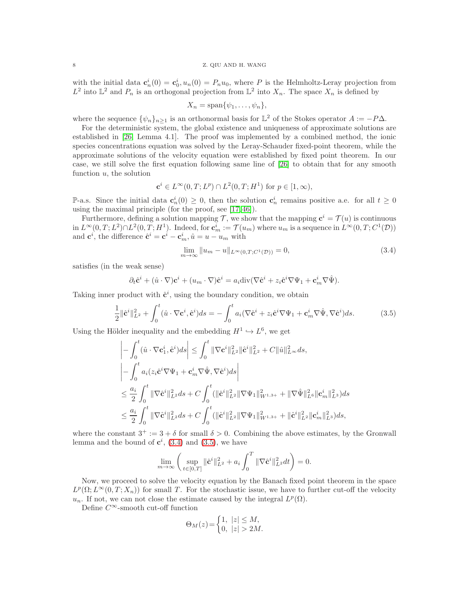### 8 Z. QIU AND H. WANG

with the initial data  $\mathbf{c}_n^i(0) = \mathbf{c}_0^i, u_n(0) = P_n u_0$ , where P is the Helmholtz-Leray projection from  $L^2$  into  $\mathbb{L}^2$  and  $P_n$  is an orthogonal projection from  $\mathbb{L}^2$  into  $X_n$ . The space  $X_n$  is defined by

$$
X_n = \text{span}\{\psi_1, \dots, \psi_n\},\
$$

where the sequence  $\{\psi_n\}_{n\geq 1}$  is an orthonormal basis for  $\mathbb{L}^2$  of the Stokes operator  $A := -P\Delta$ .

For the deterministic system, the global existence and uniqueness of approximate solutions are established in [\[26,](#page-41-9) Lemma 4.1]. The proof was implemented by a combined method, the ionic species concentrations equation was solved by the Leray-Schauder fixed-point theorem, while the approximate solutions of the velocity equation were established by fixed point theorem. In our case, we still solve the first equation following same line of [\[26\]](#page-41-9) to obtain that for any smooth function  $u$ , the solution

$$
\mathbf{c}^i \in L^{\infty}(0, T; L^p) \cap L^2(0, T; H^1) \text{ for } p \in [1, \infty),
$$

P-a.s. Since the initial data  $c_n^i(0) \geq 0$ , then the solution  $c_n^i$  remains positive a.e. for all  $t \geq 0$ using the maximal principle (for the proof, see [\[17,](#page-41-10) [46\]](#page-42-1)).

Furthermore, defining a solution mapping  $\mathcal{T}$ , we show that the mapping  $\mathbf{c}^i = \mathcal{T}(u)$  is continuous in  $L^{\infty}(0,T; L^2) \cap L^2(0,T; H^1)$ . Indeed, for  $\mathbf{c}_m^i := \mathcal{T}(u_m)$  where  $u_m$  is a sequence in  $L^{\infty}(0,T; C^1(\mathcal{D}))$ and  $\mathbf{c}^i$ , the difference  $\hat{\mathbf{c}}^i = \mathbf{c}^i - \mathbf{c}_m^i$ ,  $\hat{u} = u - u_m$  with

<span id="page-7-1"></span><span id="page-7-0"></span>
$$
\lim_{m \to \infty} \|u_m - u\|_{L^{\infty}(0,T;C^1(\mathcal{D}))} = 0,
$$
\n(3.4)

satisfies (in the weak sense)

$$
\partial_t \hat{\mathbf{c}}^i + (\hat{u} \cdot \nabla) \mathbf{c}^i + (u_m \cdot \nabla) \hat{\mathbf{c}}^i = a_i \text{div}(\nabla \hat{\mathbf{c}}^i + z_i \hat{\mathbf{c}}^i \nabla \Psi_1 + \mathbf{c}_m^i \nabla \hat{\Psi}).
$$

Taking inner product with  $\hat{\mathbf{c}}^i$ , using the boundary condition, we obtain

$$
\frac{1}{2} \|\hat{\mathbf{c}}^i\|_{L^2}^2 + \int_0^t (\hat{u} \cdot \nabla \mathbf{c}^i, \hat{\mathbf{c}}^i) ds = -\int_0^t a_i (\nabla \hat{\mathbf{c}}^i + z_i \hat{\mathbf{c}}^i \nabla \Psi_1 + \mathbf{c}_m^i \nabla \hat{\Psi}, \nabla \hat{\mathbf{c}}^i) ds. \tag{3.5}
$$

Using the Hölder inequality and the embedding  $H^1 \hookrightarrow L^6$ , we get

$$
\begin{split}\n&\left|-\int_{0}^{t}(\hat{u}\cdot\nabla\mathbf{c}_{1}^{i},\hat{\mathbf{c}}^{i})ds\right| \leq \int_{0}^{t}\|\nabla\mathbf{c}^{i}\|_{L^{2}}^{2}\|\hat{\mathbf{c}}^{i}\|_{L^{2}}^{2} + C\|\hat{u}\|_{L^{\infty}}^{2}ds, \\
&\left|-\int_{0}^{t}a_{i}(z_{i}\hat{\mathbf{c}}^{i}\nabla\Psi_{1}+\mathbf{c}_{m}^{i}\nabla\hat{\Psi},\nabla\hat{\mathbf{c}}^{i})ds\right| \\
&\leq \frac{a_{i}}{2}\int_{0}^{t}\|\nabla\hat{\mathbf{c}}^{i}\|_{L^{2}}^{2}ds + C\int_{0}^{t}(\|\hat{\mathbf{c}}^{i}\|_{L^{2}}^{2}\|\nabla\Psi_{1}\|_{W^{1,3+}}^{2} + \|\nabla\hat{\Psi}\|_{L^{6}}^{2}\|\mathbf{c}_{m}^{i}\|_{L^{3}}^{2})ds \\
&\leq \frac{a_{i}}{2}\int_{0}^{t}\|\nabla\hat{\mathbf{c}}^{i}\|_{L^{2}}^{2}ds + C\int_{0}^{t}(\|\hat{\mathbf{c}}^{i}\|_{L^{2}}^{2}\|\nabla\Psi_{1}\|_{W^{1,3+}}^{2} + \|\hat{\mathbf{c}}^{i}\|_{L^{2}}^{2}\|\mathbf{c}_{m}^{i}\|_{L^{3}}^{2})ds,\n\end{split}
$$

where the constant  $3^+ := 3 + \delta$  for small  $\delta > 0$ . Combining the above estimates, by the Gronwall lemma and the bound of  $\mathbf{c}^i$ , [\(3.4\)](#page-7-0) and [\(3.5\)](#page-7-1), we have

$$
\lim_{m \to \infty} \left( \sup_{t \in [0,T]} \| \hat{\mathbf{c}}^i \|_{L^2}^2 + a_i \int_0^T \| \nabla \hat{\mathbf{c}}^i \|_{L^2}^2 dt \right) = 0.
$$

Now, we proceed to solve the velocity equation by the Banach fixed point theorem in the space  $L^p(\Omega; L^{\infty}(0,T;X_n))$  for small T. For the stochastic issue, we have to further cut-off the velocity  $u_n$ . If not, we can not close the estimate caused by the integral  $L^p(\Omega)$ .

Define  $C^{\infty}$ -smooth cut-off function

$$
\Theta_M(z) = \begin{cases} 1, & |z| \le M, \\ 0, & |z| > 2M. \end{cases}
$$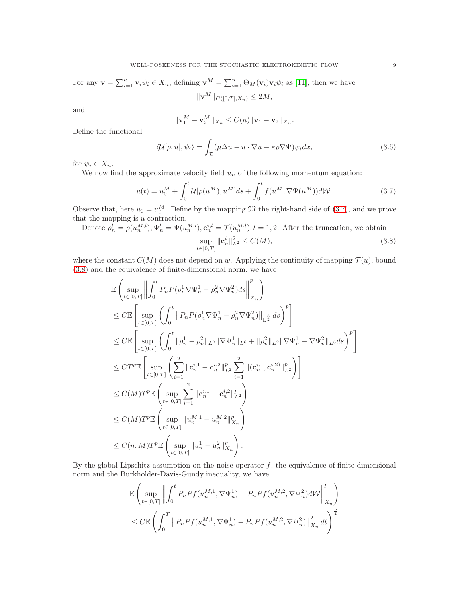For any 
$$
\mathbf{v} = \sum_{i=1}^{n} \mathbf{v}_i \psi_i \in X_n
$$
, defining  $\mathbf{v}^M = \sum_{i=1}^{n} \Theta_M(\mathbf{v}_i) \mathbf{v}_i \psi_i$  as [11], then we have  

$$
\|\mathbf{v}^M\|_{C([0,T];X_n)} \le 2M,
$$

and

<span id="page-8-1"></span><span id="page-8-0"></span>
$$
\|\mathbf{v}_1^M - \mathbf{v}_2^M\|_{X_n} \le C(n) \|\mathbf{v}_1 - \mathbf{v}_2\|_{X_n}.
$$

Define the functional

$$
\langle \mathcal{U}[\rho, u], \psi_i \rangle = \int_{\mathcal{D}} (\mu \Delta u - u \cdot \nabla u - \kappa \rho \nabla \Psi) \psi_i dx, \tag{3.6}
$$

for  $\psi_i \in X_n$ .

We now find the approximate velocity field  $u_n$  of the following momentum equation:

$$
u(t) = u_0^M + \int_0^t \mathcal{U}[\rho(u^M), u^M]ds + \int_0^t f(u^M, \nabla \Psi(u^M))d\mathcal{W}.
$$
 (3.7)

Observe that, here  $u_0 = u_0^M$ . Define by the mapping  $\mathfrak{M}$  the right-hand side of [\(3.7\)](#page-8-0), and we prove that the mapping is a contraction.

Denote 
$$
\rho_n^l = \rho(u_n^{M,l}), \Psi_n^l = \Psi(u_n^{M,l}), \mathbf{c}_n^{i,l} = \mathcal{T}(u_n^{M,l}), l = 1, 2.
$$
 After the truncation, we obtain\n
$$
\sup_{t \in [0,T]} \| \mathbf{c}_n^i \|_{L^2}^2 \le C(M),
$$
\n(3.8)

where the constant  $C(M)$  does not depend on w. Applying the continuity of mapping  $\mathcal{T}(u)$ , bound [\(3.8\)](#page-8-1) and the equivalence of finite-dimensional norm, we have

$$
\begin{split} &\mathbb{E}\left(\sup_{t\in[0,T]}\left\|\int_{0}^{t}P_{n}P(\rho_{n}^{1}\nabla\Psi_{n}^{1}-\rho_{n}^{2}\nabla\Psi_{n}^{2})ds\right\|^{p}_{X_{n}}\right) \\ &\leq C\mathbb{E}\left[\sup_{t\in[0,T]}\left(\int_{0}^{t}\left\|P_{n}P(\rho_{n}^{1}\nabla\Psi_{n}^{1}-\rho_{n}^{2}\nabla\Psi_{n}^{2})\right\|_{\mathbb{L}^{\frac{3}{2}}}ds\right)^{p}\right] \\ &\leq C\mathbb{E}\left[\sup_{t\in[0,T]}\left(\int_{0}^{t}\|\rho_{n}^{1}-\rho_{n}^{2}\|_{L^{2}}\|\nabla\Psi_{n}^{1}\|_{L^{6}}+\|\rho_{n}^{2}\|_{L^{2}}\|\nabla\Psi_{n}^{1}-\nabla\Psi_{n}^{2}\|_{L^{6}}ds\right)^{p}\right] \\ &\leq C T^{p} \mathbb{E}\left[\sup_{t\in[0,T]}\left(\sum_{i=1}^{2}\|\mathbf{c}_{n}^{i,1}-\mathbf{c}_{n}^{i,2}\|_{L^{2}}^{p}\sum_{i=1}^{2}\|(\mathbf{c}_{n}^{i,1},\mathbf{c}_{n}^{i,2})\|_{L^{2}}^{p}\right)\right] \\ &\leq C(M) T^{p} \mathbb{E}\left(\sup_{t\in[0,T]}\sum_{i=1}^{2}\|\mathbf{c}_{n}^{i,1}-\mathbf{c}_{n}^{i,2}\|_{L^{2}}^{p}\right) \\ &\leq C(M) T^{p} \mathbb{E}\left(\sup_{t\in[0,T]}\|\mathbf{u}_{n}^{M,1}-\mathbf{u}_{n}^{M,2}\|_{X_{n}}^{p}\right) \\ &\leq C(n,M) T^{p} \mathbb{E}\left(\sup_{t\in[0,T]}\|u_{n}^{1}-u_{n}^{2}\|_{X_{n}}^{p}\right) \\ &\leq C(n,M) T^{p} \mathbb{E}\left(\sup_{t\in[0,T]}\|u_{n}^{1}-u_{n}^{2}\|_{X_{n}}^{p}\right). \end{split}
$$

By the global Lipschitz assumption on the noise operator  $f$ , the equivalence of finite-dimensional norm and the Burkholder-Davis-Gundy inequality, we have

$$
\mathbb{E}\left(\sup_{t\in[0,T]}\left\|\int_0^t P_nPf(u_n^{M,1}, \nabla\Psi_n^1) - P_nPf(u_n^{M,2}, \nabla\Psi_n^2)d\mathcal{W}\right\|_{X_n}^p\right) \n\leq C\mathbb{E}\left(\int_0^T \left\|P_nPf(u_n^{M,1}, \nabla\Psi_n^1) - P_nPf(u_n^{M,2}, \nabla\Psi_n^2)\right\|_{X_n}^2 dt\right)^{\frac{p}{2}}
$$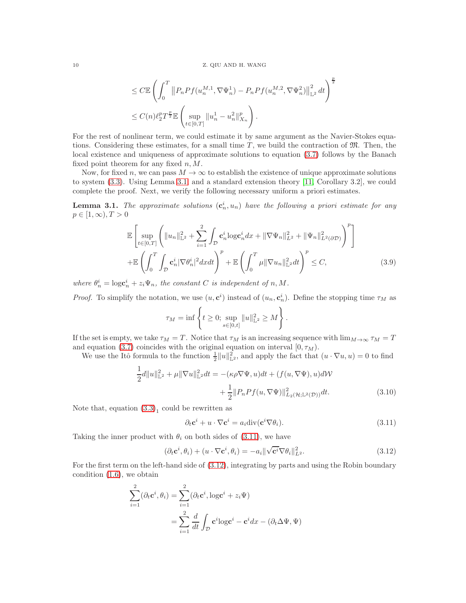$$
\leq C \mathbb{E} \left( \int_0^T \left\| P_n P f(u_n^{M,1}, \nabla \Psi_n^1) - P_n P f(u_n^{M,2}, \nabla \Psi_n^2) \right\|_{\mathbb{L}^2}^2 dt \right)^{\frac{p}{2}} \n\leq C(n) \ell_2^p T^{\frac{p}{2}} \mathbb{E} \left( \sup_{t \in [0,T]} \|u_n^1 - u_n^2\|_{X_n}^p \right).
$$

For the rest of nonlinear term, we could estimate it by same argument as the Navier-Stokes equations. Considering these estimates, for a small time  $T$ , we build the contraction of  $\mathfrak{M}$ . Then, the local existence and uniqueness of approximate solutions to equation [\(3.7\)](#page-8-0) follows by the Banach fixed point theorem for any fixed  $n, M$ .

Now, for fixed n, we can pass  $M \to \infty$  to establish the existence of unique approximate solutions to system [\(3.3\)](#page-6-2). Using Lemma [3.1,](#page-9-0) and a standard extension theory [\[11,](#page-41-25) Corollary 3.2], we could complete the proof. Next, we verify the following necessary uniform a priori estimates.

<span id="page-9-0"></span>**Lemma 3.1.** The approximate solutions  $(c_n^i, u_n)$  have the following a priori estimate for any  $p \in [1,\infty), T > 0$ 

$$
\mathbb{E}\left[\sup_{t\in[0,T]}\left(\|u_{n}\|_{\mathbb{L}^{2}}^{2}+\sum_{i=1}^{2}\int_{\mathcal{D}}\mathbf{c}_{n}^{i}\log\mathbf{c}_{n}^{i}dx+\|\nabla\Psi_{n}\|_{L^{2}}^{2}+\|\Psi_{n}\|_{L^{2}(\partial\mathcal{D})}^{2}\right)^{p}\right] + \mathbb{E}\left(\int_{0}^{T}\int_{\mathcal{D}}\mathbf{c}_{n}^{i}|\nabla\theta_{n}^{i}|^{2}dxdt\right)^{p}+\mathbb{E}\left(\int_{0}^{T}\mu\|\nabla u_{n}\|_{\mathbb{L}^{2}}^{2}dt\right)^{p}\leq C, \tag{3.9}
$$

where  $\theta_n^i = \log c_n^i + z_i \Psi_n$ , the constant *C* is independent of *n*, *M*.

*Proof.* To simplify the notation, we use  $(u, c^i)$  instead of  $(u_n, c_n^i)$ . Define the stopping time  $\tau_M$  as

$$
\tau_M = \inf \left\{ t \ge 0; \sup_{s \in [0,t]} \|u\|_{\mathbb{L}^2}^2 \ge M \right\}.
$$

If the set is empty, we take  $\tau_M = T$ . Notice that  $\tau_M$  is an increasing sequence with  $\lim_{M\to\infty} \tau_M = T$ and equation [\(3.7\)](#page-8-0) coincides with the original equation on interval  $[0, \tau_M)$ .

We use the Itô formula to the function  $\frac{1}{2}||u||_{\mathbb{L}^2}^2$ , and apply the fact that  $(u \cdot \nabla u, u) = 0$  to find

$$
\frac{1}{2}d||u||_{\mathbb{L}^{2}}^{2} + \mu||\nabla u||_{\mathbb{L}^{2}}^{2}dt = -(\kappa\rho\nabla\Psi, u)dt + (f(u, \nabla\Psi), u)dW
$$

$$
+ \frac{1}{2}||P_{n}Pf(u, \nabla\Psi)||_{L_{2}(\mathcal{H};\mathbb{L}^{2}(\mathcal{D}))}^{2}dt.
$$
(3.10)

Note that, equation  $(3.3)<sub>1</sub>$  could be rewritten as

<span id="page-9-3"></span><span id="page-9-2"></span><span id="page-9-1"></span>
$$
\partial_t \mathbf{c}^i + u \cdot \nabla \mathbf{c}^i = a_i \text{div}(\mathbf{c}^i \nabla \theta_i). \tag{3.11}
$$

Taking the inner product with  $\theta_i$  on both sides of [\(3.11\)](#page-9-1), we have

$$
(\partial_t \mathbf{c}^i, \theta_i) + (u \cdot \nabla \mathbf{c}^i, \theta_i) = -a_i \|\sqrt{\mathbf{c}^i} \nabla \theta_i\|_{L^2}^2.
$$
 (3.12)

For the first term on the left-hand side of [\(3.12\)](#page-9-2), integrating by parts and using the Robin boundary condition [\(1.6\)](#page-1-2), we obtain

$$
\sum_{i=1}^{2} (\partial_t \mathbf{c}^i, \theta_i) = \sum_{i=1}^{2} (\partial_t \mathbf{c}^i, \log \mathbf{c}^i + z_i \Psi)
$$

$$
= \sum_{i=1}^{2} \frac{d}{dt} \int_{\mathcal{D}} \mathbf{c}^i \log \mathbf{c}^i - \mathbf{c}^i dx - (\partial_t \Delta \Psi, \Psi)
$$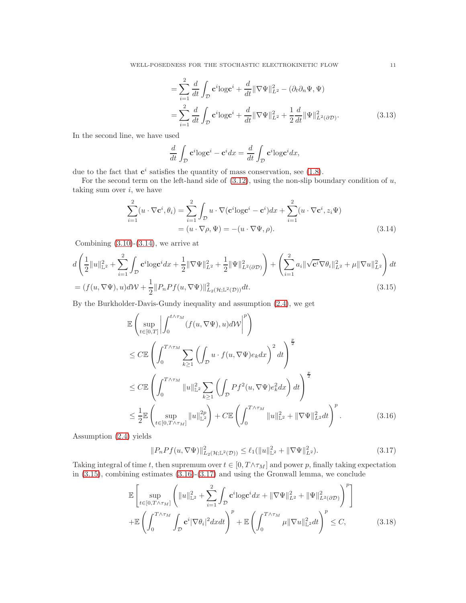$$
= \sum_{i=1}^{2} \frac{d}{dt} \int_{\mathcal{D}} \mathbf{c}^{i} \log \mathbf{c}^{i} + \frac{d}{dt} \|\nabla \Psi\|_{L^{2}}^{2} - (\partial_{t} \partial_{n} \Psi, \Psi)
$$
  

$$
= \sum_{i=1}^{2} \frac{d}{dt} \int_{\mathcal{D}} \mathbf{c}^{i} \log \mathbf{c}^{i} + \frac{d}{dt} \|\nabla \Psi\|_{L^{2}}^{2} + \frac{1}{2} \frac{d}{dt} \|\Psi\|_{L^{2}(\partial \mathcal{D})}^{2}.
$$
 (3.13)

In the second line, we have used

<span id="page-10-1"></span><span id="page-10-0"></span>
$$
\frac{d}{dt} \int_{\mathcal{D}} \mathbf{c}^i \log \mathbf{c}^i - \mathbf{c}^i dx = \frac{d}{dt} \int_{\mathcal{D}} \mathbf{c}^i \log \mathbf{c}^i dx,
$$

due to the fact that  $c^i$  satisfies the quantity of mass conservation, see [\(1.8\)](#page-2-0).

For the second term on the left-hand side of  $(3.12)$ , using the non-slip boundary condition of  $u$ , taking sum over  $i$ , we have

$$
\sum_{i=1}^{2} (u \cdot \nabla \mathbf{c}^i, \theta_i) = \sum_{i=1}^{2} \int_{\mathcal{D}} u \cdot \nabla (\mathbf{c}^i \log \mathbf{c}^i - \mathbf{c}^i) dx + \sum_{i=1}^{2} (u \cdot \nabla \mathbf{c}^i, z_i \Psi)
$$
  
=  $(u \cdot \nabla \rho, \Psi) = -(u \cdot \nabla \Psi, \rho).$  (3.14)

Combining  $(3.10)-(3.14)$  $(3.10)-(3.14)$ , we arrive at

$$
d\left(\frac{1}{2}\|u\|_{\mathbb{L}^{2}}^{2} + \sum_{i=1}^{2} \int_{\mathcal{D}} \mathbf{c}^{i} \log \mathbf{c}^{i} dx + \frac{1}{2} \|\nabla \Psi\|_{L^{2}}^{2} + \frac{1}{2} \|\Psi\|_{L^{2}(\partial \mathcal{D})}^{2} \right) + \left(\sum_{i=1}^{2} a_{i} \|\sqrt{\mathbf{c}^{i}} \nabla \theta_{i}\|_{L^{2}}^{2} + \mu \|\nabla u\|_{L^{2}}^{2}\right) dt
$$
  
=  $(f(u, \nabla \Psi), u)d\mathcal{W} + \frac{1}{2} \|P_{n}Pf(u, \nabla \Psi)\|_{L^{2}(\mathcal{H}; \mathbb{L}^{2}(\mathcal{D}))}^{2} dt.$  (3.15)

By the Burkholder-Davis-Gundy inequality and assumption [\(2.4\)](#page-5-0), we get

$$
\mathbb{E}\left(\sup_{t\in[0,T]}\left|\int_{0}^{t\wedge\tau_{M}}(f(u,\nabla\Psi),u)d\mathcal{W}\right|^{p}\right) \n\leq C\mathbb{E}\left(\int_{0}^{T\wedge\tau_{M}}\sum_{k\geq 1}\left(\int_{\mathcal{D}}u\cdot f(u,\nabla\Psi)e_{k}dx\right)^{2}dt\right)^{\frac{p}{2}} \n\leq C\mathbb{E}\left(\int_{0}^{T\wedge\tau_{M}}\|u\|_{\mathbb{L}^{2}}^{2}\sum_{k\geq 1}\left(\int_{\mathcal{D}}Pf^{2}(u,\nabla\Psi)e_{k}^{2}dx\right)dt\right)^{\frac{p}{2}} \n\leq \frac{1}{2}\mathbb{E}\left(\sup_{t\in[0,T\wedge\tau_{M}]}\|u\|_{\mathbb{L}^{2}}^{2p}\right) + C\mathbb{E}\left(\int_{0}^{T\wedge\tau_{M}}\|u\|_{\mathbb{L}^{2}}^{2}+\|\nabla\Psi\|_{L^{2}}^{2}dt\right)^{p}.
$$
\n(3.16)

Assumption [\(2.4\)](#page-5-0) yields

<span id="page-10-3"></span><span id="page-10-2"></span>
$$
||P_nPf(u,\nabla\Psi)||_{L_2(\mathcal{H};\mathbb{L}^2(\mathcal{D}))}^2 \le \ell_1(||u||_{\mathbb{L}^2}^2 + ||\nabla\Psi||_{L^2}^2). \tag{3.17}
$$

Taking integral of time t, then supremum over  $t \in [0, T \wedge \tau_M]$  and power p, finally taking expectation in  $(3.15)$ , combining estimates  $(3.16)-(3.17)$  $(3.16)-(3.17)$  and using the Gronwall lemma, we conclude

<span id="page-10-4"></span>
$$
\mathbb{E}\left[\sup_{t\in[0,T\wedge\tau_{M}]} \left(\|u\|_{\mathbb{L}^{2}}^{2} + \sum_{i=1}^{2} \int_{\mathcal{D}} \mathbf{c}^{i} \log \mathbf{c}^{i} dx + \|\nabla \Psi\|_{L^{2}}^{2} + \|\Psi\|_{L^{2}(\partial \mathcal{D})}^{2}\right)^{p}\right] + \mathbb{E}\left(\int_{0}^{T\wedge\tau_{M}} \int_{\mathcal{D}} \mathbf{c}^{i} |\nabla \theta_{i}|^{2} dxdt\right)^{p} + \mathbb{E}\left(\int_{0}^{T\wedge\tau_{M}} \mu \|\nabla u\|_{\mathbb{L}^{2}}^{2} dt\right)^{p} \leq C, \tag{3.18}
$$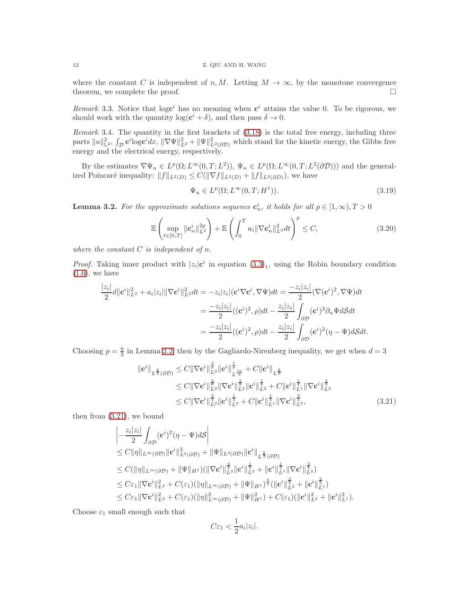where the constant C is independent of n, M. Letting  $M \to \infty$ , by the monotone convergence theorem, we complete the proof. theorem, we complete the proof.

*Remark* 3.3. Notice that  $log c^i$  has no meaning when  $c^i$  attains the value 0. To be rigorous, we should work with the quantity  $\log(e^i + \delta)$ , and then pass  $\delta \to 0$ .

*Remark* 3.4*.* The quantity in the first brackets of [\(3.18\)](#page-10-4) is the total free energy, including three parts  $||u||_{\mathbb{L}^2}^2$ ,  $\int_{\mathcal{D}} c^i \overline{\log} c^i dx$ ,  $||\nabla \Psi||_{L^2}^2 + ||\Psi||_{L^2(\partial \mathcal{D})}^2$  which stand for the kinetic energy, the Gibbs free energy and the electrical energy, respectively.

By the estimates  $\nabla \Psi_n \in L^p(\Omega; L^\infty(0,T; L^2)), \Psi_n \in L^p(\Omega; L^\infty(0,T; L^2(\partial \mathcal{D})))$  and the generalized Poincaré inequality:  $||f||_{L^2(D)} \leq C(||\nabla f||_{L^2(D)} + ||f||_{L^2(\partial D)})$ , we have

<span id="page-11-3"></span><span id="page-11-2"></span>
$$
\Psi_n \in L^p(\Omega; L^\infty(0, T; H^1)).\tag{3.19}
$$

<span id="page-11-0"></span>**Lemma 3.2.** For the approximate solutions sequence  $\mathbf{c}_n^i$ , it holds for all  $p \in [1,\infty), T > 0$ 

$$
\mathbb{E}\left(\sup_{t\in[0,T]}\|\mathbf{c}_n^i\|_{L^2}^{2p}\right) + \mathbb{E}\left(\int_0^T a_i \|\nabla \mathbf{c}_n^i\|_{L^2}^2 dt\right)^p \le C,\tag{3.20}
$$

*where the constant* C *is independent of* n*.*

*Proof.* Taking inner product with  $|z_i| \mathbf{c}^i$  in equation  $(3.3)_1$ , using the Robin boundary condition  $(1.6)$ , we have

$$
\frac{|z_i|}{2}d\|\mathbf{c}^i\|_{L^2}^2 + a_i|z_i|\|\nabla\mathbf{c}^i\|_{L^2}^2dt = -z_i|z_i|(\mathbf{c}^i\nabla\mathbf{c}^i,\nabla\Psi)dt = \frac{-z_i|z_i|}{2}(\nabla(\mathbf{c}^i)^2,\nabla\Psi)dt
$$

$$
= \frac{-z_i|z_i|}{2}((\mathbf{c}^i)^2,\rho)dt - \frac{z_i|z_i|}{2}\int_{\partial\mathcal{D}}(\mathbf{c}^i)^2\partial_n\Psi dS dt
$$

$$
= \frac{-z_i|z_i|}{2}((\mathbf{c}^i)^2,\rho)dt - \frac{z_i|z_i|}{2}\int_{\partial\mathcal{D}}(\mathbf{c}^i)^2(\eta-\Psi)dS dt.
$$

Choosing  $p = \frac{8}{3}$  in Lemma [2.2,](#page-3-0) then by the Gagliardo-Nirenberg inequality, we get when  $d = 3$ 

$$
\begin{split} \|\mathbf{c}^{i}\|_{L^{\frac{8}{3}}(\partial\mathcal{D})} &\leq C \|\nabla \mathbf{c}^{i}\|_{L^{2}}^{\frac{3}{3}} \|\mathbf{c}^{i}\|_{L^{\frac{10}{3}}}^{\frac{5}{3}} + C \|\mathbf{c}^{i}\|_{L^{\frac{8}{3}}} \\ &\leq C \|\nabla \mathbf{c}^{i}\|_{L^{2}}^{\frac{3}{3}} \|\nabla \mathbf{c}^{i}\|_{L^{2}}^{\frac{3}{3}} \|\mathbf{c}^{i}\|_{L^{2}}^{\frac{1}{4}} + C \|\mathbf{c}^{i}\|_{L^{1}}^{\frac{1}{4}} \|\nabla \mathbf{c}^{i}\|_{L^{2}}^{\frac{3}{4}} \\ &\leq C \|\nabla \mathbf{c}^{i}\|_{L^{2}}^{\frac{3}{4}} \|\mathbf{c}^{i}\|_{L^{2}}^{\frac{1}{4}} + C \|\mathbf{c}^{i}\|_{L^{1}}^{\frac{1}{4}} \|\nabla \mathbf{c}^{i}\|_{L^{2}}^{\frac{3}{4}}, \end{split} \tag{3.21}
$$

then from [\(3.21\)](#page-11-1), we bound

$$
\begin{aligned}&\left|-\frac{z_i|z_i|}{2}\int_{\partial\mathcal{D}} (\mathbf{c}^i)^2 (\eta-\Psi) d\mathcal{S}\right|\\&\leq C \|\eta\|_{L^\infty(\partial\mathcal{D})} \|\mathbf{c}^i\|_{L^2(\partial\mathcal{D})}^2 + \|\Psi\|_{L^4(\partial\mathcal{D})} \|\mathbf{c}^i\|_{L^{\frac{8}{3}}(\partial\mathcal{D})}\\&\leq C (\|\eta\|_{L^\infty(\partial\mathcal{D})} + \|\Psi\|_{H^1}) (\|\nabla \mathbf{c}^i\|_{L^2}^{\frac{3}{4}} \|\mathbf{c}^i\|_{L^2}^{\frac{1}{4}} + \|\mathbf{c}^i\|_{L^1}^{\frac{1}{4}} \|\nabla \mathbf{c}^i\|_{L^2}^{\frac{3}{4}})\\&\leq C \varepsilon_1 \|\nabla \mathbf{c}^i\|_{L^2}^2 + C(\varepsilon_1) (\|\eta\|_{L^\infty(\partial\mathcal{D})} + \|\Psi\|_{H^1})^{\frac{8}{5}} (\|\mathbf{c}^i\|_{L^2}^{\frac{2}{5}} + \|\mathbf{c}^i\|_{L^1}^{\frac{2}{5}})\\&\leq C \varepsilon_1 \|\nabla \mathbf{c}^i\|_{L^2}^2 + C(\varepsilon_1) (\|\eta\|_{L^\infty(\partial\mathcal{D})}^2 + \|\Psi\|_{H^1}) + C(\varepsilon_1) (\|\mathbf{c}^i\|_{L^2}^2 + \|\mathbf{c}^i\|_{L^1}^2). \end{aligned}
$$

Choose  $\varepsilon_1$  small enough such that

<span id="page-11-1"></span>
$$
C\varepsilon_1 < \frac{1}{2}a_i|z_i|.
$$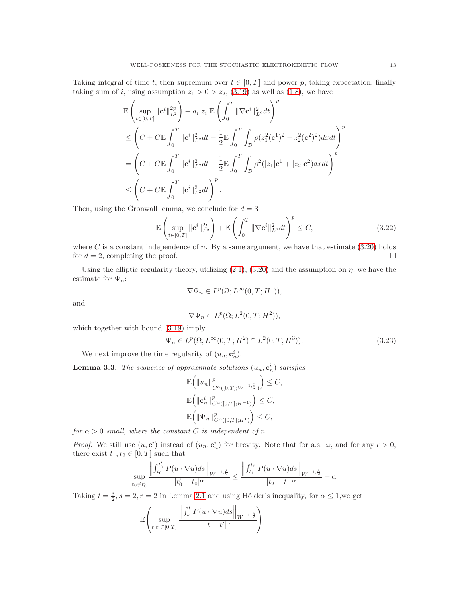Taking integral of time t, then supremum over  $t \in [0, T]$  and power p, taking expectation, finally taking sum of i, using assumption  $z_1 > 0 > z_2$ , [\(3.19\)](#page-11-2) as well as [\(1.8\)](#page-2-0), we have

$$
\mathbb{E}\left(\sup_{t\in[0,T]}\|\mathbf{c}^{i}\|_{L^{2}}^{2p}\right)+a_{i}|z_{i}|\mathbb{E}\left(\int_{0}^{T}\|\nabla\mathbf{c}^{i}\|_{L^{2}}^{2}dt\right)^{p}
$$
\n
$$
\leq \left(C+ C\mathbb{E}\int_{0}^{T}\|\mathbf{c}^{i}\|_{L^{2}}^{2}dt-\frac{1}{2}\mathbb{E}\int_{0}^{T}\int_{\mathcal{D}}\rho(z_{1}^{2}(\mathbf{c}^{1})^{2}-z_{2}^{2}(\mathbf{c}^{2})^{2})dxdt\right)^{p}
$$
\n
$$
=\left(C+ C\mathbb{E}\int_{0}^{T}\|\mathbf{c}^{i}\|_{L^{2}}^{2}dt-\frac{1}{2}\mathbb{E}\int_{0}^{T}\int_{\mathcal{D}}\rho^{2}(|z_{1}|\mathbf{c}^{1}+|z_{2}|\mathbf{c}^{2})dxdt\right)^{p}
$$
\n
$$
\leq \left(C+ C\mathbb{E}\int_{0}^{T}\|\mathbf{c}^{i}\|_{L^{2}}^{2}dt\right)^{p}.
$$

Then, using the Gronwall lemma, we conclude for  $d = 3$ 

$$
\mathbb{E}\left(\sup_{t\in[0,T]}\|\mathbf{c}^i\|_{L^2}^{2p}\right) + \mathbb{E}\left(\int_0^T \|\nabla \mathbf{c}^i\|_{L^2}^2 dt\right)^p \le C,\tag{3.22}
$$

where C is a constant independence of n. By a same argument, we have that estimate  $(3.20)$  holds for  $d = 2$ , completing the proof.

Using the elliptic regularity theory, utilizing  $(2.1)$ ,  $(3.20)$  and the assumption on  $\eta$ , we have the estimate for  $\Psi_n$ :

<span id="page-12-0"></span>
$$
\nabla \Psi_n \in L^p(\Omega; L^\infty(0, T; H^1)),
$$

and

<span id="page-12-1"></span>
$$
\nabla \Psi_n \in L^p(\Omega; L^2(0, T; H^2)),
$$

which together with bound [\(3.19\)](#page-11-2) imply

$$
\Psi_n \in L^p(\Omega; L^\infty(0, T; H^2) \cap L^2(0, T; H^3)).
$$
\n(3.23)

We next improve the time regularity of  $(u_n, \mathbf{c}_n^i)$ .

<span id="page-12-2"></span>**Lemma 3.3.** The sequence of approximate solutions  $(u_n, c_n^i)$  satisfies

$$
\mathbb{E}\left(\left\|u_{n}\right\|_{C^{\alpha}([0,T];W^{-1,\frac{3}{2}})}^{p}\right) \leq C,
$$
  

$$
\mathbb{E}\left(\left\|\mathbf{c}_{n}^{i}\right\|_{C^{\alpha}([0,T];H^{-1})}^{p}\right) \leq C,
$$
  

$$
\mathbb{E}\left(\left\|\Psi_{n}\right\|_{C^{\alpha}([0,T];H^{1})}^{p}\right) \leq C,
$$

*for*  $\alpha > 0$  *small, where the constant* C *is independent of n*.

*Proof.* We still use  $(u, c^i)$  instead of  $(u_n, c^i_n)$  for brevity. Note that for a.s.  $\omega$ , and for any  $\epsilon > 0$ , there exist  $t_1, t_2 \in [0, T]$  such that

$$
\sup_{t_0 \neq t'_0} \frac{\left\| \int_{t_0}^{t'_0} P(u \cdot \nabla u) ds \right\|_{W^{-1, \frac{3}{2}}}}{|t'_0 - t_0|^\alpha} \leq \frac{\left\| \int_{t_1}^{t_2} P(u \cdot \nabla u) ds \right\|_{W^{-1, \frac{3}{2}}}}{|t_2 - t_1|^\alpha} + \epsilon.
$$

Taking  $t = \frac{3}{2}$ ,  $s = 2$ ,  $r = 2$  in Lemma [2.1](#page-3-2) and using Hölder's inequality, for  $\alpha \leq 1$ , we get

$$
\mathbb{E}\left(\sup_{t,t'\in[0,T]}\frac{\left\|\int_{t'}^t P(u\cdot\nabla u)ds\right\|_{W^{-1,\frac{3}{2}}}}{|t-t'|^{\alpha}}\right)
$$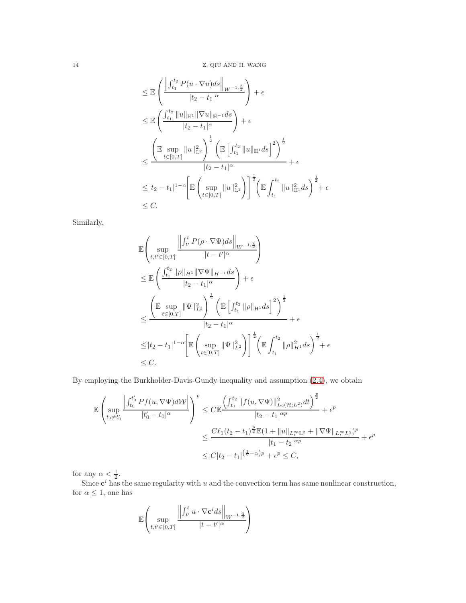$$
\leq \mathbb{E}\left(\frac{\left\|\int_{t_1}^{t_2} P(u \cdot \nabla u) ds\right\|_{W^{-1,\frac{3}{2}}}}{|t_2 - t_1|^\alpha}\right) + \epsilon
$$
\n
$$
\leq \mathbb{E}\left(\frac{\int_{t_1}^{t_2} \|u\|_{\mathbb{H}^1} \|\nabla u\|_{\mathbb{H}^{-1}} ds}{|t_2 - t_1|^\alpha}\right) + \epsilon
$$
\n
$$
\leq \frac{\left(\mathbb{E}\sup_{t \in [0,T]} \|u\|_{\mathbb{L}^2}^2\right)^{\frac{1}{2}} \left(\mathbb{E}\left[\int_{t_1}^{t_2} \|u\|_{\mathbb{H}^1} ds\right]^2\right)^{\frac{1}{2}}}{|t_2 - t_1|^\alpha} + \epsilon
$$
\n
$$
\leq |t_2 - t_1|^{1-\alpha} \left[\mathbb{E}\left(\sup_{t \in [0,T]} \|u\|_{\mathbb{L}^2}^2\right)\right]^{\frac{1}{2}} \left(\mathbb{E}\int_{t_1}^{t_2} \|u\|_{\mathbb{H}^1}^2 ds\right)^{\frac{1}{2}} + \epsilon
$$
\n
$$
\leq C.
$$

Similarly,

$$
\mathbb{E}\left(\sup_{t,t'\in[0,T]}\frac{\left\|\int_{t'}^{t}P(\rho\cdot\nabla\Psi)ds\right\|_{W^{-1,\frac{3}{2}}}}{|t-t'|^{\alpha}}\right)
$$
\n
$$
\leq \mathbb{E}\left(\frac{\int_{t_1}^{t_2} \|\rho\|_{H^1} \|\nabla\Psi\|_{H^{-1}} ds}{|t_2-t_1|^{\alpha}}\right) + \epsilon
$$
\n
$$
\leq \frac{\left(\mathbb{E}\sup_{t\in[0,T]}\|\Psi\|_{L^2}^2\right)^{\frac{1}{2}} \left(\mathbb{E}\left[\int_{t_1}^{t_2} \|\rho\|_{H^1} ds\right]^2\right)^{\frac{1}{2}}}{|t_2-t_1|^{\alpha}} + \epsilon
$$
\n
$$
\leq |t_2-t_1|^{1-\alpha} \left[\mathbb{E}\left(\sup_{t\in[0,T]}\|\Psi\|_{L^2}^2\right)\right]^{\frac{1}{2}} \left(\mathbb{E}\int_{t_1}^{t_2} \|\rho\|_{H^1}^2 ds\right)^{\frac{1}{2}} + \epsilon
$$
\n
$$
\leq C.
$$

By employing the Burkholder-Davis-Gundy inequality and assumption [\(2.4\)](#page-5-0), we obtain

$$
\mathbb{E}\left(\sup_{t_0\neq t'_0}\frac{\left|\int_{t_0}^{t'_0}Pf(u,\nabla\Psi)d\mathcal{W}\right|}{|t'_0-t_0|^\alpha}\right)^p \leq C\mathbb{E}\frac{\left(\int_{t_1}^{t_2}||f(u,\nabla\Psi)||_{L_2(H;L^2)}^2dt\right)^{\frac{p}{2}}}{|t_2-t_1|^{op}} + \epsilon^p
$$
  

$$
\leq \frac{C\ell_1(t_2-t_1)^{\frac{p}{2}}\mathbb{E}(1+\|u\|_{L_t^\infty\mathbb{L}^2}+\|\nabla\Psi\|_{L_t^\infty\mathbb{L}^2})^p}{|t_1-t_2|^{op}} + \epsilon^p
$$
  

$$
\leq C|t_2-t_1|^{(\frac{1}{2}-\alpha)p} + \epsilon^p \leq C,
$$

for any  $\alpha < \frac{1}{2}$ .

Since  $c^i$  has the same regularity with u and the convection term has same nonlinear construction, for  $\alpha\leq 1,$  one has

$$
\mathbb{E}\left(\sup_{t,t'\in[0,T]}\frac{\left\|\int_{t'}^t u\cdot\nabla \mathbf{c}^i ds\right\|_{W^{-1,\frac{3}{2}}}}{|t-t'|^{\alpha}}\right)
$$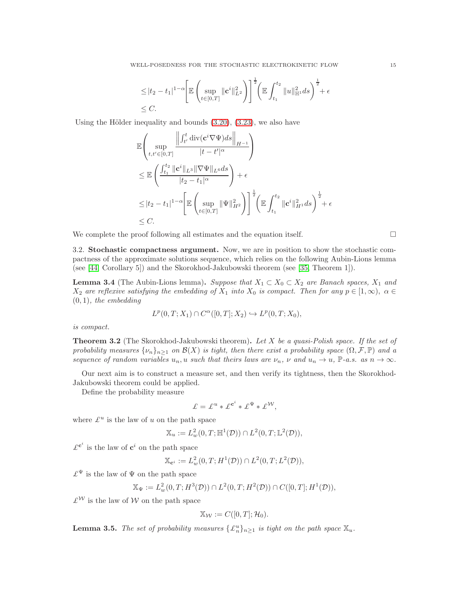$$
\leq |t_2 - t_1|^{1-\alpha} \Biggl[ \mathbb{E} \left( \sup_{t \in [0,T]} \| \mathbf{c}^i \|_{L^2}^2 \right) \Biggr]^{\frac{1}{2}} \Biggl( \mathbb{E} \int_{t_1}^{t_2} \| u \|_{\mathbb{H}^1}^2 ds \Biggr)^{\frac{1}{2}} + \epsilon
$$
  

$$
\leq C.
$$

Using the Hölder inequality and bounds  $(3.20)$ ,  $(3.23)$ , we also have

$$
\mathbb{E}\left(\sup_{t,t'\in[0,T]}\frac{\left\|\int_{t'}^{t}\operatorname{div}(\mathbf{c}^{i}\nabla\Psi)ds\right\|_{H^{-1}}}{|t-t'|^{\alpha}}\right)
$$
\n
$$
\leq \mathbb{E}\left(\frac{\int_{t_1}^{t_2}||\mathbf{c}^{i}||_{L^3}||\nabla\Psi||_{L^6}ds}{|t_2-t_1|^{\alpha}}\right)+\epsilon
$$
\n
$$
\leq |t_2-t_1|^{1-\alpha}\left[\mathbb{E}\left(\sup_{t\in[0,T]}\|\Psi\|_{H^2}^2\right)\right]^{\frac{1}{2}}\left(\mathbb{E}\int_{t_1}^{t_2}\|\mathbf{c}^{i}\|_{H^1}^2ds\right)^{\frac{1}{2}}+\epsilon
$$
\n
$$
\leq C.
$$

We complete the proof following all estimates and the equation itself.  $\Box$ 

3.2. Stochastic compactness argument. Now, we are in position to show the stochastic compactness of the approximate solutions sequence, which relies on the following Aubin-Lions lemma (see [\[44,](#page-41-26) Corollary 5]) and the Skorokhod-Jakubowski theorem (see [\[35,](#page-41-27) Theorem 1]).

<span id="page-14-0"></span>**Lemma 3.4** (The Aubin-Lions lemma). *Suppose that*  $X_1 \subset X_0 \subset X_2$  *are Banach spaces,*  $X_1$  *and*  $X_2$  are reflexive satisfying the embedding of  $X_1$  into  $X_0$  is compact. Then for any  $p \in [1,\infty)$ ,  $\alpha \in$ (0, 1)*, the embedding*

$$
L^p(0,T;X_1) \cap C^{\alpha}([0,T];X_2) \hookrightarrow L^p(0,T;X_0),
$$

*is compact.*

<span id="page-14-2"></span>Theorem 3.2 (The Skorokhod-Jakubowski theorem). *Let* X *be a quasi-Polish space. If the set of probability measures*  $\{\nu_n\}_{n>1}$  *on*  $\mathcal{B}(X)$  *is tight, then there exist a probability space*  $(\Omega, \mathcal{F}, \mathbb{P})$  *and a sequence of random variables*  $u_n, u$  *such that theirs laws are*  $\nu_n, \nu$  *and*  $u_n \to u$ ,  $\mathbb{P}\text{-}a.s.$  *as*  $n \to \infty$ *.* 

Our next aim is to construct a measure set, and then verify its tightness, then the Skorokhod-Jakubowski theorem could be applied.

Define the probability measure

$$
\pounds = \pounds^u * \pounds^{\mathbf{c}^i} * \pounds^{\Psi} * \pounds^{\mathcal{W}},
$$

where  $\mathcal{L}^u$  is the law of u on the path space

$$
\mathbb{X}_u := L^2_w(0,T;\mathbb{H}^1(\mathcal{D})) \cap L^2(0,T;\mathbb{L}^2(\mathcal{D})),
$$

 $\mathcal{L}^{c^i}$  is the law of  $c^i$  on the path space

$$
\mathbb{X}_{\mathbf{c}^i} := L^2_w(0,T;H^1(\mathcal{D})) \cap L^2(0,T;L^2(\mathcal{D})),
$$

 $\mathcal{L}^{\Psi}$  is the law of  $\Psi$  on the path space

$$
\mathbb{X}_{\Psi} := L^2_w(0,T;H^3(\mathcal{D})) \cap L^2(0,T;H^2(\mathcal{D})) \cap C([0,T];H^1(\mathcal{D})),
$$

 $\mathcal{L}^{\mathcal{W}}$  is the law of  $\mathcal{W}$  on the path space

$$
\mathbb{X}_{\mathcal{W}}:=C([0,T];\mathcal{H}_0).
$$

<span id="page-14-1"></span>**Lemma 3.5.** *The set of probability measures*  $\{\mathcal{L}_n^u\}_{n\geq 1}$  *is tight on the path space*  $\mathbb{X}_u$ *.*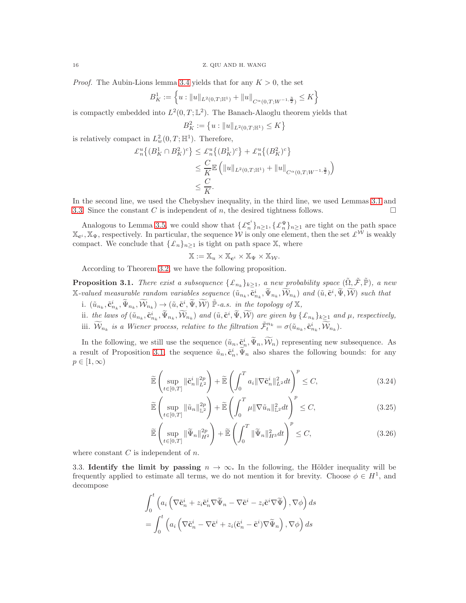*Proof.* The Aubin-Lions lemma [3.4](#page-14-0) yields that for any  $K > 0$ , the set

$$
B_K^1:=\Big\{u: \|u\|_{L^2(0,T;\mathbb{H}^1)}+\|u\|_{C^\alpha(0,T;W^{-1,\frac{3}{2}})}\leq K\Big\}
$$

is compactly embedded into  $L^2(0,T;\mathbb{L}^2)$ . The Banach-Alaoglu theorem yields that

$$
B_K^2 := \left\{ u : \|u\|_{L^2(0,T;\mathbb{H}^1)} \le K \right\}
$$

is relatively compact in  $L^2_w(0,T;\mathbb{H}^1)$ . Therefore,

$$
\mathcal{L}_n^u \left\{ (B_K^1 \cap B_K^2)^c \right\} \leq \mathcal{L}_n^u \left\{ (B_K^1)^c \right\} + \mathcal{L}_n^u \left\{ (B_K^2)^c \right\}
$$
  

$$
\leq \frac{C}{K} \mathbb{E} \left( \|u\|_{L^2(0,T;\mathbb{H}^1)} + \|u\|_{C^{\alpha}(0,T;W^{-1,\frac{3}{2}})} \right)
$$
  

$$
\leq \frac{C}{K}.
$$

In the second line, we used the Chebyshev inequality, in the third line, we used Lemmas [3.1](#page-9-0) and [3.3.](#page-12-2) Since the constant C is independent of n, the desired tightness follows.

Analogous to Lemma [3.5,](#page-14-1) we could show that  $\{\pounds_n^{\mathbf{c}^i}\}_{n\geq 1}, \{\pounds_n^{\Psi}\}_{n\geq 1}$  are tight on the path space  $\mathbb{X}_{c_i}$ ,  $\mathbb{X}_{\Psi}$ , respectively. In particular, the sequence W is only one element, then the set  $\mathcal{L}^{\mathcal{W}}$  is weakly compact. We conclude that  $\{\mathcal{L}_n\}_{n>1}$  is tight on path space X, where

<span id="page-15-2"></span>
$$
\mathbb{X} := \mathbb{X}_u \times \mathbb{X}_{\mathbf{c}^i} \times \mathbb{X}_{\Psi} \times \mathbb{X}_{\mathcal{W}}.
$$

According to Theorem [3.2,](#page-14-2) we have the following proposition.

<span id="page-15-0"></span>**Proposition 3.1.** *There exist a subsequence*  $\{\mathcal{L}_{n_k}\}_{k\geq 1}$ *, a new probability space*  $(\tilde{\Omega}, \tilde{\mathcal{F}}, \tilde{\mathbb{P}})$ *, a new*  $\mathbb{X}\text{-}valued$  measurable random variables sequence  $(\tilde{u}_{n_k}, \tilde{\mathbf{c}}_{n_k}^i, \tilde{\Psi}_{n_k}, \widetilde{W}_{n_k})$  and  $(\tilde{u}, \tilde{\mathbf{c}}^i, \tilde{\Psi}, \widetilde{W})$  such that

- i.  $(\tilde{u}_{n_k}, \tilde{e}_{n_k}^i, \tilde{\Psi}_{n_k}, \widetilde{W}_{n_k}) \rightarrow (\tilde{u}, \tilde{e}^i, \tilde{\Psi}, \widetilde{W}) \; \tilde{\mathbb{P}}$ *-a.s. in the topology of* X,
- ii. the laws of  $(\tilde{u}_{n_k}, \tilde{e}_{n_k}^i, \tilde{\Psi}_{n_k}, \tilde{W}_{n_k})$  and  $(\tilde{u}, \tilde{e}^i, \tilde{\Psi}, \tilde{W})$  are given by  $\{\pounds_{n_k}\}_{k\geq 1}$  and  $\mu$ , respectively, iii.  $\widetilde{\mathcal{W}}_{n_k}$  is a Wiener process, relative to the filtration  $\tilde{\mathcal{F}}_t^{n_k} = \sigma(\tilde{u}_{n_k}, \tilde{\mathbf{c}}_{n_k}^i, \widetilde{\mathcal{W}}_{n_k}).$

In the following, we still use the sequence  $(\tilde{u}_n, \tilde{\mathbf{c}}_n^i, \tilde{\Psi}_n, \tilde{\mathcal{W}}_n)$  representing new subsequence. As a result of Proposition [3.1,](#page-15-0) the sequence  $\tilde{u}_n, \tilde{\mathbf{c}}_n^i, \tilde{\Psi}_n$  also shares the following bounds: for any  $p \in [1,\infty)$ 

$$
\widetilde{\mathbb{E}}\left(\sup_{t\in[0,T]}\|\tilde{\mathbf{c}}_n^i\|_{L^2}^{2p}\right) + \widetilde{\mathbb{E}}\left(\int_0^T a_i \|\nabla \tilde{\mathbf{c}}_n^i\|_{L^2}^2 dt\right)^p \le C,\tag{3.24}
$$

<span id="page-15-3"></span>
$$
\widetilde{\mathbb{E}}\left(\sup_{t\in[0,T]}\|\tilde{u}_n\|_{\mathbb{L}^2}^{2p}\right) + \widetilde{\mathbb{E}}\left(\int_0^T \mu \|\nabla \tilde{u}_n\|_{\mathbb{L}^2}^2 dt\right)^p \le C,\tag{3.25}
$$

<span id="page-15-1"></span>
$$
\widetilde{\mathbb{E}}\left(\sup_{t\in[0,T]}\|\widetilde{\Psi}_n\|_{H^2}^{2p}\right) + \widetilde{\mathbb{E}}\left(\int_0^T\|\widetilde{\Psi}_n\|_{H^3}^2dt\right)^p \le C,\tag{3.26}
$$

where constant  $C$  is independent of  $n$ .

3.3. Identify the limit by passing  $n \to \infty$ . In the following, the Hölder inequality will be frequently applied to estimate all terms, we do not mention it for brevity. Choose  $\phi \in H^1$ , and decompose

$$
\int_0^t \left( a_i \left( \nabla \tilde{\mathbf{c}}_n^i + z_i \tilde{\mathbf{c}}_n^i \nabla \widetilde{\Psi}_n - \nabla \tilde{\mathbf{c}}^i - z_i \tilde{\mathbf{c}}^i \nabla \widetilde{\Psi} \right), \nabla \phi \right) ds
$$
  
= 
$$
\int_0^t \left( a_i \left( \nabla \tilde{\mathbf{c}}_n^i - \nabla \tilde{\mathbf{c}}^i + z_i (\tilde{\mathbf{c}}_n^i - \tilde{\mathbf{c}}^i) \nabla \widetilde{\Psi}_n \right), \nabla \phi \right) ds
$$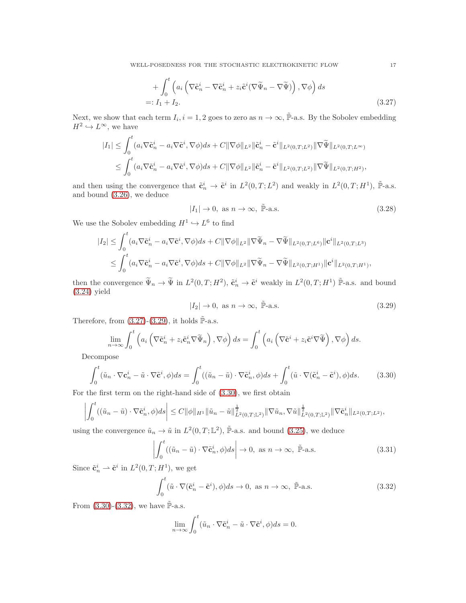WELL-POSEDNESS FOR THE STOCHASTIC ELECTROKINETIC FLOW 17

+ 
$$
\int_0^t \left( a_i \left( \nabla \tilde{\mathbf{c}}_n^i - \nabla \tilde{\mathbf{c}}_n^i + z_i \tilde{\mathbf{c}}^i (\nabla \tilde{\Psi}_n - \nabla \tilde{\Psi}) \right), \nabla \phi \right) ds
$$
  
=:  $I_1 + I_2.$  (3.27)

Next, we show that each term  $I_i$ ,  $i = 1, 2$  goes to zero as  $n \to \infty$ ,  $\tilde{\mathbb{P}}$ -a.s. By the Sobolev embedding  $H^2 \hookrightarrow L^{\infty}$ , we have

$$
|I_1| \leq \int_0^t (a_i \nabla \tilde{\mathbf{c}}_n^i - a_i \nabla \tilde{\mathbf{c}}^i, \nabla \phi) ds + C \|\nabla \phi\|_{L^2} \|\tilde{\mathbf{c}}_n^i - \tilde{\mathbf{c}}^i\|_{L^2(0,T;L^2)} \|\nabla \tilde{\Psi}\|_{L^2(0,T;L^\infty)}
$$
  

$$
\leq \int_0^t (a_i \nabla \tilde{\mathbf{c}}_n^i - a_i \nabla \tilde{\mathbf{c}}^i, \nabla \phi) ds + C \|\nabla \phi\|_{L^2} \|\tilde{\mathbf{c}}_n^i - \tilde{\mathbf{c}}^i\|_{L^2(0,T;L^2)} \|\nabla \tilde{\Psi}\|_{L^2(0,T;H^2)},
$$

and then using the convergence that  $\tilde{\mathbf{c}}_n^i \to \tilde{\mathbf{c}}^i$  in  $L^2(0,T;L^2)$  and weakly in  $L^2(0,T;H^1)$ ,  $\tilde{\mathbb{P}}$ -a.s. and bound [\(3.26\)](#page-15-1), we deduce

<span id="page-16-0"></span>
$$
|I_1| \to 0, \text{ as } n \to \infty, \quad \tilde{\mathbb{P}}\text{-a.s.}
$$
\n
$$
(3.28)
$$

We use the Sobolev embedding  $H^1 \hookrightarrow L^6$  to find

$$
|I_2| \leq \int_0^t (a_i \nabla \tilde{\mathbf{c}}_n^i - a_i \nabla \tilde{\mathbf{c}}^i, \nabla \phi) ds + C \|\nabla \phi\|_{L^2} \|\nabla \tilde{\Psi}_n - \nabla \tilde{\Psi}\|_{L^2(0,T;L^6)} \|\mathbf{c}^i\|_{L^2(0,T;L^3)}
$$
  

$$
\leq \int_0^t (a_i \nabla \tilde{\mathbf{c}}_n^i - a_i \nabla \tilde{\mathbf{c}}^i, \nabla \phi) ds + C \|\nabla \phi\|_{L^2} \|\nabla \tilde{\Psi}_n - \nabla \tilde{\Psi}\|_{L^2(0,T;H^1)} \|\mathbf{c}^i\|_{L^2(0,T;H^1)},
$$

then the convergence  $\tilde{\Psi}_n \to \tilde{\Psi}$  in  $L^2(0,T;H^2)$ ,  $\tilde{\mathbf{c}}_n^i \to \tilde{\mathbf{c}}^i$  weakly in  $L^2(0,T;H^1)$   $\tilde{\mathbb{P}}$ -a.s. and bound [\(3.24\)](#page-15-2) yield

<span id="page-16-2"></span><span id="page-16-1"></span>
$$
|I_2| \to 0, \text{ as } n \to \infty, \quad \tilde{\mathbb{P}}\text{-a.s.}
$$
\n
$$
(3.29)
$$

Therefore, from  $(3.27)-(3.29)$  $(3.27)-(3.29)$ , it holds  $\tilde{\mathbb{P}}$ -a.s.

$$
\lim_{n \to \infty} \int_0^t \left( a_i \left( \nabla \tilde{\mathbf{c}}_n^i + z_i \tilde{\mathbf{c}}_n^i \nabla \tilde{\Psi}_n \right), \nabla \phi \right) ds = \int_0^t \left( a_i \left( \nabla \tilde{\mathbf{c}}^i + z_i \tilde{\mathbf{c}}^i \nabla \tilde{\Psi} \right), \nabla \phi \right) ds.
$$

Decompose

$$
\int_0^t (\tilde{u}_n \cdot \nabla \mathbf{c}_n^i - \tilde{u} \cdot \nabla \tilde{\mathbf{c}}^i, \phi) ds = \int_0^t ((\tilde{u}_n - \tilde{u}) \cdot \nabla \tilde{\mathbf{c}}_n^i, \phi) ds + \int_0^t (\tilde{u} \cdot \nabla (\tilde{\mathbf{c}}_n^i - \tilde{\mathbf{c}}^i), \phi) ds. \tag{3.30}
$$

For the first term on the right-hand side of [\(3.30\)](#page-16-2), we first obtain

$$
\left| \int_0^t ((\tilde{u}_n - \tilde{u}) \cdot \nabla \tilde{\mathbf{c}}_n^i, \phi) ds \right| \leq C \|\phi\|_{H^1} \|\tilde{u}_n - \tilde{u}\|_{L^2(0,T;\mathbb{L}^2)}^{\frac{1}{2}} \|\nabla \tilde{u}_n, \nabla \tilde{u}\|_{L^2(0,T;\mathbb{L}^2)}^{\frac{1}{2}} \|\nabla \tilde{\mathbf{c}}_n^i\|_{L^2(0,T;L^2)},
$$

using the convergence  $\tilde{u}_n \to \tilde{u}$  in  $L^2(0,T;\mathbb{L}^2)$ ,  $\tilde{\mathbb{P}}$ -a.s. and bound [\(3.25\)](#page-15-3), we deduce

$$
\left| \int_0^t ((\tilde{u}_n - \tilde{u}) \cdot \nabla \tilde{\mathbf{c}}_n^i, \phi) ds \right| \to 0, \text{ as } n \to \infty, \tilde{\mathbb{P}}\text{-a.s.}
$$
\n(3.31)

Since  $\tilde{\mathbf{c}}_n^i \rightharpoonup \tilde{\mathbf{c}}^i$  in  $L^2(0,T;H^1)$ , we get

$$
\int_0^t (\tilde{u} \cdot \nabla(\tilde{\mathbf{c}}_n^i - \tilde{\mathbf{c}}^i), \phi) ds \to 0, \text{ as } n \to \infty, \tilde{\mathbb{P}}\text{-a.s.}
$$
\n(3.32)

From  $(3.30)$ - $(3.32)$ , we have P-a.s.

<span id="page-16-3"></span>
$$
\lim_{n \to \infty} \int_0^t (\tilde{u}_n \cdot \nabla \tilde{\mathbf{c}}_n^i - \tilde{u} \cdot \nabla \tilde{\mathbf{c}}^i, \phi) ds = 0.
$$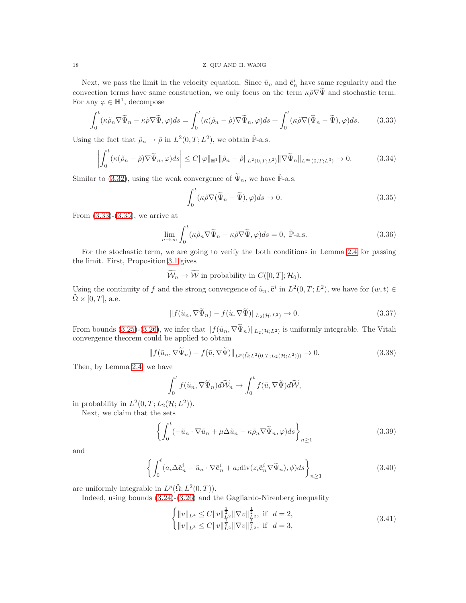Next, we pass the limit in the velocity equation. Since  $\tilde{u}_n$  and  $\tilde{\mathbf{c}}_n^i$  have same regularity and the convection terms have same construction, we only focus on the term  $\kappa \tilde{\rho} \nabla \tilde{\Psi}$  and stochastic term. For any  $\varphi \in \mathbb{H}^1$ , decompose

$$
\int_0^t (\kappa \tilde{\rho}_n \nabla \tilde{\Psi}_n - \kappa \tilde{\rho} \nabla \tilde{\Psi}, \varphi) ds = \int_0^t (\kappa (\tilde{\rho}_n - \tilde{\rho}) \nabla \tilde{\Psi}_n, \varphi) ds + \int_0^t (\kappa \tilde{\rho} \nabla (\tilde{\Psi}_n - \tilde{\Psi}), \varphi) ds. \tag{3.33}
$$

Using the fact that  $\tilde{\rho}_n \to \tilde{\rho}$  in  $L^2(0,T; L^2)$ , we obtain  $\tilde{\mathbb{P}}$ -a.s.

$$
\left| \int_0^t (\kappa(\tilde{\rho}_n - \tilde{\rho}) \nabla \tilde{\Psi}_n, \varphi) ds \right| \le C \|\varphi\|_{\mathbb{H}^1} \|\tilde{\rho}_n - \tilde{\rho}\|_{L^2(0,T;L^2)} \|\nabla \tilde{\Psi}_n\|_{L^\infty(0,T;L^3)} \to 0. \tag{3.34}
$$

Similar to [\(3.32\)](#page-16-3), using the weak convergence of  $\Psi_n$ , we have P-a.s.

<span id="page-17-1"></span><span id="page-17-0"></span>
$$
\int_0^t (\kappa \tilde{\rho} \nabla (\tilde{\Psi}_n - \tilde{\Psi}), \varphi) ds \to 0.
$$
\n(3.35)

From  $(3.33)-(3.35)$  $(3.33)-(3.35)$ , we arrive at

$$
\lim_{n \to \infty} \int_0^t (\kappa \tilde{\rho}_n \nabla \tilde{\Psi}_n - \kappa \tilde{\rho} \nabla \tilde{\Psi}, \varphi) ds = 0, \quad \tilde{\mathbb{P}}\text{-a.s.}
$$
\n(3.36)

For the stochastic term, we are going to verify the both conditions in Lemma [2.4](#page-4-0) for passing the limit. First, Proposition [3.1](#page-15-0) gives

 $\widetilde{\mathcal{W}}_n \to \widetilde{\mathcal{W}}$  in probability in  $C([0, T]; \mathcal{H}_0)$ .

Using the continuity of f and the strong convergence of  $\tilde{u}_n$ ,  $\tilde{\mathbf{c}}^i$  in  $L^2(0,T;L^2)$ , we have for  $(w,t) \in$  $\Omega \times [0, T]$ , a.e.

$$
|| f(\tilde{u}_n, \nabla \tilde{\Psi}_n) - f(\tilde{u}, \nabla \tilde{\Psi}) ||_{L_2(\mathcal{H}; L^2)} \to 0.
$$
\n(3.37)

From bounds [\(3.25\)](#page-15-3)-[\(3.26\)](#page-15-1), we infer that  $|| f(\tilde{u}_n, \nabla \Psi_n) ||_{L_2(\mathcal{H};L^2)}$  is uniformly integrable. The Vitali convergence theorem could be applied to obtain

$$
||f(\tilde{u}_n, \nabla \tilde{\Psi}_n) - f(\tilde{u}, \nabla \tilde{\Psi})||_{L^p(\tilde{\Omega}; L^2(0,T;L_2(\mathcal{H};L^2)))} \to 0. \tag{3.38}
$$

Then, by Lemma [2.4,](#page-4-0) we have

$$
\int_0^t f(\tilde{u}_n, \nabla \widetilde{\Psi}_n) d\widetilde{\mathcal{W}}_n \to \int_0^t f(\tilde{u}, \nabla \widetilde{\Psi}) d\widetilde{\mathcal{W}},
$$

in probability in  $L^2(0,T;L_2(\mathcal{H};L^2)).$ 

Next, we claim that the sets

$$
\left\{ \int_0^t \left( -\tilde{u}_n \cdot \nabla \tilde{u}_n + \mu \Delta \tilde{u}_n - \kappa \tilde{\rho}_n \nabla \tilde{\Psi}_n, \varphi \right) ds \right\}_{n \ge 1} \tag{3.39}
$$

and

$$
\left\{ \int_0^t (a_i \Delta \tilde{\mathbf{c}}_n^i - \tilde{u}_n \cdot \nabla \tilde{\mathbf{c}}_n^i + a_i \operatorname{div}(z_i \tilde{\mathbf{c}}_n^i \nabla \tilde{\Psi}_n), \phi) ds \right\}_{n \ge 1}
$$
(3.40)

<span id="page-17-4"></span><span id="page-17-3"></span><span id="page-17-2"></span>1

are uniformly integrable in  $L^p(\tilde{\Omega}; L^2(0,T)).$ 

Indeed, using bounds [\(3.24\)](#page-15-2)-[\(3.26\)](#page-15-1) and the Gagliardo-Nirenberg inequality

$$
\begin{cases} ||v||_{L^{4}} \leq C ||v||_{L^{2}}^{\frac{1}{2}} ||\nabla v||_{L^{2}}^{\frac{1}{2}}, \text{ if } d = 2, \\ ||v||_{L^{3}} \leq C ||v||_{L^{2}}^{\frac{1}{2}} ||\nabla v||_{L^{2}}^{\frac{1}{2}}, \text{ if } d = 3, \end{cases}
$$
\n(3.41)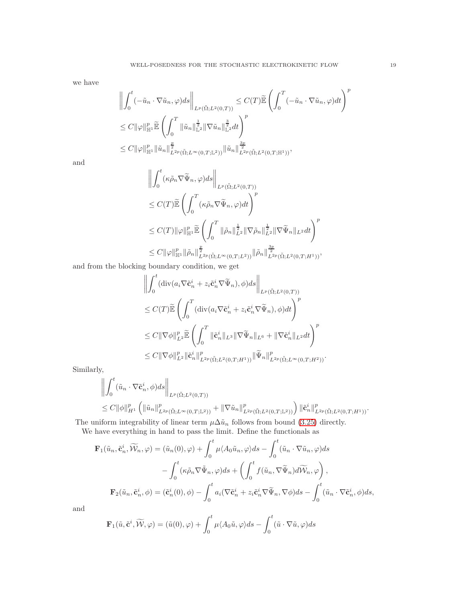we have

$$
\left\| \int_0^t (-\tilde{u}_n \cdot \nabla \tilde{u}_n, \varphi) ds \right\|_{L^p(\tilde{\Omega}; L^2(0,T))} \leq C(T) \tilde{\mathbb{E}} \left( \int_0^T (-\tilde{u}_n \cdot \nabla \tilde{u}_n, \varphi) dt \right)^p
$$
  
\n
$$
\leq C \|\varphi\|_{\mathbb{H}^1}^p \tilde{\mathbb{E}} \left( \int_0^T \|\tilde{u}_n\|_{\mathbb{L}^2}^{\frac{1}{2}} \|\nabla \tilde{u}_n\|_{\mathbb{L}^2}^{\frac{3}{2}} dt \right)^p
$$
  
\n
$$
\leq C \|\varphi\|_{\mathbb{H}^1}^p \|\tilde{u}_n\|_{L^2(p(\tilde{\Omega}; L^\infty(0,T; \mathbb{L}^2))}^{\frac{3}{2}} \|\tilde{u}_n\|_{L^2(p(\tilde{\Omega}; L^2(0,T; \mathbb{H}^1))}^{\frac{3p}{2}},
$$

and

$$
\left\| \int_0^t (\kappa \tilde{\rho}_n \nabla \tilde{\Psi}_n, \varphi) ds \right\|_{L^p(\tilde{\Omega}; L^2(0,T))}
$$
  
\n
$$
\leq C(T) \tilde{\mathbb{E}} \left( \int_0^T (\kappa \tilde{\rho}_n \nabla \tilde{\Psi}_n, \varphi) dt \right)^p
$$
  
\n
$$
\leq C(T) \|\varphi\|_{\mathbb{H}^1}^p \tilde{\mathbb{E}} \left( \int_0^T \|\tilde{\rho}_n\|_{L^2}^{\frac{1}{2}} \|\nabla \tilde{\rho}_n\|_{L^2}^{\frac{1}{2}} \|\nabla \tilde{\Psi}_n\|_{L^2} dt \right)^p
$$
  
\n
$$
\leq C \|\varphi\|_{\mathbb{H}^1}^p \|\tilde{\rho}_n\|_{L^2 p(\tilde{\Omega}; L^\infty(0,T; L^2))}^{\frac{p}{2}} \|\tilde{\rho}_n\|_{L^2 p(\tilde{\Omega}; L^2(0,T; H^1))}^{\frac{3p}{2}},
$$

and from the blocking boundary condition, we get

$$
\left\| \int_0^t (div(a_i \nabla \tilde{\mathbf{c}}_n^i + z_i \tilde{\mathbf{c}}_n^i \nabla \tilde{\Psi}_n), \phi) ds \right\|_{L^p(\tilde{\Omega}; L^2(0,T))}
$$
  
\n
$$
\leq C(T) \widetilde{\mathbb{E}} \left( \int_0^T (div(a_i \nabla \tilde{\mathbf{c}}_n^i + z_i \tilde{\mathbf{c}}_n^i \nabla \tilde{\Psi}_n), \phi) dt \right)^p
$$
  
\n
$$
\leq C \|\nabla \phi\|_{L^2}^p \widetilde{\mathbb{E}} \left( \int_0^T \|\tilde{\mathbf{c}}_n^i\|_{L^3} \|\nabla \tilde{\Psi}_n\|_{L^6} + \|\nabla \tilde{\mathbf{c}}_n^i\|_{L^2} dt \right)^p
$$
  
\n
$$
\leq C \|\nabla \phi\|_{L^2}^p \|\tilde{\mathbf{c}}_n^i\|_{L^2(\tilde{\Omega}; L^2(0,T;H^1))}^p \|\tilde{\Psi}_n\|_{L^2(p(\tilde{\Omega}; L^{\infty}(0,T;H^2))}^p.
$$

Similarly,

$$
\left\| \int_0^t (\tilde{u}_n \cdot \nabla \tilde{\mathbf{c}}_n^i, \phi) ds \right\|_{L^p(\tilde{\Omega}; L^2(0,T))} \n\leq C \|\phi\|_{H^1}^p \left( \|\tilde{u}_n\|_{L^{2p}(\tilde{\Omega}; L^{\infty}(0,T; \mathbb{L}^2))}^p + \|\nabla \tilde{u}_n\|_{L^{2p}(\tilde{\Omega}; L^2(0,T; \mathbb{L}^2))}^p \right) \|\tilde{\mathbf{c}}_n^i\|_{L^{2p}(\tilde{\Omega}; L^2(0,T; H^1))}^p.
$$

The uniform integrability of linear term  $\mu \Delta \tilde{u}_n$  follows from bound [\(3.25\)](#page-15-3) directly.

We have everything in hand to pass the limit. Define the functionals as

$$
\mathbf{F}_{1}(\tilde{u}_{n}, \tilde{\mathbf{c}}_{n}^{i}, \widetilde{\mathcal{W}}_{n}, \varphi) = (\tilde{u}_{n}(0), \varphi) + \int_{0}^{t} \mu \langle A_{0} \tilde{u}_{n}, \varphi \rangle ds - \int_{0}^{t} (\tilde{u}_{n} \cdot \nabla \tilde{u}_{n}, \varphi) ds \n- \int_{0}^{t} (\kappa \tilde{\rho}_{n} \nabla \tilde{\Psi}_{n}, \varphi) ds + \left( \int_{0}^{t} f(\tilde{u}_{n}, \nabla \tilde{\Psi}_{n}) d\widetilde{\mathcal{W}}_{n}, \varphi \right), \n\mathbf{F}_{2}(\tilde{u}_{n}, \tilde{\mathbf{c}}_{n}^{i}, \phi) = (\tilde{\mathbf{c}}_{n}^{i}(0), \phi) - \int_{0}^{t} a_{i}(\nabla \tilde{\mathbf{c}}_{n}^{i} + z_{i} \tilde{\mathbf{c}}_{n}^{i} \nabla \tilde{\Psi}_{n}, \nabla \phi) ds - \int_{0}^{t} (\tilde{u}_{n} \cdot \nabla \tilde{\mathbf{c}}_{n}^{i}, \phi) ds,
$$

and

$$
\mathbf{F}_1(\tilde{u}, \tilde{\mathbf{c}}^i, \widetilde{\mathcal{W}}, \varphi) = (\tilde{u}(0), \varphi) + \int_0^t \mu \langle A_0 \tilde{u}, \varphi \rangle ds - \int_0^t (\tilde{u} \cdot \nabla \tilde{u}, \varphi) ds
$$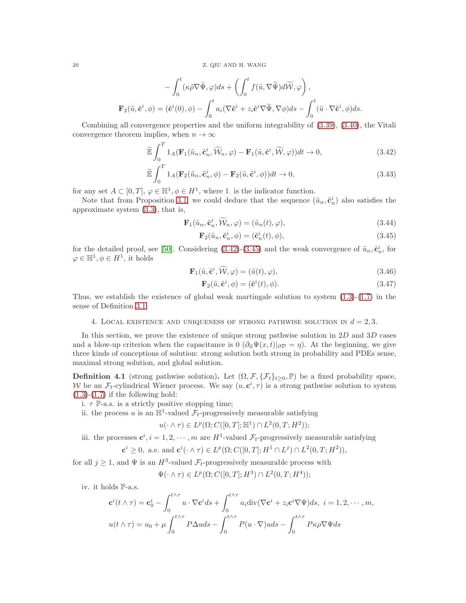$$
-\int_0^t (\kappa \tilde{\rho} \nabla \tilde{\Psi}, \varphi) ds + \left( \int_0^t f(\tilde{u}, \nabla \tilde{\Psi}) d\tilde{\mathcal{W}}, \varphi \right),
$$
  

$$
\mathbf{F}_2(\tilde{u}, \tilde{\mathbf{c}}^i, \phi) = (\tilde{\mathbf{c}}^i(0), \phi) - \int_0^t a_i (\nabla \tilde{\mathbf{c}}^i + z_i \tilde{\mathbf{c}}^i \nabla \tilde{\Psi}, \nabla \phi) ds - \int_0^t (\tilde{u} \cdot \nabla \tilde{\mathbf{c}}^i, \phi) ds.
$$

Combining all convergence properties and the uniform integrability of [\(3.39\)](#page-17-2), [\(3.40\)](#page-17-3), the Vitali convergence theorem implies, when  $n \to \infty$ 

$$
\widetilde{\mathbb{E}} \int_0^T 1_A (\mathbf{F}_1(\widetilde{u}_n, \widetilde{\mathbf{c}}_n^i, \widetilde{\mathcal{W}}_n, \varphi) - \mathbf{F}_1(\widetilde{u}, \widetilde{\mathbf{c}}^i, \widetilde{\mathcal{W}}, \varphi)) dt \to 0, \tag{3.42}
$$

$$
\widetilde{\mathbb{E}} \int_0^T 1_A(\mathbf{F}_2(\tilde{u}_n, \tilde{\mathbf{c}}_n^i, \phi) - \mathbf{F}_2(\tilde{u}, \tilde{\mathbf{c}}^i, \phi))dt \to 0,
$$
\n(3.43)

for any set  $A \subset [0, T], \varphi \in \mathbb{H}^1, \phi \in H^1$ , where 1. is the indicator function.

Note that from Proposition [3.1,](#page-15-0) we could deduce that the sequence  $(\tilde{u}_n, \tilde{\mathbf{c}}_n^i)$  also satisfies the approximate system [\(3.3\)](#page-6-2), that is,

$$
\mathbf{F}_1(\tilde{u}_n, \tilde{\mathbf{c}}_n^i, \widetilde{\mathcal{W}}_n, \varphi) = (\tilde{u}_n(t), \varphi), \tag{3.44}
$$

<span id="page-19-1"></span><span id="page-19-0"></span>
$$
\mathbf{F}_2(\tilde{u}_n, \tilde{\mathbf{c}}_n^i, \phi) = (\tilde{\mathbf{c}}_n^i(t), \phi),\tag{3.45}
$$

for the detailed proof, see [\[50\]](#page-42-2). Considering  $(3.42)-(3.45)$  $(3.42)-(3.45)$  and the weak convergence of  $\tilde{u}_n, \tilde{\mathbf{c}}_n^i$ , for  $\varphi \in \mathbb{H}^1, \phi \in H^1$ , it holds

$$
\mathbf{F}_1(\tilde{u}, \tilde{\mathbf{c}}^i, \widetilde{\mathcal{W}}, \varphi) = (\tilde{u}(t), \varphi), \tag{3.46}
$$

$$
\mathbf{F}_2(\tilde{u}, \tilde{\mathbf{c}}^i, \phi) = (\tilde{\mathbf{c}}^i(t), \phi). \tag{3.47}
$$

Thus, we establish the existence of global weak martingale solution to system  $(1.3)-(1.7)$  $(1.3)-(1.7)$  in the sense of Definition [3.1.](#page-5-2)

## 4. LOCAL EXISTENCE AND UNIQUENESS OF STRONG PATHWISE SOLUTION IN  $d = 2, 3$ .

In this section, we prove the existence of unique strong pathwise solution in  $2D$  and  $3D$  cases and a blow-up criterion when the capacitance is 0  $(\partial_{\vec{n}}\Psi(x,t)|_{\partial\mathcal{D}}=\eta)$ . At the beginning, we give three kinds of conceptions of solution: strong solution both strong in probability and PDEs sense, maximal strong solution, and global solution.

<span id="page-19-2"></span>**Definition 4.1** (strong pathwise solution). Let  $(\Omega, \mathcal{F}, \{\mathcal{F}_t\}_{t\geq0}, \mathbb{P})$  be a fixed probability space, W be an  $\mathcal{F}_t$ -cylindrical Wiener process. We say  $(u, \mathbf{c}^i, \tau)$  is a strong pathwise solution to system  $(1.3)-(1.7)$  $(1.3)-(1.7)$  $(1.3)-(1.7)$  if the following hold:

i.  $\tau$  P-a.s. is a strictly positive stopping time;

ii. the process u is an  $\mathbb{H}^1$ -valued  $\mathcal{F}_t$ -progressively measurable satisfying

$$
u(\cdot \wedge \tau) \in L^p(\Omega; C([0, T]; \mathbb{H}^1) \cap L^2(0, T; H^2));
$$

iii. the processes  $\mathbf{c}^i, i = 1, 2, \cdots, m$  are  $H^1$ -valued  $\mathcal{F}_t$ -progressively measurable satisfying  ${\bf c}^{i} \geq 0$ , a.e. and  ${\bf c}^{i}(\cdot \wedge \tau) \in L^{p}(\Omega; C([0,T]; H^{1} \cap L^{j}) \cap L^{2}(0,T; H^{2})),$ 

for all  $j \geq 1$ , and  $\Psi$  is an  $H^3$ -valued  $\mathcal{F}_t$ -progressively measurable process with

$$
\Psi(\cdot \wedge \tau) \in L^p(\Omega; C([0,T];H^3) \cap L^2(0,T;H^4));
$$

iv. it holds P-a.s.

$$
\mathbf{c}^{i}(t \wedge \tau) = \mathbf{c}_{0}^{i} - \int_{0}^{t \wedge \tau} u \cdot \nabla \mathbf{c}^{i} ds + \int_{0}^{t \wedge \tau} a_{i} \operatorname{div}(\nabla \mathbf{c}^{i} + z_{i} \mathbf{c}^{i} \nabla \Psi) ds, \ i = 1, 2, \cdots, m,
$$

$$
u(t \wedge \tau) = u_{0} + \mu \int_{0}^{t \wedge \tau} P \Delta u ds - \int_{0}^{t \wedge \tau} P(u \cdot \nabla) u ds - \int_{0}^{t \wedge \tau} P \kappa \rho \nabla \Psi ds
$$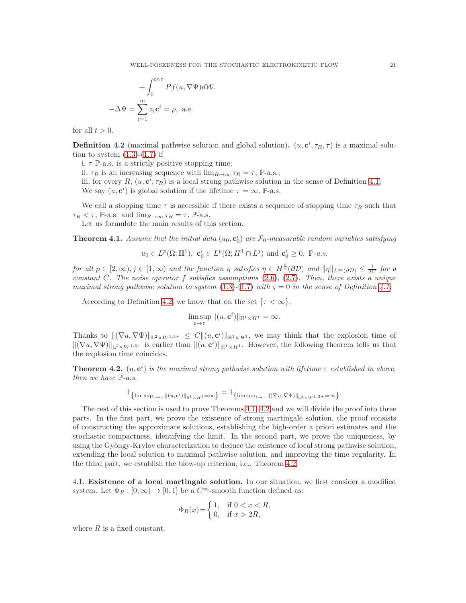$$
+\int_0^{t\wedge\tau} Pf(u,\nabla\Psi)dW,
$$
  

$$
-\Delta\Psi = \sum_{i=1}^m z_i \mathbf{c}^i = \rho, \text{ a.e.}
$$

for all  $t > 0$ .

<span id="page-20-0"></span>**Definition 4.2** (maximal pathwise solution and global solution).  $(u, \mathbf{c}^i, \tau_R, \tau)$  is a maximal solution to system  $(1.3)-(1.7)$  $(1.3)-(1.7)$  if

i.  $\tau$  P-a.s. is a strictly positive stopping time;

ii.  $\tau_R$  is an increasing sequence with  $\lim_{R\to\infty} \tau_R = \tau$ , P-a.s.;

iii. for every R,  $(u, \mathbf{c}^i, \tau_R)$  is a local strong pathwise solution in the sense of Definition [4.1;](#page-19-2) We say  $(u, \mathbf{c}^i)$  is global solution if the lifetime  $\tau = \infty$ , P-a.s.

We call a stopping time  $\tau$  is accessible if there exists a sequence of stopping time  $\tau_R$  such that  $\tau_R < \tau$ , P-a.s. and  $\lim_{R\to\infty} \tau_R = \tau$ , P-a.s.

Let us formulate the main results of this section.

<span id="page-20-1"></span>**Theorem 4.1.** Assume that the initial data  $(u_0, \mathbf{c}_0^i)$  are  $\mathcal{F}_0$ -measurable random variables satisfying

$$
u_0 \in L^p(\Omega; \mathbb{H}^1), \ \mathbf{c}_0^i \in L^p(\Omega; H^1 \cap L^j) \ \text{and} \ \mathbf{c}_0^i \geq 0, \ \mathbb{P}\text{-}a.s.
$$

*for all*  $p \in [2,\infty), j \in [1,\infty)$  *and the function*  $\eta$  *satisfies*  $\eta \in H^{\frac{5}{2}}(\partial \mathcal{D})$  *and*  $\|\eta\|_{L^{\infty}(\partial \mathcal{D})} \leq \frac{1}{2C}$  *for a constant* C*. The noise operator* f *satisfies assumptions* [\(2.6\)](#page-5-3)*,* [\(2.7\)](#page-5-4)*. Then, there exists a unique maximal strong pathwise solution to system*  $(1.3)-(1.7)$  $(1.3)-(1.7)$  $(1.3)-(1.7)$  *with*  $\varsigma = 0$  *in the sense of Definition [4.1.](#page-19-2)* 

According to Definition [4.2,](#page-20-0) we know that on the set  $\{\tau < \infty\},\$ 

$$
\limsup_{t\to\tau} \|(u,\mathbf{c}^i)\|_{\mathbb{H}^1\times H^1} = \infty.
$$

Thanks to  $\|(\nabla u, \nabla \Psi)\|_{\mathbb{L}^2 \times W^{1,3+}} \leq C \|u, \mathbf{c}^i\|_{\mathbb{H}^1 \times H^1}$ , we may think that the explosion time of  $\|(\nabla u, \nabla \Psi)\|_{\mathbb{L}^2 \times W^{1,3+}}$  is earlier than  $\|(u, \mathbf{c}^i)\|_{\mathbb{H}^1 \times H^1}$ . However, the following theorem tells us that the explosion time coincides.

<span id="page-20-2"></span>**Theorem 4.2.**  $(u, c^i)$  is the maximal strong pathwise solution with lifetime  $\tau$  established in above, *then we have* P*-a.s.*

$$
\mathbf{1}_{\left\{\limsup_{t\to\tau}\|(u,\mathbf{c}^i)\|_{\mathbb{H}^1\times H^1}=\infty\right\}}=\mathbf{1}_{\left\{\limsup_{t\to\tau}\|(\nabla u,\nabla\Psi)\|_{\mathbb{L}^2\times W^{1,3+}}=\infty\right\}}.
$$

The rest of this section is used to prove Theorems [4.1,](#page-20-1) [4.2](#page-20-2) and we will divide the proof into three parts. In the first part, we prove the existence of strong martingale solution, the proof consists of constructing the approximate solutions, establishing the high-order a priori estimates and the stochastic compactness, identifying the limit. In the second part, we prove the uniqueness, by using the Gyöngy-Krylov characterization to deduce the existence of local strong pathwise solution, extending the local solution to maximal pathwise solution, and improving the time regularity. In the third part, we establish the blow-up criterion, i.e., Theorem [4.2.](#page-20-2)

4.1. Existence of a local martingale solution. In our situation, we first consider a modified system. Let  $\Phi_R : [0, \infty) \to [0, 1]$  be a  $C^{\infty}$ -smooth function defined as:

$$
\Phi_R(x) = \begin{cases} 1, & \text{if } 0 < x < R, \\ 0, & \text{if } x > 2R, \end{cases}
$$

where  $R$  is a fixed constant.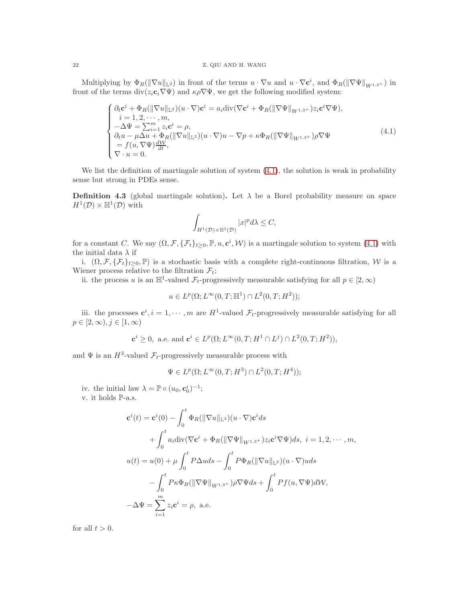## 22 Z. QIU AND H. WANG

Multiplying by  $\Phi_R(\|\nabla u\|_{\mathbb{L}^2})$  in front of the terms  $u \cdot \nabla u$  and  $u \cdot \nabla c^i$ , and  $\Phi_R(\|\nabla \Psi\|_{W^{1,3+}})$  in front of the terms  $\text{div}(z_i \mathbf{c}_i \nabla \Psi)$  and  $\kappa \rho \nabla \Psi$ , we get the following modified system:

<span id="page-21-0"></span>
$$
\begin{cases}\n\partial_t \mathbf{c}^i + \Phi_R(\|\nabla u\|_{\mathbb{L}^2})(u \cdot \nabla) \mathbf{c}^i = a_i \text{div}(\nabla \mathbf{c}^i + \Phi_R(\|\nabla \Psi\|_{W^{1,3+}}) z_i \mathbf{c}^i \nabla \Psi), \\
i = 1, 2, \cdots, m, \\
-\Delta \Psi = \sum_{i=1}^m z_i \mathbf{c}^i = \rho, \\
\partial_t u - \mu \Delta u + \Phi_R(\|\nabla u\|_{\mathbb{L}^2})(u \cdot \nabla)u - \nabla p + \kappa \Phi_R(\|\nabla \Psi\|_{W^{1,3+}}) \rho \nabla \Psi \\
= f(u, \nabla \Psi) \frac{d\mathcal{W}}{dt}, \\
\nabla \cdot u = 0.\n\end{cases} \tag{4.1}
$$

We list the definition of martingale solution of system  $(4.1)$ , the solution is weak in probability sense but strong in PDEs sense.

<span id="page-21-1"></span>**Definition 4.3** (global martingale solution). Let  $\lambda$  be a Borel probability measure on space  $H^1(\mathcal{D}) \times \mathbb{H}^1(\mathcal{D})$  with

$$
\int_{H^1(\mathcal{D})\times\mathbb{H}^1(\mathcal{D})} |x|^p d\lambda \leq C,
$$

for a constant C. We say  $(\Omega, \mathcal{F}, \{\mathcal{F}_t\}_{t\geq0}, \mathbb{P}, u, \mathbf{c}^i, \mathcal{W})$  is a martingale solution to system  $(4.1)$  with the initial data  $\lambda$  if

i.  $(\Omega, \mathcal{F}, \{\mathcal{F}_t\}_{t\geq 0}, \mathbb{P})$  is a stochastic basis with a complete right-continuous filtration, W is a Wiener process relative to the filtration  $\mathcal{F}_t$ ;

ii. the process u is an  $\mathbb{H}^1$ -valued  $\mathcal{F}_t$ -progressively measurable satisfying for all  $p \in [2, \infty)$ 

$$
u \in L^p(\Omega; L^{\infty}(0,T;\mathbb{H}^1) \cap L^2(0,T;H^2));
$$

iii. the processes  $c^i$ ,  $i = 1, \dots, m$  are  $H^1$ -valued  $\mathcal{F}_t$ -progressively measurable satisfying for all  $p \in [2,\infty), j \in [1,\infty)$ 

$$
\mathbf{c}^i \ge 0
$$
, a.e. and  $\mathbf{c}^i \in L^p(\Omega; L^\infty(0,T; H^1 \cap L^j) \cap L^2(0,T; H^2)),$ 

and  $\Psi$  is an  $H^3$ -valued  $\mathcal{F}_t$ -progressively measurable process with

$$
\Psi \in L^p(\Omega; L^\infty(0,T;H^3) \cap L^2(0,T;H^4));
$$

iv. the initial law  $\lambda = \mathbb{P} \circ (u_0, \mathbf{c}_0^i)^{-1};$ v. it holds P-a.s.

$$
\mathbf{c}^{i}(t) = \mathbf{c}^{i}(0) - \int_{0}^{t} \Phi_{R}(\|\nabla u\|_{\mathbb{L}^{2}})(u \cdot \nabla)\mathbf{c}^{i} ds
$$
  
+ 
$$
\int_{0}^{t} a_{i} \operatorname{div}(\nabla \mathbf{c}^{i} + \Phi_{R}(\|\nabla \Psi\|_{W^{1,3+}})z_{i} \mathbf{c}^{i} \nabla \Psi) ds, \ i = 1, 2, \cdots, m,
$$
  

$$
u(t) = u(0) + \mu \int_{0}^{t} P \Delta u ds - \int_{0}^{t} P \Phi_{R}(\|\nabla u\|_{\mathbb{L}^{2}})(u \cdot \nabla) u ds
$$
  

$$
- \int_{0}^{t} P \kappa \Phi_{R}(\|\nabla \Psi\|_{W^{1,3+}}) \rho \nabla \Psi ds + \int_{0}^{t} P f(u, \nabla \Psi) dW,
$$
  

$$
- \Delta \Psi = \sum_{i=1}^{m} z_{i} \mathbf{c}^{i} = \rho, \ \text{a.e.}
$$

for all  $t > 0$ .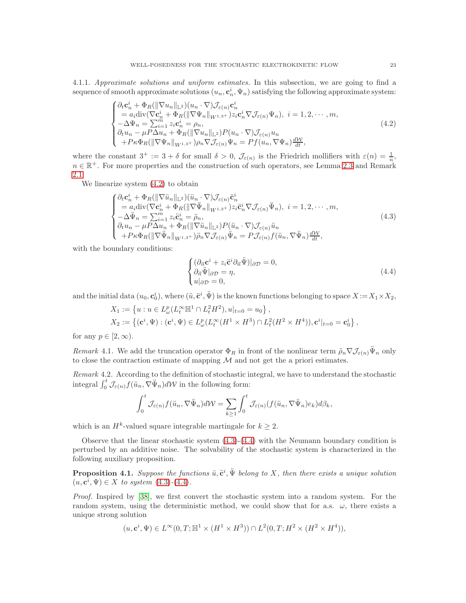4.1.1. *Approximate solutions and uniform estimates.* In this subsection, we are going to find a sequence of smooth approximate solutions  $(u_n, \mathbf{c}_n^i, \Psi_n)$  satisfying the following approximate system:

<span id="page-22-0"></span>
$$
\begin{cases}\n\partial_t \mathbf{c}_n^i + \Phi_R(\|\nabla u_n\|_{\mathbb{L}^2})(u_n \cdot \nabla) \mathcal{J}_{\varepsilon(n)} \mathbf{c}_n^i \\
= a_i \text{div}(\nabla \mathbf{c}_n^i + \Phi_R(\|\nabla \Psi_n\|_{W^{1,3+}}) z_i \mathbf{c}_n^i \nabla \mathcal{J}_{\varepsilon(n)} \Psi_n), \ i = 1, 2, \cdots, m, \\
-\Delta \Psi_n = \sum_{i=1}^m z_i \mathbf{c}_n^i = \rho_n, \\
\partial_t u_n - \mu P \Delta u_n + \Phi_R(\|\nabla u_n\|_{\mathbb{L}^2}) P(u_n \cdot \nabla) \mathcal{J}_{\varepsilon(n)} u_n \\
+ P_K \Phi_R(\|\nabla \Psi_n\|_{W^{1,3+}}) \rho_n \nabla \mathcal{J}_{\varepsilon(n)} \Psi_n = P f(u_n, \nabla \Psi_n) \frac{d\mathcal{W}}{dt},\n\end{cases} \tag{4.2}
$$

where the constant  $3^+ := 3 + \delta$  for small  $\delta > 0$ ,  $\mathcal{J}_{\epsilon(n)}$  is the Friedrich mollifiers with  $\epsilon(n) = \frac{1}{n}$ ,  $n \in \mathbb{R}^+$ . For more properties and the construction of such operators, see Lemma [2.3](#page-3-3) and Remark [2.1.](#page-4-1)

We linearize system [\(4.2\)](#page-22-0) to obtain

<span id="page-22-1"></span>
$$
\begin{cases}\n\partial_t \mathbf{c}_n^i + \Phi_R(\|\nabla \ddot{u}_n\|_{\mathbb{L}^2})(\ddot{u}_n \cdot \nabla) \mathcal{J}_{\varepsilon(n)} \ddot{\mathbf{c}}_n^i \\
= a_i \text{div}(\nabla \mathbf{c}_n^i + \Phi_R(\|\nabla \ddot{\Psi}_n\|_{W^{1,3+}}) z_i \ddot{\mathbf{c}}_n^i \nabla \mathcal{J}_{\varepsilon(n)} \ddot{\Psi}_n), \ i = 1, 2, \cdots, m, \\
-\Delta \ddot{\Psi}_n = \sum_{i=1}^m z_i \ddot{\mathbf{c}}_n^i = \ddot{\rho}_n, \\
\partial_t u_n - \mu P \Delta u_n + \Phi_R(\|\nabla \ddot{u}_n\|_{\mathbb{L}^2}) P(\ddot{u}_n \cdot \nabla) \mathcal{J}_{\varepsilon(n)} \ddot{u}_n \\
+ P_K \Phi_R(\|\nabla \ddot{\Psi}_n\|_{W^{1,3+}}) \ddot{\rho}_n \nabla \mathcal{J}_{\varepsilon(n)} \ddot{\Psi}_n = P \mathcal{J}_{\varepsilon(n)} f(\ddot{u}_n, \nabla \ddot{\Psi}_n) \frac{d\mathcal{W}}{dt},\n\end{cases} \tag{4.3}
$$

with the boundary conditions:

<span id="page-22-2"></span>
$$
\begin{cases} (\partial_{\vec{n}} \mathbf{c}^i + z_i \ddot{\mathbf{c}}^i \partial_{\vec{n}} \ddot{\Psi})|_{\partial \mathcal{D}} = 0, \\ \partial_{\vec{n}} \ddot{\Psi}|_{\partial \mathcal{D}} = \eta, \\ u|_{\partial \mathcal{D}} = 0, \end{cases} \tag{4.4}
$$

and the initial data  $(u_0, \mathbf{c}_0^i)$ , where  $(\ddot{u}, \ddot{\mathbf{c}}^i, \ddot{\Psi})$  is the known functions belonging to space  $X := X_1 \times X_2$ ,

$$
X_1 := \left\{ u : u \in L^p_\omega(L^\infty_t \mathbb{H}^1 \cap L^2_t H^2), u|_{t=0} = u_0 \right\},
$$
  
\n
$$
X_2 := \left\{ (\mathbf{c}^i, \Psi) : (\mathbf{c}^i, \Psi) \in L^p_\omega(L^\infty_t (H^1 \times H^3) \cap L^2_t (H^2 \times H^4)), \mathbf{c}^i|_{t=0} = \mathbf{c}^i_0 \right\},
$$

for any  $p \in [2, \infty)$ .

*Remark* 4.1. We add the truncation operator  $\Phi_R$  in front of the nonlinear term  $\ddot{\rho}_n \nabla \mathcal{J}_{\varepsilon(n)} \Psi_n$  only to close the contraction estimate of mapping  $\mathcal M$  and not get the a priori estimates.

*Remark* 4.2*.* According to the definition of stochastic integral, we have to understand the stochastic integral  $\int_0^t \mathcal{J}_{\varepsilon(n)} f(\ddot{u}_n, \nabla \ddot{\Psi}_n) d\mathcal{W}$  in the following form:

$$
\int_0^t \mathcal{J}_{\varepsilon(n)} f(\ddot{u}_n, \nabla \ddot{\Psi}_n) d\mathcal{W} = \sum_{k \ge 1} \int_0^t \mathcal{J}_{\varepsilon(n)}(f(\ddot{u}_n, \nabla \ddot{\Psi}_n) e_k) d\beta_k,
$$

which is an  $H^k$ -valued square integrable martingale for  $k \geq 2$ .

Observe that the linear stochastic system  $(4.3)-(4.4)$  $(4.3)-(4.4)$  with the Neumann boundary condition is perturbed by an additive noise. The solvability of the stochastic system is characterized in the following auxiliary proposition.

<span id="page-22-3"></span>**Proposition 4.1.** Suppose the functions  $\ddot{u}, \ddot{\mathbf{c}}^i, \ddot{\Psi}$  belong to X, then there exists a unique solution  $(u, \mathbf{c}^i, \Psi) \in X$  *to system* [\(4.3\)](#page-22-1)-[\(4.4\)](#page-22-2)*.* 

*Proof.* Inspired by [\[38\]](#page-41-28), we first convert the stochastic system into a random system. For the random system, using the deterministic method, we could show that for a.s.  $\omega$ , there exists a unique strong solution

$$
(u, \mathbf{c}^i, \Psi) \in L^{\infty}(0, T; \mathbb{H}^1 \times (H^1 \times H^3)) \cap L^2(0, T; H^2 \times (H^2 \times H^4)),
$$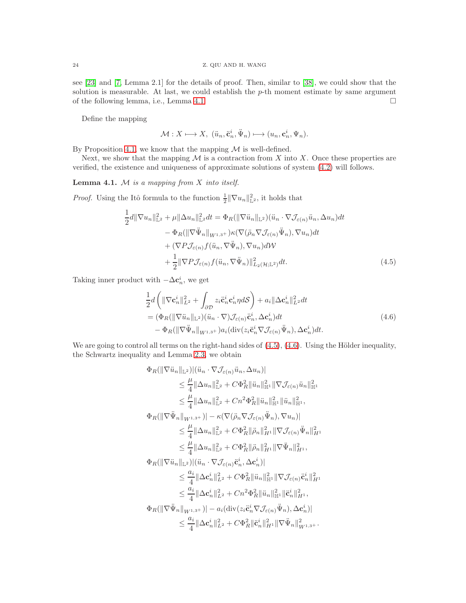see [\[23\]](#page-41-29) and [\[7,](#page-40-1) Lemma 2.1] for the details of proof. Then, similar to [\[38\]](#page-41-28), we could show that the solution is measurable. At last, we could establish the  $p$ -th moment estimate by same argument of the following lemma, i.e., Lemma [4.1.](#page-23-0)

Define the mapping

$$
\mathcal{M}: X \longmapsto X, \; (\ddot{u}_n, \ddot{\mathbf{c}}_n^i, \ddot{\Psi}_n) \longmapsto (u_n, \mathbf{c}_n^i, \Psi_n).
$$

By Proposition [4.1,](#page-22-3) we know that the mapping  $\mathcal M$  is well-defined.

Next, we show that the mapping  $\mathcal M$  is a contraction from X into X. Once these properties are verified, the existence and uniqueness of approximate solutions of system [\(4.2\)](#page-22-0) will follows.

<span id="page-23-0"></span>Lemma 4.1. M *is a mapping from* X *into itself.*

*Proof.* Using the Itô formula to the function  $\frac{1}{2} \|\nabla u_n\|_{\mathbb{L}^2}^2$ , it holds that

$$
\frac{1}{2}d\|\nabla u_n\|_{\mathbb{L}^2}^2 + \mu\|\Delta u_n\|_{\mathbb{L}^2}^2 dt = \Phi_R(\|\nabla \ddot{u}_n\|_{\mathbb{L}^2})(\ddot{u}_n \cdot \nabla \mathcal{J}_{\varepsilon(n)}\ddot{u}_n, \Delta u_n)dt \n- \Phi_R(\|\nabla \ddot{\Psi}_n\|_{W^{1,3+}}) \kappa(\nabla(\ddot{\rho}_n \nabla \mathcal{J}_{\varepsilon(n)}\ddot{\Psi}_n), \nabla u_n)dt \n+ (\nabla P \mathcal{J}_{\varepsilon(n)} f(\ddot{u}_n, \nabla \ddot{\Psi}_n), \nabla u_n) d\mathcal{W} \n+ \frac{1}{2}\|\nabla P \mathcal{J}_{\varepsilon(n)} f(\ddot{u}_n, \nabla \ddot{\Psi}_n)\|_{L_2(\mathcal{H};\mathbb{L}^2)}^2 dt.
$$
\n(4.5)

Taking inner product with  $-\Delta \mathbf{c}_n^i$ , we get

<span id="page-23-2"></span><span id="page-23-1"></span>
$$
\frac{1}{2}d\left(\|\nabla \mathbf{c}_{n}^{i}\|_{L^{2}}^{2} + \int_{\partial \mathcal{D}} z_{i} \ddot{\mathbf{c}}_{n}^{i} \mathbf{c}_{n}^{i} \eta d\mathcal{S}\right) + a_{i} \|\Delta \mathbf{c}_{n}^{i}\|_{L^{2}}^{2} dt \n= (\Phi_{R}(\|\nabla \ddot{u}_{n}\|_{L^{2}})(\ddot{u}_{n} \cdot \nabla) \mathcal{J}_{\varepsilon(n)} \ddot{\mathbf{c}}_{n}^{i}, \Delta \mathbf{c}_{n}^{i}) dt \n- \Phi_{R}(\|\nabla \ddot{\Psi}_{n}\|_{W^{1,3+}}) a_{i} (\text{div}(z_{i} \ddot{\mathbf{c}}_{n}^{i} \nabla \mathcal{J}_{\varepsilon(n)} \ddot{\Psi}_{n}), \Delta \mathbf{c}_{n}^{i}) dt.
$$
\n(4.6)

We are going to control all terms on the right-hand sides of  $(4.5)$ ,  $(4.6)$ . Using the Hölder inequality, the Schwartz inequality and Lemma [2.3,](#page-3-3) we obtain

$$
\Phi_R(||\nabla \ddot{u}_n||_{\mathbb{L}^2}) |(\ddot{u}_n \cdot \nabla \mathcal{J}_{\varepsilon(n)} \ddot{u}_n, \Delta u_n)|
$$
\n
$$
\leq \frac{\mu}{4} ||\Delta u_n||_{\mathbb{L}^2}^2 + C\Phi_R^2 ||\ddot{u}_n||_{\mathbb{H}^1}^2 ||\nabla \mathcal{J}_{\varepsilon(n)} \ddot{u}_n||_{\mathbb{H}^1}^2
$$
\n
$$
\leq \frac{\mu}{4} ||\Delta u_n||_{\mathbb{L}^2}^2 + Cn^2 \Phi_R^2 ||\ddot{u}_n||_{\mathbb{H}^1}^2 ||\ddot{u}_n||_{\mathbb{H}^1}^2,
$$
\n
$$
\Phi_R(||\nabla \ddot{\Psi}_n||_{W^{1,3+}}) - \kappa (\nabla (\ddot{\rho}_n \nabla \mathcal{J}_{\varepsilon(n)} \ddot{\Psi}_n), \nabla u_n)|
$$
\n
$$
\leq \frac{\mu}{4} ||\Delta u_n||_{\mathbb{L}^2}^2 + C\Phi_R^2 ||\ddot{\rho}_n||_{H^1}^2 ||\nabla \mathcal{J}_{\varepsilon(n)} \ddot{\Psi}_n||_{H^1}^2
$$
\n
$$
\leq \frac{\mu}{4} ||\Delta u_n||_{\mathbb{L}^2}^2 + C\Phi_R^2 ||\ddot{\rho}_n||_{H^1}^2 ||\nabla \ddot{\Psi}_n||_{H^1}^2,
$$
\n
$$
\Phi_R(||\nabla \ddot{u}_n||_{\mathbb{L}^2}) |(\ddot{u}_n \cdot \nabla \mathcal{J}_{\varepsilon(n)} \ddot{\mathbf{c}}^i_n, \Delta \mathbf{c}^i_n)|
$$
\n
$$
\leq \frac{a_i}{4} ||\Delta \mathbf{c}^i_n||_{L^2}^2 + C\Phi_R^2 ||\ddot{u}_n||_{\mathbb{H}^1}^2 ||\nabla \mathcal{J}_{\varepsilon(n)} \ddot{\mathbf{c}}^i_n||_{H^1}^2
$$
\n
$$
\leq \frac{a_i}{4} ||\Delta \mathbf{c}^i_n||_{L^2}^2 + Cn^2 \Phi_R^2 ||\ddot{u}_n||_{\
$$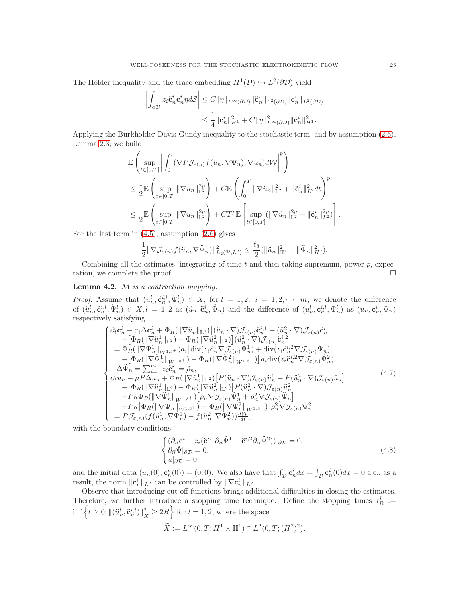The Hölder inequality and the trace embedding  $H^1(\mathcal{D}) \hookrightarrow L^2(\partial \mathcal{D})$  yield

$$
\left| \int_{\partial \mathcal{D}} z_i \ddot{\mathbf{c}}_n^i \mathbf{c}_n^i \eta d\mathcal{S} \right| \leq C \|\eta\|_{L^{\infty}(\partial \mathcal{D})} \|\ddot{\mathbf{c}}_n^i\|_{L^2(\partial \mathcal{D})} \|\mathbf{c}_n^i\|_{L^2(\partial \mathcal{D})}
$$
  

$$
\leq \frac{1}{4} \|\mathbf{c}_n^i\|_{H^1}^2 + C \|\eta\|_{L^{\infty}(\partial \mathcal{D})}^2 \|\ddot{\mathbf{c}}_n^i\|_{H^1}^2.
$$

Applying the Burkholder-Davis-Gundy inequality to the stochastic term, and by assumption [\(2.6\)](#page-5-3), Lemma [2.3,](#page-3-3) we build

$$
\mathbb{E}\left(\sup_{t\in[0,T]}\left|\int_0^t (\nabla P\mathcal{J}_{\varepsilon(n)}f(\ddot{u}_n, \nabla\ddot{\Psi}_n), \nabla u_n)d\mathcal{W}\right|^p\right) \n\leq \frac{1}{2}\mathbb{E}\left(\sup_{t\in[0,T]}\|\nabla u_n\|_{\mathbb{L}^2}^{2p}\right) + C\mathbb{E}\left(\int_0^T \|\nabla\ddot{u}_n\|_{\mathbb{L}^2}^2 + \|\ddot{\mathbf{c}}_n^i\|_{L^2}^2 dt\right)^p \n\leq \frac{1}{2}\mathbb{E}\left(\sup_{t\in[0,T]}\|\nabla u_n\|_{\mathbb{L}^2}^{2p}\right) + CT^p\mathbb{E}\left[\sup_{t\in[0,T]}\left(\|\nabla\ddot{u}_n\|_{\mathbb{L}^2}^{2p} + \|\ddot{\mathbf{c}}_n^i\|_{L^2}^{2p}\right)\right].
$$

For the last term in  $(4.5)$ , assumption  $(2.6)$  gives

$$
\frac{1}{2} \|\nabla \mathcal{J}_{\varepsilon(n)} f(\ddot{u}_n, \nabla \ddot{\Psi}_n)\|_{L_2(\mathcal{H};L^2)}^2 \leq \frac{\ell_3}{2} (\|\ddot{u}_n\|_{\mathbb{H}^1}^2 + \|\ddot{\Psi}_n\|_{H^2}^2).
$$

Combining all the estimates, integrating of time t and then taking supremum, power  $p$ , expectation, we complete the proof.

# Lemma 4.2. M *is a contraction mapping.*

*Proof.* Assume that  $(\ddot{u}_n^l, \ddot{v}_n^i, \ddot{\Psi}_n^l) \in X$ , for  $l = 1, 2, i = 1, 2, \cdots, m$ , we denote the difference of  $(\ddot{u}_n^l, \ddot{\mathbf{c}}_n^{i,l}, \ddot{\Psi}_n^l) \in X, l = 1, 2$  as  $(\ddot{u}_n, \ddot{\mathbf{c}}_n^i, \ddot{\Psi}_n)$  and the difference of  $(u_n^l, \mathbf{c}_n^{i,l}, \Psi_n^l)$  as  $(u_n, \mathbf{c}_n^i, \Psi_n)$ respectively satisfying

<span id="page-24-0"></span>
$$
\begin{cases}\n\partial_t \mathbf{c}_n^i - a_i \Delta \mathbf{c}_n^i + \Phi_R(\|\nabla \ddot{u}_n^1\|_{\mathbb{L}^2}) \left[ (\ddot{u}_n \cdot \nabla) \mathcal{J}_{\varepsilon(n)} \ddot{\mathbf{c}}_n^{i,1} + (\ddot{u}_n^2 \cdot \nabla) \mathcal{J}_{\varepsilon(n)} \ddot{\mathbf{c}}_n^{i}\right] \\
+ \left[ \Phi_R(\|\nabla \ddot{u}_n^1\|_{\mathbb{L}^2}) - \Phi_R(\|\nabla \ddot{u}_n^2\|_{\mathbb{L}^2}) \right] (\ddot{u}_n^2 \cdot \nabla) \mathcal{J}_{\varepsilon(n)} \ddot{\mathbf{c}}_n^{i,2} \\
= \Phi_R(\|\nabla \ddot{\Psi}_n^1\|_{W^{1,3+}}) a_i \left[ \operatorname{div}(z_i \ddot{\mathbf{c}}_n^i \nabla \mathcal{J}_{\varepsilon(n)} \ddot{\Psi}_n^1) + \operatorname{div}(z_i \ddot{\mathbf{c}}_n^{i,2} \nabla \mathcal{J}_{\varepsilon(n)} \ddot{\Psi}_n) \right] \\
+ \left[ \Phi_R(\|\nabla \ddot{\Psi}_n^1\|_{W^{1,3+}}) - \Phi_R(\|\nabla \ddot{\Psi}_n^2\|_{W^{1,3+}}) \right] a_i \operatorname{div}(z_i \ddot{\mathbf{c}}_n^{i,2} \nabla \mathcal{J}_{\varepsilon(n)} \ddot{\Psi}_n^2), \\
-\Delta \ddot{\Psi}_n = \sum_{i=1}^m z_i \ddot{\mathbf{c}}_n^i = \ddot{\rho}_n, \\
\partial_t u_n - \mu P \Delta u_n + \Phi_R(\|\nabla \ddot{u}_n^1\|_{\mathbb{L}^2}) \left[ P(\ddot{u}_n \cdot \nabla) \mathcal{J}_{\varepsilon(n)} \ddot{u}_n^1 + P(\ddot{u}_n^2 \cdot \nabla) \mathcal{J}_{\varepsilon(n)} \ddot{u}_n \right] \\
+ \left[ \Phi_R(\|\nabla \ddot{u}_n^1\|_{\mathbb{L}^2}) - \Phi_R(\|\nabla \ddot{u}_n^2\|_{\mathbb{L}^2}) \right] P(\ddot{u}_n^2 \cdot
$$

with the boundary conditions:

$$
\begin{cases} (\partial_{\vec{n}} \mathbf{c}^i + z_i (\ddot{\mathbf{c}}^{i,1} \partial_{\vec{n}} \ddot{\Psi}^1 - \ddot{\mathbf{c}}^{i,2} \partial_{\vec{n}} \ddot{\Psi}^2)) |_{\partial \mathcal{D}} = 0, \\ \partial_{\vec{n}} \ddot{\Psi} |_{\partial \mathcal{D}} = 0, \\ u |_{\partial \mathcal{D}} = 0, \end{cases} \tag{4.8}
$$

and the initial data  $(u_n(0), \mathbf{c}_n^i(0)) = (0, 0)$ . We also have that  $\int_{\mathcal{D}} \mathbf{c}_n^i dx = \int_{\mathcal{D}} \mathbf{c}_n^i(0) dx = 0$  a.e., as a result, the norm  $\|\mathbf{c}_n^i\|_{L^2}$  can be controlled by  $\|\nabla \mathbf{c}_n^i\|_{L^2}$ .

Observe that introducing cut-off functions brings additional difficulties in closing the estimates. Therefore, we further introduce a stopping time technique. Define the stopping times  $\tau_R^l :=$  $\inf \{ t \geq 0; ||(\ddot{u}_n^l, \ddot{\mathbf{c}}_n^{i,l})||_{\widetilde{X}}^2 \geq 2R \}$  for  $l = 1, 2$ , where the space

$$
\widetilde{X}:=L^\infty(0,T;H^1\times \mathbb H^1)\cap L^2(0,T;(H^2)^2).
$$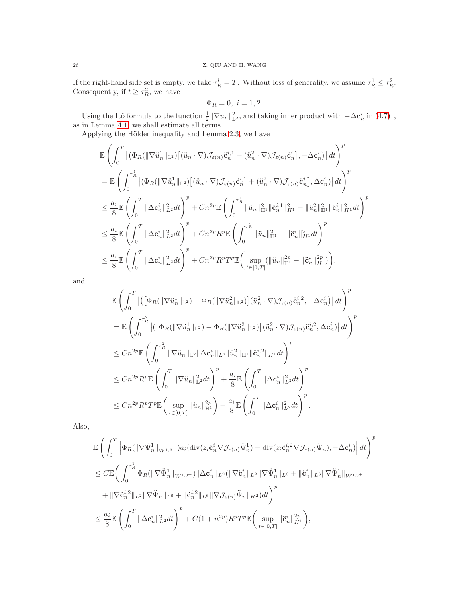# 26 Z. QIU AND H. WANG

If the right-hand side set is empty, we take  $\tau_R^l = T$ . Without loss of generality, we assume  $\tau_R^1 \leq \tau_R^2$ . Consequently, if  $t \geq \tau_R^2$ , we have

$$
\Phi_R = 0, \ i = 1, 2.
$$

Using the Itô formula to the function  $\frac{1}{2} \|\nabla u_n\|_{\mathbb{L}^2}^2$ , and taking inner product with  $-\Delta \mathbf{c}_n^i$  in  $(4.7)_1$ , as in Lemma [4.1,](#page-23-0) we shall estimate all terms.

Applying the Hölder inequality and Lemma [2.3,](#page-3-3) we have

$$
\begin{split} &\mathbb{E}\left(\int_{0}^{T}\left|\left(\Phi_{R}(\|\nabla\ddot{u}_{n}^{1}\|_{\mathbb{L}^{2}})\left[(\ddot{u}_{n}\cdot\nabla)\mathcal{J}_{\varepsilon(n)}\ddot{\mathbf{c}}_{n}^{i,1}+(\ddot{u}_{n}^{2}\cdot\nabla)\mathcal{J}_{\varepsilon(n)}\ddot{\mathbf{c}}_{n}^{i}\right],-\Delta\mathbf{c}_{n}^{i}\right|\right|dt\right)^{p}\\ &=\mathbb{E}\left(\int_{0}^{\tau_{R}^{1}}\left|\left(\Phi_{R}(\|\nabla\ddot{u}_{n}^{1}\|_{\mathbb{L}^{2}})\left[(\ddot{u}_{n}\cdot\nabla)\mathcal{J}_{\varepsilon(n)}\ddot{\mathbf{c}}_{n}^{i,1}+(\ddot{u}_{n}^{2}\cdot\nabla)\mathcal{J}_{\varepsilon(n)}\ddot{\mathbf{c}}_{n}^{i}\right],\Delta\mathbf{c}_{n}^{i}\right|\right|dt\right)^{p}\\ &\leq\frac{a_{i}}{8}\mathbb{E}\left(\int_{0}^{T}\|\Delta\mathbf{c}_{n}^{i}\|_{L^{2}}^{2}dt\right)^{p}+Cn^{2p}\mathbb{E}\left(\int_{0}^{\tau_{R}^{1}}\|\ddot{u}_{n}\|_{\mathbb{H}^{1}}^{2}\|\ddot{\mathbf{c}}_{n}^{i,1}\|_{H^{1}}^{2}+\|\ddot{u}_{n}^{2}\|_{\mathbb{H}^{1}}^{2}\|\ddot{\mathbf{c}}_{n}^{i}\|_{H^{1}}^{2}dt\right)^{p}\\ &\leq\frac{a_{i}}{8}\mathbb{E}\left(\int_{0}^{T}\|\Delta\mathbf{c}_{n}^{i}\|_{L^{2}}^{2}dt\right)^{p}+Cn^{2p}R^{p}\mathbb{E}\left(\int_{0}^{\tau_{R}^{1}}\|\ddot{u}_{n}\|_{\mathbb{H}^{1}}^{2}+\|\ddot{\mathbf{c}}_{n}^{i}\|_{H^{1}}^{2}dt\right)^{p}\\ &\leq\frac{a_{i}}{8}\mathbb{E}\left(\int_{0}^{T}\|\Delta\mathbf{c}_{n}^{i}\|_{L^{2}}^{2}dt\right)^{p}+Cn^{2p}R^{p}T^{p}\mathbb{E}\left(\sup_{t\in[
$$

and

$$
\mathbb{E}\left(\int_{0}^{T}\left|\left(\left[\Phi_{R}(\|\nabla\ddot{u}_{n}^{1}\|_{\mathbb{L}^{2}})-\Phi_{R}(\|\nabla\ddot{u}_{n}^{2}\|_{\mathbb{L}^{2}})\right](\ddot{u}_{n}^{2}\cdot\nabla)\mathcal{J}_{\varepsilon(n)}\ddot{\mathbf{c}}_{n}^{i,2},-\Delta\mathbf{c}_{n}^{i}\right|\right)dt\right)^{p}
$$
\n
$$
=\mathbb{E}\left(\int_{0}^{\tau_{R}^{2}}\left|\left(\left[\Phi_{R}(\|\nabla\ddot{u}_{n}^{1}\|_{\mathbb{L}^{2}})-\Phi_{R}(\|\nabla\ddot{u}_{n}^{2}\|_{\mathbb{L}^{2}})\right](\ddot{u}_{n}^{2}\cdot\nabla)\mathcal{J}_{\varepsilon(n)}\ddot{\mathbf{c}}_{n}^{i,2},\Delta\mathbf{c}_{n}^{i}\right|\right)dt\right)^{p}
$$
\n
$$
\leq Cn^{2p}\mathbb{E}\left(\int_{0}^{\tau_{R}^{2}}\|\nabla\ddot{u}_{n}\|_{\mathbb{L}^{2}}\|\Delta\mathbf{c}_{n}^{i}\|_{L^{2}}\|\ddot{u}_{n}^{2}\|_{\mathbb{H}^{1}}\|\ddot{\mathbf{c}}_{n}^{i,2}\|_{H^{1}}dt\right)^{p}
$$
\n
$$
\leq Cn^{2p}R^{p}\mathbb{E}\left(\int_{0}^{T}\|\nabla\ddot{u}_{n}\|_{\mathbb{L}^{2}}^{2}dt\right)^{p}+\frac{a_{i}}{8}\mathbb{E}\left(\int_{0}^{T}\|\Delta\mathbf{c}_{n}^{i}\|_{L^{2}}^{2}dt\right)^{p}
$$
\n
$$
\leq Cn^{2p}R^{p}T^{p}\mathbb{E}\left(\sup_{t\in[0,T]}\|\ddot{u}_{n}\|_{\mathbb{H}^{1}}^{2p}\right)+\frac{a_{i}}{8}\mathbb{E}\left(\int_{0}^{T}\|\Delta\mathbf{c}_{n}^{i}\|_{L^{2}}^{2}dt\right)^{p}.
$$

Also,

$$
\begin{split} &\mathbb{E}\left(\int_{0}^{T}\left|\Phi_{R}(\|\nabla\ddot{\Psi}_{n}^{1}\|_{W^{1,3}}+)a_{i}(\operatorname{div}(z_{i}\ddot{\mathbf{c}}_{n}^{i}\nabla\mathcal{J}_{\varepsilon(n)}\ddot{\Psi}_{n}^{1})+\operatorname{div}(z_{i}\ddot{\mathbf{c}}_{n}^{i,2}\nabla\mathcal{J}_{\varepsilon(n)}\ddot{\Psi}_{n}),-\Delta\mathbf{c}_{n}^{i}\right|dt\right)^{p} \\ &\leq C\mathbb{E}\bigg(\int_{0}^{\tau_{R}^{1}}\Phi_{R}(\|\nabla\ddot{\Psi}_{n}^{1}\|_{W^{1,3}}+\|\Delta\mathbf{c}_{n}^{i}\|_{L^{2}}(\|\nabla\ddot{\mathbf{c}}_{n}^{i}\|_{L^{2}}\|\nabla\ddot{\Psi}_{n}^{1}\|_{L^{6}}+\|\ddot{\mathbf{c}}_{n}^{i}\|_{L^{6}}\|\nabla\ddot{\Psi}_{n}^{1}\|_{W^{1,3}}+\\ &+\|\nabla\ddot{\mathbf{c}}_{n}^{i,2}\|_{L^{2}}\|\nabla\ddot{\Psi}_{n}\|_{L^{6}}+\|\ddot{\mathbf{c}}_{n}^{i,2}\|_{L^{6}}\|\nabla\mathcal{J}_{\varepsilon(n)}\ddot{\Psi}_{n}\|_{H^{2}})dt\bigg)^{p} \\ &\leq \frac{a_{i}}{8}\mathbb{E}\left(\int_{0}^{T}\|\Delta\mathbf{c}_{n}^{i}\|_{L^{2}}^{2}dt\right)^{p}+C(1+n^{2p})R^{p}T^{p}\mathbb{E}\bigg(\sup_{t\in[0,T]}\|\ddot{\mathbf{c}}_{n}^{i}\|_{H^{1}}^{2p}\bigg),\end{split}
$$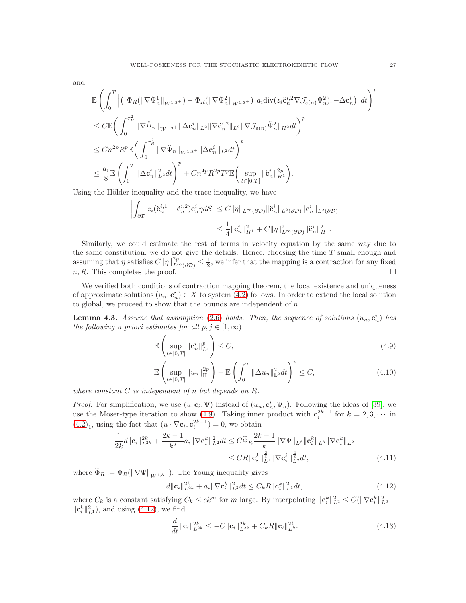and

$$
\begin{split} &\mathbb{E}\left(\int_{0}^{T}\left|\left(\left[\Phi_{R}(\|\nabla\ddot{\Psi}_{n}^{1}\|_{W^{1,3^{+}}})-\Phi_{R}(\|\nabla\ddot{\Psi}_{n}^{2}\|_{W^{1,3^{+}}})\right]a_{i}\mathrm{div}(z_{i}\ddot{\mathbf{c}}_{n}^{i,2}\nabla\mathcal{J}_{\varepsilon(n)}\ddot{\Psi}_{n}^{2}),-\Delta\mathbf{c}_{n}^{i}\right)\right|dt\right)^{p} \\ &\leq C\mathbb{E}\bigg(\int_{0}^{\tau_{R}^{2}}\|\nabla\ddot{\Psi}_{n}\|_{W^{1,3^{+}}}\|\Delta\mathbf{c}_{n}^{i}\|_{L^{2}}\|\nabla\ddot{\mathbf{c}}_{n}^{i,2}\|_{L^{2}}\|\nabla\mathcal{J}_{\varepsilon(n)}\ddot{\Psi}_{n}^{2}\|_{H^{2}}dt\bigg)^{p} \\ &\leq Cn^{2p}R^{p}\mathbb{E}\bigg(\int_{0}^{\tau_{R}^{2}}\|\nabla\ddot{\Psi}_{n}\|_{W^{1,3^{+}}}\|\Delta\mathbf{c}_{n}^{i}\|_{L^{2}}dt\bigg)^{p} \\ &\leq \frac{a_{i}}{8}\mathbb{E}\left(\int_{0}^{T}\|\Delta\mathbf{c}_{n}^{i}\|_{L^{2}}^{2}dt\right)^{p}+Cn^{4p}R^{2p}T^{p}\mathbb{E}\bigg(\sup_{t\in[0,T]}\|\ddot{\mathbf{c}}_{n}^{i}\|_{H^{1}}^{2p}\bigg). \end{split}
$$

Using the Hölder inequality and the trace inequality, we have

$$
\left| \int_{\partial \mathcal{D}} z_i (\ddot{\mathbf{c}}_n^{i,1} - \ddot{\mathbf{c}}_n^{i,2}) \mathbf{c}_n^i \eta d\mathcal{S} \right| \leq C \| \eta \|_{L^{\infty}(\partial \mathcal{D})} \| \ddot{\mathbf{c}}_n^i \|_{L^2(\partial \mathcal{D})} \| \mathbf{c}_n^i \|_{L^2(\partial \mathcal{D})}
$$
  

$$
\leq \frac{1}{4} \| \mathbf{c}_n^i \|_{H^1}^2 + C \| \eta \|_{L^{\infty}(\partial \mathcal{D})}^2 \| \ddot{\mathbf{c}}_n^i \|_{H^1}^2.
$$

Similarly, we could estimate the rest of terms in velocity equation by the same way due to the same constitution, we do not give the details. Hence, choosing the time  $T$  small enough and assuming that  $\eta$  satisfies  $C\|\eta\|_{L^{\infty}(\partial\mathcal{D})}^{2p} \leq \frac{1}{2}$ , we infer that the mapping is a contraction for any fixed  $n, R$ . This completes the proof.

We verified both conditions of contraction mapping theorem, the local existence and uniqueness of approximate solutions  $(u_n, c_n^i) \in X$  to system [\(4.2\)](#page-22-0) follows. In order to extend the local solution to global, we proceed to show that the bounds are independent of  $n$ .

<span id="page-26-4"></span>**Lemma 4.3.** Assume that assumption [\(2.6\)](#page-5-3) holds. Then, the sequence of solutions  $(u_n, c_n^i)$  has *the following a priori estimates for all*  $p, j \in [1, \infty)$ 

<span id="page-26-0"></span>
$$
\mathbb{E}\left(\sup_{t\in[0,T]}\|\mathbf{c}_n^i\|_{L^j}^p\right)\leq C,\tag{4.9}
$$

$$
\mathbb{E}\left(\sup_{t\in[0,T]}\|u_n\|_{\mathbb{H}^1}^{2p}\right) + \mathbb{E}\left(\int_0^T \|\Delta u_n\|_{\mathbb{L}^2}^2 dt\right)^p \le C,\tag{4.10}
$$

*where constant* C *is independent of* n *but depends on* R*.*

*Proof.* For simplification, we use  $(u, \mathbf{c}_i, \Psi)$  instead of  $(u_n, \mathbf{c}_n^i, \Psi_n)$ . Following the ideas of [\[39\]](#page-41-21), we *n* root. For simplification, we use  $(u, c_i, \Psi)$  instead of  $(u_n, c_n, \Psi_n)$ . Following the ideas of [59], we use the Moser-type iteration to show [\(4.9\)](#page-26-0). Taking inner product with  $c_i^{2k-1}$  for  $k = 2, 3, \cdots$  in  $(4.2)_1$  $(4.2)_1$ , using the fact that  $(u \cdot \nabla \mathbf{c}_i, \mathbf{c}_i^{2k-1}) = 0$ , we obtain

$$
\frac{1}{2k}d\|\mathbf{c}_{i}\|_{L^{2k}}^{2k} + \frac{2k-1}{k^{2}}a_{i}\|\nabla\mathbf{c}_{i}^{k}\|_{L^{2}}^{2}dt \leq C\widetilde{\Phi}_{R}\frac{2k-1}{k}\|\nabla\Psi\|_{L^{6}}\|\mathbf{c}_{i}^{k}\|_{L^{3}}\|\nabla\mathbf{c}_{i}^{k}\|_{L^{2}}\n\leq C R\|\mathbf{c}_{i}^{k}\|_{L^{2}}^{\frac{2}{3}}\|\nabla\mathbf{c}_{i}^{k}\|_{L^{2}}^{\frac{4}{3}}dt,
$$
\n(4.11)

where  $\widetilde{\Phi}_R := \Phi_R(\|\nabla\Psi\|_{W^{1,3+}})$ . The Young inequality gives

<span id="page-26-3"></span>
$$
d||\mathbf{c}_i||_{L^{2k}}^{2k} + a_i||\nabla \mathbf{c}_i^k||_{L^2}^2 dt \le C_k R||\mathbf{c}_i^k||_{L^1}^2 dt,
$$
\n(4.12)

where  $C_k$  is a constant satisfying  $C_k \le ck^m$  for m large. By interpolating  $\|\mathbf{c}_i^k\|_{L^2}^2 \le C(\|\nabla \mathbf{c}_i^k\|_{L^2}^2 +$  $\|\mathbf{c}_i^k\|_{L^1}^2$ , and using [\(4.12\)](#page-26-1), we find

<span id="page-26-2"></span><span id="page-26-1"></span>
$$
\frac{d}{dt} \|\mathbf{c}_i\|_{L^{2k}}^{2k} \le -C \|\mathbf{c}_i\|_{L^{2k}}^{2k} + C_k R \|\mathbf{c}_i\|_{L^k}^{2k}.\tag{4.13}
$$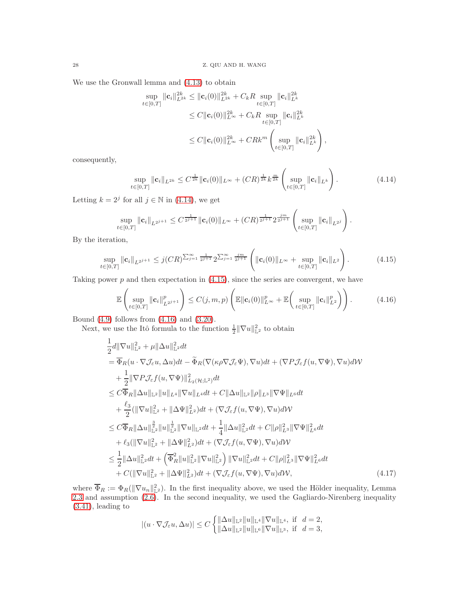We use the Gronwall lemma and [\(4.13\)](#page-26-2) to obtain

$$
\sup_{t \in [0,T]} \|\mathbf{c}_i\|_{L^{2k}}^{2k} \leq \|\mathbf{c}_i(0)\|_{L^{2k}}^{2k} + C_k R \sup_{t \in [0,T]} \|\mathbf{c}_i\|_{L^k}^{2k} \n\leq C \|\mathbf{c}_i(0)\|_{L^{\infty}}^{2k} + C_k R \sup_{t \in [0,T]} \|\mathbf{c}_i\|_{L^k}^{2k} \n\leq C \|\mathbf{c}_i(0)\|_{L^{\infty}}^{2k} + C R k^m \left( \sup_{t \in [0,T]} \|\mathbf{c}_i\|_{L^k}^{2k} \right),
$$

consequently,

<span id="page-27-1"></span><span id="page-27-0"></span>
$$
\sup_{t\in[0,T]}\|\mathbf{c}_{i}\|_{L^{2k}}\leq C^{\frac{1}{2k}}\|\mathbf{c}_{i}(0)\|_{L^{\infty}}+(CR)^{\frac{1}{2k}}k^{\frac{m}{2k}}\left(\sup_{t\in[0,T]}\|\mathbf{c}_{i}\|_{L^{k}}\right).
$$
\n(4.14)

Letting  $k = 2^j$  for all  $j \in \mathbb{N}$  in [\(4.14\)](#page-27-0), we get

$$
\sup_{t\in[0,T]}\|\mathbf{c}_{i}\|_{L^{2^{j+1}}}\leq C^{\frac{1}{2^{j+1}}}\|\mathbf{c}_{i}(0)\|_{L^{\infty}}+(CR)^{\frac{1}{2^{j+1}}}2^{\frac{jm}{2^{j+1}}}\left(\sup_{t\in[0,T]}\|\mathbf{c}_{i}\|_{L^{2^{j}}}\right).
$$

By the iteration,

$$
\sup_{t\in[0,T]}\|\mathbf{c}_{i}\|_{L^{2^{j+1}}} \leq j(CR)^{\sum_{j=1}^{\infty}\frac{1}{2^{j+1}}}\,2^{\sum_{j=1}^{\infty}\frac{j^{m}}{2^{j+1}}}\left(\|\mathbf{c}_{i}(0)\|_{L^{\infty}}+\sup_{t\in[0,T]}\|\mathbf{c}_{i}\|_{L^{2}}\right). \tag{4.15}
$$

Taking power  $p$  and then expectation in  $(4.15)$ , since the series are convergent, we have

<span id="page-27-2"></span>
$$
\mathbb{E}\left(\sup_{t\in[0,T]}\|\mathbf{c}_i\|_{L^{2^{j+1}}}^p\right)\leq C(j,m,p)\left(\mathbb{E}\|\mathbf{c}_i(0)\|_{L^\infty}^p+\mathbb{E}\left(\sup_{t\in[0,T]}\|\mathbf{c}_i\|_{L^2}^p\right)\right).
$$
(4.16)

Bound [\(4.9\)](#page-26-0) follows from [\(4.16\)](#page-27-2) and [\(3.20\)](#page-11-3).

Next, we use the Itô formula to the function  $\frac{1}{2} \|\nabla u\|_{\mathbb{L}^2}^2$  to obtain

$$
\frac{1}{2}d\|\nabla u\|_{\mathbb{L}^{2}}^{2} + \mu\|\Delta u\|_{\mathbb{L}^{2}}^{2}dt \n= \overline{\Phi}_{R}(u \cdot \nabla \mathcal{J}_{\varepsilon}u, \Delta u)dt - \widetilde{\Phi}_{R}(\nabla(\kappa \rho \nabla \mathcal{J}_{\varepsilon}\Psi), \nabla u)dt + (\nabla P\mathcal{J}_{\varepsilon}f(u, \nabla \Psi), \nabla u)dW \n+ \frac{1}{2}\|\nabla P\mathcal{J}_{\varepsilon}f(u, \nabla \Psi)\|_{L_{2}(\mathcal{H};\mathbb{L}^{2})}^{2}dt \n\leq C\overline{\Phi}_{R}\|\Delta u\|_{\mathbb{L}^{2}}\|u\|_{L^{4}}\|\nabla u\|_{L^{4}}dt + C\|\Delta u\|_{\mathbb{L}^{2}}\|\rho\|_{L^{3}}\|\nabla \Psi\|_{L^{6}}dt \n+ \frac{\ell_{3}}{2}(\|\nabla u\|_{\mathbb{L}^{2}}^{2} + \|\Delta \Psi\|_{L^{2}}^{2})dt + (\nabla \mathcal{J}_{\varepsilon}f(u, \nabla \Psi), \nabla u)dW \n\leq C\overline{\Phi}_{R}\|\Delta u\|_{\mathbb{L}^{2}}^{\frac{3}{2}}\|u\|_{\mathbb{L}^{2}}^{\frac{1}{2}}\|\nabla u\|_{\mathbb{L}^{2}}dt + \frac{1}{4}\|\Delta u\|_{\mathbb{L}^{2}}^{2}dt + C\|\rho\|_{L^{3}}^{2}\|\nabla \Psi\|_{L^{6}}^{2}dt \n+ \ell_{3}(\|\nabla u\|_{\mathbb{L}^{2}}^{2} + \|\Delta \Psi\|_{L^{2}}^{2})dt + (\nabla \mathcal{J}_{\varepsilon}f(u, \nabla \Psi), \nabla u)dW \n\leq \frac{1}{2}\|\Delta u\|_{\mathbb{L}^{2}}^{2}dt + (\overline{\Phi}_{R}^{2}\|u\|_{\mathbb{L}^{2}}^{2}\|\nabla u\|_{\mathbb{L}^{2}}^{2}) + C(\|\rho\|_{L^{3}}^{2}\|\nabla \Psi\|_{L^{6}}^{2}dt \n+ C(\|\nab
$$

where  $\overline{\Phi}_R := \Phi_R(\|\nabla u_n\|_{\mathbb{L}^2}^2)$ . In the first inequality above, we used the Hölder inequality, Lemma [2.3](#page-3-3) and assumption [\(2.6\)](#page-5-3). In the second inequality, we used the Gagliardo-Nirenberg inequality [\(3.41\)](#page-17-4), leading to

<span id="page-27-3"></span>
$$
|(u\cdot \nabla \mathcal{J}_\varepsilon u,\Delta u)|\leq C\left\{\begin{aligned} &\|\Delta u\|_{\mathbb{L}^2}\|u\|_{\mathbb{L}^4}\|\nabla u\|_{\mathbb{L}^4},\ \text{if}\quad d=2,\\ &\|\Delta u\|_{\mathbb{L}^2}\|u\|_{\mathbb{L}^6}\|\nabla u\|_{\mathbb{L}^3},\ \text{if}\quad d=3,\end{aligned}\right.
$$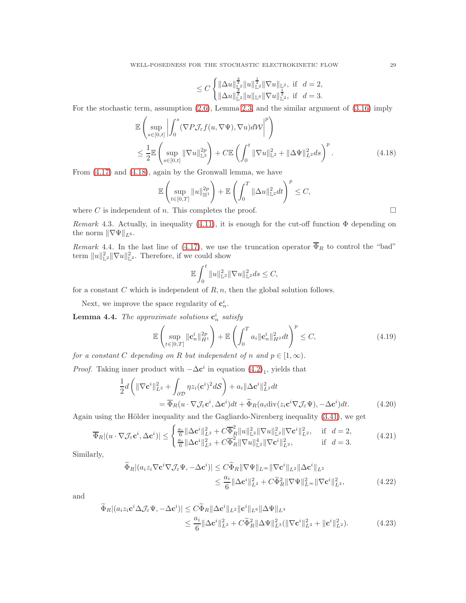$$
\leq C\begin{cases} \|\Delta u\|_{\mathbb{L}^2}^\frac{3}{2} \|u\|_{\mathbb{L}^2}^\frac{1}{2} \|\nabla u\|_{\mathbb{L}^2}, \ \text{if} \ \ d=2,\\ \|\Delta u\|_{\mathbb{L}^2}^\frac{3}{2} \|u\|_{\mathbb{L}^6} \|\nabla u\|_{\mathbb{L}^2}^\frac{1}{2}, \ \text{if} \ \ d=3. \end{cases}
$$

For the stochastic term, assumption [\(2.6\)](#page-5-3), Lemma [2.3,](#page-3-3) and the similar argument of [\(3.16\)](#page-10-2) imply

$$
\mathbb{E}\left(\sup_{s\in[0,t]}\left|\int_0^s (\nabla P\mathcal{J}_{\varepsilon}f(u,\nabla\Psi),\nabla u)d\mathcal{W}\right|^p\right) \n\leq \frac{1}{2}\mathbb{E}\left(\sup_{s\in[0,t]}\|\nabla u\|_{\mathbb{L}^2}^{2p}\right) + C\mathbb{E}\left(\int_0^t \|\nabla u\|_{\mathbb{L}^2}^2 + \|\Delta\Psi\|_{L^2}^2 ds\right)^p.
$$
\n(4.18)

From [\(4.17\)](#page-27-3) and [\(4.18\)](#page-28-0), again by the Gronwall lemma, we have

$$
\mathbb{E}\left(\sup_{t\in[0,T]}\|u\|_{\mathbb{H}^1}^{2p}\right)+\mathbb{E}\left(\int_0^T\|\Delta u\|_{\mathbb{L}^2}^2dt\right)^p\leq C,
$$

where C is independent of n. This completes the proof.  $\square$ 

*Remark* 4.3. Actually, in inequality [\(4.11\)](#page-26-3), it is enough for the cut-off function  $\Phi$  depending on the norm  $\|\nabla\Psi\|_{L^6}$ .

<span id="page-28-5"></span>*Remark* 4.4. In the last line of [\(4.17\)](#page-27-3), we use the truncation operator  $\overline{\Phi}_R$  to control the "bad" term  $||u||_{\mathbb{L}^2}^2 ||\nabla u||_{\mathbb{L}^2}^2$ . Therefore, if we could show

$$
\mathbb{E}\int_0^t \|u\|_{\mathbb{L}^2}^2 \|\nabla u\|_{\mathbb{L}^2}^2 ds \le C,
$$

for a constant  $C$  which is independent of  $R, n$ , then the global solution follows.

Next, we improve the space regularity of  $\mathbf{c}_n^i$ .

<span id="page-28-4"></span>**Lemma 4.4.** The approximate solutions  $\mathbf{c}_n^i$  satisfy

$$
\mathbb{E}\left(\sup_{t\in[0,T]}\|\mathbf{c}_n^i\|_{H^1}^{2p}\right) + \mathbb{E}\left(\int_0^T a_i \|\mathbf{c}_n^i\|_{H^2}^2 dt\right)^p \le C,\tag{4.19}
$$

*for a constant* C *depending on* R *but independent of* n and  $p \in [1, \infty)$ *.* 

*Proof.* Taking inner product with  $-\Delta \mathbf{c}^i$  in equation  $(4.2)_1$ , yields that

$$
\frac{1}{2}d\left(\|\nabla \mathbf{c}^i\|_{L^2}^2 + \int_{\partial \mathcal{D}} \eta z_i(\mathbf{c}^i)^2 d\mathcal{S}\right) + a_i \|\Delta \mathbf{c}^i\|_{L^2}^2 dt \n= \overline{\Phi}_R(u \cdot \nabla \mathcal{J}_{\varepsilon} \mathbf{c}^i, \Delta \mathbf{c}^i) dt + \widetilde{\Phi}_R(a_i \text{div} (z_i \mathbf{c}^i \nabla \mathcal{J}_{\varepsilon} \Psi), -\Delta \mathbf{c}^i) dt.
$$
\n(4.20)

Again using the Hölder inequality and the Gagliardo-Nirenberg inequality [\(3.41\)](#page-17-4), we get

$$
\overline{\Phi}_{R}|(u \cdot \nabla J_{\varepsilon} \mathbf{c}^{i}, \Delta \mathbf{c}^{i})| \leq \begin{cases} \frac{a_{i}}{6} \|\Delta \mathbf{c}^{i}\|_{L^{2}}^{2} + C \overline{\Phi}_{R}^{2} \|u\|_{\mathbb{L}^{2}}^{2} \|\nabla u\|_{\mathbb{L}^{2}}^{2} \|\nabla \mathbf{c}^{i}\|_{L^{2}}^{2}, & \text{if } d = 2, \\ \frac{a_{i}}{6} \|\Delta \mathbf{c}^{i}\|_{L^{2}}^{2} + C \overline{\Phi}_{R}^{2} \|\nabla u\|_{\mathbb{L}^{2}}^{4} \|\nabla \mathbf{c}^{i}\|_{L^{2}}^{2}, & \text{if } d = 3. \end{cases}
$$
(4.21)

Similarly,

<span id="page-28-2"></span>
$$
\widetilde{\Phi}_{R} |(a_{i}z_{i}\nabla \mathbf{c}^{i}\nabla \mathcal{J}_{\varepsilon}\Psi, -\Delta \mathbf{c}^{i})| \leq C \widetilde{\Phi}_{R} \|\nabla \Psi\|_{L^{\infty}} \|\nabla \mathbf{c}^{i}\|_{L^{2}} \|\Delta \mathbf{c}^{i}\|_{L^{2}} \n\leq \frac{a_{i}}{6} \|\Delta \mathbf{c}^{i}\|_{L^{2}}^{2} + C \widetilde{\Phi}_{R}^{2} \|\nabla \Psi\|_{L^{\infty}}^{2} \|\nabla \mathbf{c}^{i}\|_{L^{2}}^{2},
$$
\n(4.22)

and

$$
\widetilde{\Phi}_{R} |(a_{i} z_{i} \mathbf{c}^{i} \Delta \mathcal{J}_{\varepsilon} \Psi, -\Delta \mathbf{c}^{i})| \leq C \widetilde{\Phi}_{R} \|\Delta \mathbf{c}^{i}\|_{L^{2}} \|\mathbf{c}^{i}\|_{L^{6}} \|\Delta \Psi\|_{L^{3}} \n\leq \frac{a_{i}}{6} \|\Delta \mathbf{c}^{i}\|_{L^{2}}^{2} + C \widetilde{\Phi}_{R}^{2} \|\Delta \Psi\|_{L^{3}}^{2} (\|\nabla \mathbf{c}^{i}\|_{L^{2}}^{2} + \|\mathbf{c}^{i}\|_{L^{2}}^{2}).
$$
\n(4.23)

<span id="page-28-6"></span><span id="page-28-3"></span><span id="page-28-1"></span><span id="page-28-0"></span>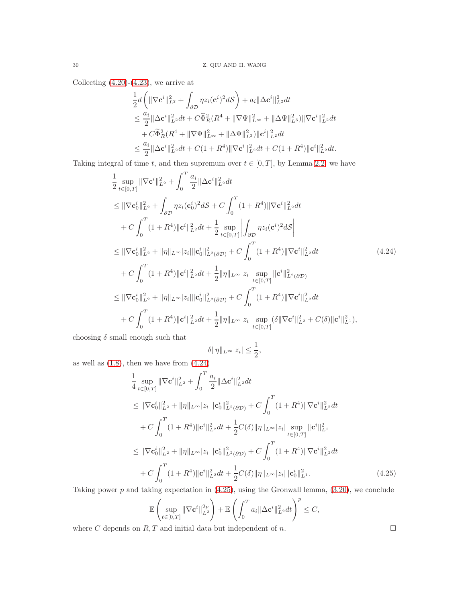Collecting  $(4.20)-(4.23)$  $(4.20)-(4.23)$ , we arrive at

$$
\begin{aligned} &\frac{1}{2}d\left(\|\nabla \mathbf{c}^i\|_{L^2}^2+\int_{\partial \mathcal{D}}\eta z_i(\mathbf{c}^i)^2d\mathcal{S}\right)+a_i\|\Delta \mathbf{c}^i\|_{L^2}^2dt\\ &\leq \frac{a_i}{2}\|\Delta \mathbf{c}^i\|_{L^2}^2dt+C\widetilde{\Phi}_R^2(R^4+\|\nabla \Psi\|_{L^\infty}^2+\|\Delta \Psi\|_{L^3}^2)\|\nabla \mathbf{c}^i\|_{L^2}^2dt\\ &+C\widetilde{\Phi}_R^2(R^4+\|\nabla \Psi\|_{L^\infty}^2+\|\Delta \Psi\|_{L^3}^2)\|\mathbf{c}^i\|_{L^2}^2dt\\ &\leq \frac{a_i}{2}\|\Delta \mathbf{c}^i\|_{L^2}^2dt+C(1+R^4)\|\nabla \mathbf{c}^i\|_{L^2}^2dt+C(1+R^4)\|\mathbf{c}^i\|_{L^2}^2dt.\end{aligned}
$$

Taking integral of time t, and then supremum over  $t \in [0, T]$ , by Lemma [2.2,](#page-3-0) we have

$$
\frac{1}{2} \sup_{t \in [0,T]} \|\nabla \mathbf{c}^{i}\|_{L^{2}}^{2} + \int_{0}^{T} \frac{a_{i}}{2} \|\Delta \mathbf{c}^{i}\|_{L^{2}}^{2} dt \n\leq \|\nabla \mathbf{c}_{0}^{i}\|_{L^{2}}^{2} + \int_{\partial \mathcal{D}} \eta z_{i} (\mathbf{c}_{0}^{i})^{2} dS + C \int_{0}^{T} (1 + R^{4}) \|\nabla \mathbf{c}^{i}\|_{L^{2}}^{2} dt \n+ C \int_{0}^{T} (1 + R^{4}) \|\mathbf{c}^{i}\|_{L^{2}}^{2} dt + \frac{1}{2} \sup_{t \in [0,T]} \int_{\partial \mathcal{D}} \eta z_{i} (\mathbf{c}^{i})^{2} dS \Big| \n\leq \|\nabla \mathbf{c}_{0}^{i}\|_{L^{2}}^{2} + \|\eta\|_{L^{\infty}} |z_{i}\| \|\mathbf{c}_{0}^{i}\|_{L^{2}(\partial \mathcal{D})}^{2} + C \int_{0}^{T} (1 + R^{4}) \|\nabla \mathbf{c}^{i}\|_{L^{2}}^{2} dt \n+ C \int_{0}^{T} (1 + R^{4}) \|\mathbf{c}^{i}\|_{L^{2}}^{2} dt + \frac{1}{2} \|\eta\|_{L^{\infty}} |z_{i}| \sup_{t \in [0,T]} \|\mathbf{c}^{i}\|_{L^{2}(\partial \mathcal{D})}^{2}
$$
\n
$$
\leq \|\nabla \mathbf{c}_{0}^{i}\|_{L^{2}}^{2} + \|\eta\|_{L^{\infty}} |z_{i}\| \|\mathbf{c}_{0}^{i}\|_{L^{2}(\partial \mathcal{D})}^{2} + C \int_{0}^{T} (1 + R^{4}) \|\nabla \mathbf{c}^{i}\|_{L^{2}}^{2} dt \n+ C \int_{0}^{T} (1 + R^{4}) \|\mathbf{c}^{i}\|_{L^{2}}^{2} dt + \frac{1}{2} \|\eta\|_{L^{\infty}} |z_{i}| \sup_{t \in [0,T]} (\delta \|\nabla \mathbf{c}^{i}\|_{L^{2}}^{2} + C(\delta) \|\mathbf{c}^{i}\|_{L^{1}}^{2}),
$$

choosing  $\delta$  small enough such that

<span id="page-29-0"></span>
$$
\delta \|\eta\|_{L^\infty}|z_i| \le \frac{1}{2},
$$

as well as  $(1.8)$ , then we have from  $(4.24)$ 

$$
\frac{1}{4} \sup_{t \in [0,T]} \|\nabla \mathbf{c}^i\|_{L^2}^2 + \int_0^T \frac{a_i}{2} \|\Delta \mathbf{c}^i\|_{L^2}^2 dt
$$
\n
$$
\leq \|\nabla \mathbf{c}_0^i\|_{L^2}^2 + \|\eta\|_{L^\infty} |z_i|\| \mathbf{c}_0^i\|_{L^2(\partial \mathcal{D})}^2 + C \int_0^T (1 + R^4) \|\nabla \mathbf{c}^i\|_{L^2}^2 dt
$$
\n
$$
+ C \int_0^T (1 + R^4) \|\mathbf{c}^i\|_{L^2}^2 dt + \frac{1}{2} C(\delta) \|\eta\|_{L^\infty} |z_i| \sup_{t \in [0,T]} \|\mathbf{c}^i\|_{L^1}^2
$$
\n
$$
\leq \|\nabla \mathbf{c}_0^i\|_{L^2}^2 + \|\eta\|_{L^\infty} |z_i| \|\mathbf{c}_0^i\|_{L^2(\partial \mathcal{D})}^2 + C \int_0^T (1 + R^4) \|\nabla \mathbf{c}^i\|_{L^2}^2 dt
$$
\n
$$
+ C \int_0^T (1 + R^4) \|\mathbf{c}^i\|_{L^2}^2 dt + \frac{1}{2} C(\delta) \|\eta\|_{L^\infty} |z_i| \|\mathbf{c}_0^i\|_{L^1}^2. \tag{4.25}
$$

Taking power  $p$  and taking expectation in  $(4.25)$ , using the Gronwall lemma,  $(3.20)$ , we conclude

$$
\mathbb{E}\left(\sup_{t\in[0,T]}\|\nabla \mathbf{c}^i\|_{L^2}^{2p}\right) + \mathbb{E}\left(\int_0^T a_i \|\Delta \mathbf{c}^i\|_{L^2}^2 dt\right)^p \leq C,
$$

where C depends on  $R, T$  and initial data but independent of  $n$ .

<span id="page-29-1"></span>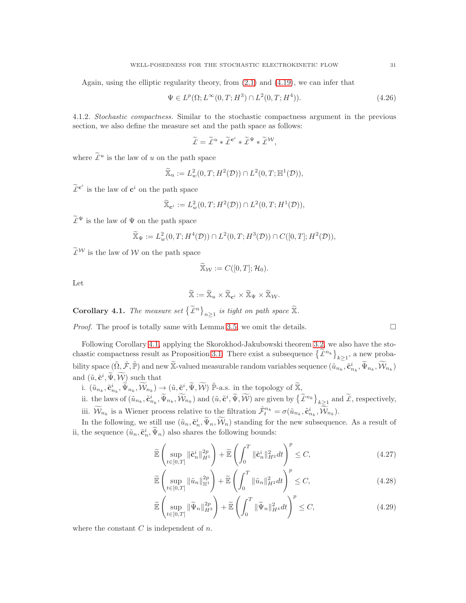Again, using the elliptic regularity theory, from [\(2.1\)](#page-3-1) and [\(4.19\)](#page-28-3), we can infer that

$$
\Psi \in L^{p}(\Omega; L^{\infty}(0, T; H^{3}) \cap L^{2}(0, T; H^{4})).
$$
\n(4.26)

4.1.2. *Stochastic compactness.* Similar to the stochastic compactness argument in the previous section, we also define the measure set and the path space as follows:

$$
\widetilde{\mathcal{L}} = \widetilde{\mathcal{L}}^u * \widetilde{\mathcal{L}}^{c^i} * \widetilde{\mathcal{L}}^{\Psi} * \widetilde{\mathcal{L}}^{\mathcal{W}},
$$

where  $\widetilde{\mathcal{L}}^u$  is the law of u on the path space

$$
\widetilde{\mathbb{X}}_u := L^2_w(0,T;H^2(\mathcal{D})) \cap L^2(0,T;\mathbb{H}^1(\mathcal{D})),
$$

 $\widetilde{\mathcal{L}}^{\mathbf{c}^i}$  is the law of  $\mathbf{c}^i$  on the path space

$$
\widetilde{\mathbb{X}}_{\mathbf{c}^i} := L^2_w(0,T;H^2(\mathcal{D})) \cap L^2(0,T;H^1(\mathcal{D})),
$$

 $\widetilde{\mathcal{L}}^{\Psi}$  is the law of  $\Psi$  on the path space

$$
\widetilde{\mathbb{X}}_{\Psi} := L^2_w(0,T; H^4(\mathcal{D})) \cap L^2(0,T; H^3(\mathcal{D})) \cap C([0,T]; H^2(\mathcal{D})),
$$

 $\widetilde{\mathcal{L}}^{\mathcal{W}}$  is the law of  $\mathcal{W}$  on the path space

$$
\widetilde{\mathbb{X}}_{\mathcal{W}}:=C([0,T];\mathcal{H}_0).
$$

Let

$$
\widetilde{\mathbb{X}} := \widetilde{\mathbb{X}}_u \times \widetilde{\mathbb{X}}_{\mathbf{c}^i} \times \widetilde{\mathbb{X}}_{\Psi} \times \widetilde{\mathbb{X}}_{\mathcal{W}}.
$$

<span id="page-30-0"></span>**Corollary 4.1.** The measure set  $\left\{\widetilde{\mathcal{L}}^n\right\}_{n\geq1}$  is tight on path space  $\widetilde{\mathbb{X}}$ .

*Proof.* The proof is totally same with Lemma [3.5,](#page-14-1) we omit the details.

Following Corollary [4.1,](#page-30-0) applying the Skorokhod-Jakubowski theorem [3.2,](#page-14-2) we also have the sto-chastic compactness result as Proposition [3.1:](#page-15-0) There exist a subsequence  $\left\{ \widetilde{\mathcal{L}}^{n_k} \right\}_{k \geq 1}$ , a new probability space  $(\tilde{\Omega}, \tilde{\mathcal{F}}, \tilde{\mathbb{P}})$  and new  $\tilde{\mathbb{X}}$ -valued measurable random variables sequence  $(\tilde{u}_{n_k}, \tilde{\mathbf{c}}_{n_k}^i, \tilde{\Psi}_{n_k}, \widetilde{\mathcal{W}}_{n_k})$ and  $(\tilde{u}, \tilde{\mathbf{c}}^i, \tilde{\Psi}, \tilde{\mathcal{W}})$  such that

- i.  $(\tilde{u}_{n_k}, \tilde{\mathbf{c}}_{n_k}^i, \tilde{\Psi}_{n_k}, \widetilde{\mathcal{W}}_{n_k}) \to (\tilde{u}, \tilde{\mathbf{c}}^i, \tilde{\Psi}, \widetilde{\mathcal{W}})$   $\tilde{\mathbb{P}}$ -a.s. in the topology of  $\tilde{\mathbb{X}},$
- ii. the laws of  $(\tilde{u}_{n_k}, \tilde{\mathbf{c}}_{n_k}^i, \tilde{\Psi}_{n_k}, \widetilde{\mathcal{W}}_{n_k})$  and  $(\tilde{u}, \tilde{\mathbf{c}}^i, \tilde{\Psi}, \widetilde{\mathcal{W}})$  are given by  $\left\{ \widetilde{\mathcal{L}}^{n_k} \right\}_{k \geq 1}$  and  $\widetilde{\mathcal{L}}$ , respectively, iii.  $\widetilde{\mathcal{W}}_{n_k}$  is a Wiener process relative to the filtration  $\widetilde{\mathcal{F}}_t^{n_k} = \sigma(\widetilde{u}_{n_k}, \widetilde{\mathbf{c}}_{n_k}^i, \widetilde{\mathcal{W}}_{n_k}).$

In the following, we still use  $(\tilde{u}_n, \tilde{\mathbf{c}}_n^i, \tilde{\Psi}_n, \tilde{\mathcal{W}}_n)$  standing for the new subsequence. As a result of ii, the sequence  $(\tilde{u}_n, \tilde{\mathbf{c}}_n^i, \tilde{\Psi}_n)$  also shares the following bounds:

$$
\widetilde{\mathbb{E}}\left(\sup_{t\in[0,T]}\|\widetilde{\mathbf{c}}_n^i\|_{H^1}^{2p}\right) + \widetilde{\mathbb{E}}\left(\int_0^T\|\widetilde{\mathbf{c}}_n^i\|_{H^2}^2dt\right)^p \le C,\tag{4.27}
$$

$$
\widetilde{\mathbb{E}}\left(\sup_{t\in[0,T]}\|\tilde{u}_n\|_{\mathbb{H}^1}^{2p}\right) + \widetilde{\mathbb{E}}\left(\int_0^T\|\tilde{u}_n\|_{H^2}^2dt\right)^p \le C,\tag{4.28}
$$

$$
\widetilde{\mathbb{E}}\left(\sup_{t\in[0,T]}\|\widetilde{\Psi}_n\|_{H^3}^{2p}\right) + \widetilde{\mathbb{E}}\left(\int_0^T\|\widetilde{\Psi}_n\|_{H^4}^2dt\right)^p \le C,\tag{4.29}
$$

where the constant  $C$  is independent of  $n$ .

<span id="page-30-3"></span><span id="page-30-2"></span><span id="page-30-1"></span>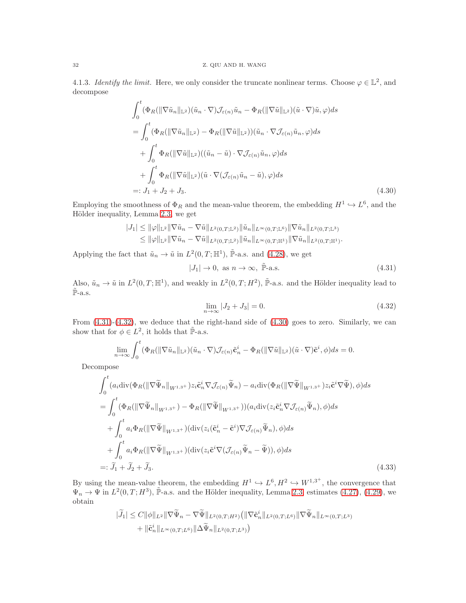4.1.3. *Identify the limit.* Here, we only consider the truncate nonlinear terms. Choose  $\varphi \in \mathbb{L}^2$ , and decompose

$$
\int_{0}^{t} (\Phi_R(\|\nabla \tilde{u}_n\|_{\mathbb{L}^2})(\tilde{u}_n \cdot \nabla) \mathcal{J}_{\varepsilon(n)}\tilde{u}_n - \Phi_R(\|\nabla \tilde{u}\|_{\mathbb{L}^2})(\tilde{u} \cdot \nabla)\tilde{u}, \varphi) ds \n= \int_{0}^{t} (\Phi_R(\|\nabla \tilde{u}_n\|_{\mathbb{L}^2}) - \Phi_R(\|\nabla \tilde{u}\|_{\mathbb{L}^2})) (\tilde{u}_n \cdot \nabla \mathcal{J}_{\varepsilon(n)}\tilde{u}_n, \varphi) ds \n+ \int_{0}^{t} \Phi_R(\|\nabla \tilde{u}\|_{\mathbb{L}^2}) ((\tilde{u}_n - \tilde{u}) \cdot \nabla \mathcal{J}_{\varepsilon(n)}\tilde{u}_n, \varphi) ds \n+ \int_{0}^{t} \Phi_R(\|\nabla \tilde{u}\|_{\mathbb{L}^2}) (\tilde{u} \cdot \nabla(\mathcal{J}_{\varepsilon(n)}\tilde{u}_n - \tilde{u}), \varphi) ds \n=: J_1 + J_2 + J_3.
$$
\n(4.30)

Employing the smoothness of  $\Phi_R$  and the mean-value theorem, the embedding  $H^1 \hookrightarrow L^6$ , and the Hölder inequality, Lemma [2.3,](#page-3-3) we get

$$
|J_1| \leq \|\varphi\|_{\mathbb{L}^2} \|\nabla \tilde{u}_n - \nabla \tilde{u}\|_{L^2(0,T;\mathbb{L}^2)} \|\tilde{u}_n\|_{L^{\infty}(0,T;\mathbb{L}^6)} \|\nabla \tilde{u}_n\|_{L^2(0,T;\mathbb{L}^3)} \leq \|\varphi\|_{\mathbb{L}^2} \|\nabla \tilde{u}_n - \nabla \tilde{u}\|_{L^2(0,T;\mathbb{L}^2)} \|\tilde{u}_n\|_{L^{\infty}(0,T;\mathbb{H}^1)} \|\nabla \tilde{u}_n\|_{L^2(0,T;\mathbb{H}^1)}.
$$

Applying the fact that  $\tilde{u}_n \to \tilde{u}$  in  $L^2(0,T;\mathbb{H}^1)$ ,  $\tilde{\mathbb{P}}$ -a.s. and [\(4.28\)](#page-30-1), we get

<span id="page-31-2"></span>
$$
|J_1| \to 0, \text{ as } n \to \infty, \quad \tilde{\mathbb{P}}\text{-a.s.} \tag{4.31}
$$

Also,  $\tilde{u}_n \to \tilde{u}$  in  $L^2(0,T;\mathbb{H}^1)$ , and weakly in  $L^2(0,T;H^2)$ ,  $\tilde{\mathbb{P}}$ -a.s. and the Hölder inequality lead to  $\tilde{\mathbb{P}}$ -a.s.

<span id="page-31-3"></span><span id="page-31-1"></span><span id="page-31-0"></span>
$$
\lim_{n \to \infty} |J_2 + J_3| = 0. \tag{4.32}
$$

From [\(4.31\)](#page-31-0)-[\(4.32\)](#page-31-1), we deduce that the right-hand side of [\(4.30\)](#page-31-2) goes to zero. Similarly, we can show that for  $\phi \in L^2$ , it holds that  $\tilde{\mathbb{P}}$ -a.s.

$$
\lim_{n\to\infty}\int_0^t(\Phi_R(\|\nabla\tilde{u}_n\|_{\mathbb{L}^2})(\tilde{u}_n\cdot\nabla)\mathcal{J}_{\varepsilon(n)}\tilde{\mathbf{c}}_n^i-\Phi_R(\|\nabla\tilde{u}\|_{\mathbb{L}^2})(\tilde{u}\cdot\nabla)\tilde{\mathbf{c}}^i,\phi)ds=0.
$$

Decompose

$$
\int_{0}^{t} (a_{i} \operatorname{div}(\Phi_{R}(\|\nabla \widetilde{\Psi}_{n}\|_{W^{1,3+}}) z_{i} \widetilde{\mathbf{c}}_{n}^{i} \nabla \mathcal{J}_{\varepsilon(n)} \widetilde{\Psi}_{n}) - a_{i} \operatorname{div}(\Phi_{R}(\|\nabla \widetilde{\Psi}\|_{W^{1,3+}}) z_{i} \widetilde{\mathbf{c}}^{i} \nabla \widetilde{\Psi}), \phi) ds \n= \int_{0}^{t} (\Phi_{R}(\|\nabla \widetilde{\Psi}_{n}\|_{W^{1,3+}}) - \Phi_{R}(\|\nabla \widetilde{\Psi}\|_{W^{1,3+}})) (a_{i} \operatorname{div}(z_{i} \widetilde{\mathbf{c}}_{n}^{i} \nabla \mathcal{J}_{\varepsilon(n)} \widetilde{\Psi}_{n}), \phi) ds \n+ \int_{0}^{t} a_{i} \Phi_{R}(\|\nabla \widetilde{\Psi}\|_{W^{1,3+}}) (\operatorname{div}(z_{i} (\widetilde{\mathbf{c}}_{n}^{i} - \widetilde{\mathbf{c}}^{i}) \nabla \mathcal{J}_{\varepsilon(n)} \widetilde{\Psi}_{n}), \phi) ds \n+ \int_{0}^{t} a_{i} \Phi_{R}(\|\nabla \widetilde{\Psi}\|_{W^{1,3+}}) (\operatorname{div}(z_{i} \widetilde{\mathbf{c}}^{i} \nabla (\mathcal{J}_{\varepsilon(n)} \widetilde{\Psi}_{n} - \widetilde{\Psi})), \phi) ds \n=: \widetilde{J}_{1} + \widetilde{J}_{2} + \widetilde{J}_{3}.
$$
\n(4.33)

By using the mean-value theorem, the embedding  $H^1 \hookrightarrow L^6, H^2 \hookrightarrow W^{1,3^+}$ , the convergence that  $\Psi_n \to \Psi$  in  $L^2(0,T;H^3)$ ,  $\tilde{\mathbb{P}}$ -a.s. and the Hölder inequality, Lemma [2.3,](#page-3-3) estimates [\(4.27\)](#page-30-2), [\(4.29\)](#page-30-3), we obtain

$$
|\widetilde{J}_1| \leq C \|\phi\|_{L^2} \|\nabla \widetilde{\Psi}_n - \nabla \widetilde{\Psi}\|_{L^2(0,T;H^2)} \left( \|\nabla \widetilde{\mathbf{c}}_n^i\|_{L^2(0,T;L^6)} \|\nabla \widetilde{\Psi}_n\|_{L^\infty(0,T;L^3)} \right) + \|\widetilde{\mathbf{c}}_n^i\|_{L^\infty(0,T;L^6)} \|\Delta \widetilde{\Psi}_n\|_{L^2(0,T;L^3)} \right)
$$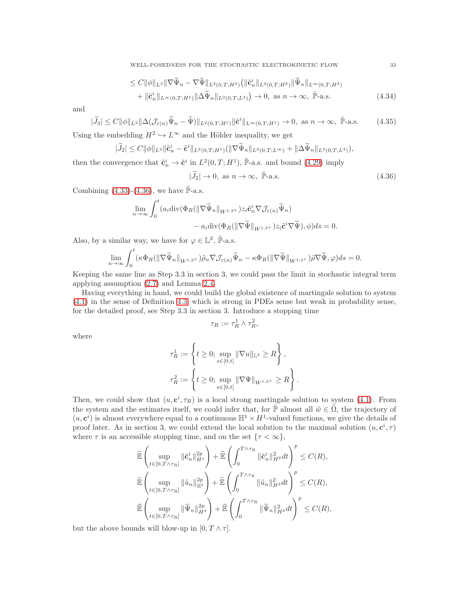WELL-POSEDNESS FOR THE STOCHASTIC ELECTROKINETIC FLOW 33

$$
\leq C \|\phi\|_{L^2} \|\nabla \widetilde{\Psi}_n - \nabla \widetilde{\Psi}\|_{L^2(0,T;H^2)} \left( \|\widetilde{\mathbf{c}}_n^i\|_{L^2(0,T;H^2)} \|\widetilde{\Psi}_n\|_{L^\infty(0,T;H^2)} \right) + \|\widetilde{\mathbf{c}}_n^i\|_{L^\infty(0,T;H^1)} \|\Delta \widetilde{\Psi}_n\|_{L^2(0,T;L^3)} \right) \to 0, \text{ as } n \to \infty, \ \widetilde{\mathbb{P}}\text{-a.s.}
$$
\n(4.34)

and

$$
|\widetilde{J}_3| \le C \|\phi\|_{L^2} \|\Delta(\mathcal{J}_{\varepsilon(n)}\widetilde{\Psi}_n - \widetilde{\Psi})\|_{L^2(0,T;H^1)} \|\widetilde{\mathbf{c}}^i\|_{L^\infty(0,T;H^1)} \to 0, \text{ as } n \to \infty, \ \widetilde{\mathbb{P}}\text{-a.s.}
$$
 (4.35)

Using the embedding  $H^2 \hookrightarrow L^{\infty}$  and the Hölder inequality, we get

 $\sim$ 

$$
|\widetilde{J}_2| \leq C \|\phi\|_{L^2} \|\tilde{\mathbf{c}}_n^i - \tilde{\mathbf{c}}^i\|_{L^2(0,T;H^1)} (\|\nabla \widetilde{\Psi}_n\|_{L^2(0,T;L^\infty)} + \|\Delta \widetilde{\Psi}_n\|_{L^2(0,T;L^3)}),
$$

then the convergence that  $\tilde{\mathbf{c}}_n^i \to \tilde{\mathbf{c}}^i$  in  $L^2(0,T;H^1)$ ,  $\tilde{\mathbb{P}}$ -a.s. and bound [\(4.29\)](#page-30-3) imply

$$
|\widetilde{J}_2| \to 0, \text{ as } n \to \infty, \tilde{\mathbb{P}}\text{-a.s.}
$$
\n(4.36)

Combining  $(4.33)-(4.36)$  $(4.33)-(4.36)$ , we have  $\tilde{\mathbb{P}}$ -a.s.

$$
\lim_{n \to \infty} \int_0^t (a_i \operatorname{div}(\Phi_R(\|\nabla \widetilde{\Psi}_n\|_{W^{1,3+}}) z_i \widetilde{\mathbf{c}}_n^i \nabla \mathcal{J}_{\varepsilon(n)} \widetilde{\Psi}_n) - a_i \operatorname{div}(\Phi_R(\|\nabla \widetilde{\Psi}\|_{W^{1,3+}}) z_i \widetilde{\mathbf{c}}^i \nabla \widetilde{\Psi}), \phi) ds = 0.
$$

Also, by a similar way, we have for  $\varphi \in \mathbb{L}^2$ ,  $\tilde{\mathbb{P}}$ -a.s.

$$
\lim_{n\to\infty}\int_0^t (\kappa\Phi_R(\|\nabla\widetilde{\Psi}_n\|_{W^{1,3+}})\widetilde{\rho}_n\nabla \mathcal{J}_{\varepsilon(n)}\widetilde{\Psi}_n-\kappa\Phi_R(\|\nabla\widetilde{\Psi}\|_{W^{1,3+}})\widetilde{\rho}\nabla\widetilde{\Psi},\varphi)ds=0.
$$

Keeping the same line as Step 3.3 in section 3, we could pass the limit in stochastic integral term applying assumption [\(2.7\)](#page-5-4) and Lemma [2.4.](#page-4-0)

Having everything in hand, we could build the global existence of martingale solution to system [\(4.1\)](#page-21-0) in the sense of Definition [4.3,](#page-21-1) which is strong in PDEs sense but weak in probability sense, for the detailed proof, see Step 3.3 in section 3. Introduce a stopping time

$$
\tau_R := \tau_R^1 \wedge \tau_R^2,
$$

where

$$
\tau_R^1 := \left\{ t \ge 0; \sup_{s \in [0,t]} \|\nabla u\|_{\mathbb{L}^2} \ge R \right\},\
$$
  

$$
\tau_R^2 := \left\{ t \ge 0; \sup_{s \in [0,t]} \|\nabla \Psi\|_{W^{1,3+}} \ge R \right\}.
$$

Then, we could show that  $(u, \mathbf{c}^i, \tau_R)$  is a local strong martingale solution to system [\(4.1\)](#page-21-0). From the system and the estimates itself, we could infer that, for  $\tilde{\mathbb{P}}$  almost all  $\tilde{w} \in \tilde{\Omega}$ , the trajectory of  $(u, c^i)$  is almost everywhere equal to a continuous  $\mathbb{H}^1 \times H^1$ -valued functions, we give the details of proof later. As in section 3, we could extend the local solution to the maximal solution  $(u, \mathbf{c}^i, \tau)$ where  $\tau$  is an accessible stopping time, and on the set  $\{\tau < \infty\},\$ 

$$
\begin{aligned} &\widetilde{\mathbb{E}}\left(\sup_{t\in[0,T\wedge\tau_R]}\|\tilde{\mathbf{c}}^i_n\|_{H^1}^{2p}\right)+\widetilde{\mathbb{E}}\left(\int_0^{T\wedge\tau_R}\|\tilde{\mathbf{c}}^i_n\|_{H^2}^2dt\right)^p\leq C(R),\\ &\widetilde{\mathbb{E}}\left(\sup_{t\in[0,T\wedge\tau_R]}\|\tilde{u}_n\|_{\mathbb{H}^1}^{2p}\right)+\widetilde{\mathbb{E}}\left(\int_0^{T\wedge\tau_R}\|\tilde{u}_n\|_{H^2}^2dt\right)^p\leq C(R),\\ &\widetilde{\mathbb{E}}\left(\sup_{t\in[0,T\wedge\tau_R]}\|\widetilde{\Psi}_n\|_{H^3}^{2p}\right)+\widetilde{\mathbb{E}}\left(\int_0^{T\wedge\tau_R}\|\widetilde{\Psi}_n\|_{H^4}^2dt\right)^p\leq C(R), \end{aligned}
$$

but the above bounds will blow-up in  $[0, T \wedge \tau]$ .

<span id="page-32-0"></span>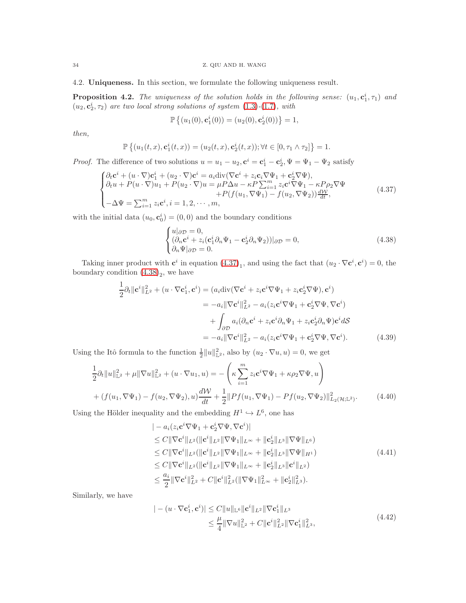4.2. Uniqueness. In this section, we formulate the following uniqueness result.

<span id="page-33-4"></span>**Proposition 4.2.** The uniqueness of the solution holds in the following sense:  $(u_1, c_1^i, \tau_1)$  and  $(u_2, c_2^i, \tau_2)$  are two local strong solutions of system  $(1.3)-(1.7)$  $(1.3)-(1.7)$  $(1.3)-(1.7)$ *, with* 

<span id="page-33-0"></span>
$$
\mathbb{P}\left\{(u_1(0), \mathbf{c}_1^i(0)) = (u_2(0), \mathbf{c}_2^i(0))\right\} = 1,
$$

*then,*

$$
\mathbb{P}\left\{(u_1(t,x),\mathbf{c}_1^i(t,x))=(u_2(t,x),\mathbf{c}_2^i(t,x)); \forall t\in[0,\tau_1\wedge\tau_2]\right\}=1.
$$

*Proof.* The difference of two solutions  $u = u_1 - u_2$ ,  $\mathbf{c}^i = \mathbf{c}_1^i - \mathbf{c}_2^i$ ,  $\Psi = \Psi_1 - \Psi_2$  satisfy

$$
\begin{cases}\n\partial_t \mathbf{c}^i + (u \cdot \nabla) \mathbf{c}_1^i + (u_2 \cdot \nabla) \mathbf{c}^i = a_i \text{div}(\nabla \mathbf{c}^i + z_i \mathbf{c}_i \nabla \Psi_1 + \mathbf{c}_2^i \nabla \Psi), \\
\partial_t u + P(u \cdot \nabla) u_1 + P(u_2 \cdot \nabla) u = \mu P \Delta u - \kappa P \sum_{i=1}^m z_i \mathbf{c}^i \nabla \Psi_1 - \kappa P \rho_2 \nabla \Psi \\
+ P(f(u_1, \nabla \Psi_1) - f(u_2, \nabla \Psi_2)) \frac{d\mathcal{W}}{dt},\n\end{cases} (4.37)
$$

with the initial data  $(u_0, \mathbf{c}_0^i) = (0, 0)$  and the boundary conditions

<span id="page-33-3"></span><span id="page-33-1"></span>
$$
\begin{cases} u|\partial \mathcal{D} = 0, \\ (\partial_n \mathbf{c}^i + z_i(\mathbf{c}_1^i \partial_n \Psi_1 - \mathbf{c}_2^i \partial_n \Psi_2))|\partial \mathcal{D} = 0, \\ \partial_n \Psi|\partial \mathcal{D} = 0. \end{cases}
$$
(4.38)

Taking inner product with  $\mathbf{c}^i$  in equation  $(4.37)_1$ , and using the fact that  $(u_2 \cdot \nabla \mathbf{c}^i, \mathbf{c}^i) = 0$ , the boundary condition  $(4.38)<sub>2</sub>$ , we have

$$
\frac{1}{2}\partial_t \|\mathbf{c}^i\|_{L^2}^2 + (u \cdot \nabla \mathbf{c}_1^i, \mathbf{c}^i) = (a_i \text{div}(\nabla \mathbf{c}^i + z_i \mathbf{c}^i \nabla \Psi_1 + z_i \mathbf{c}_2^i \nabla \Psi), \mathbf{c}^i)
$$
\n
$$
= -a_i \|\nabla \mathbf{c}^i\|_{L^2}^2 - a_i (z_i \mathbf{c}^i \nabla \Psi_1 + \mathbf{c}_2^i \nabla \Psi, \nabla \mathbf{c}^i)
$$
\n
$$
+ \int_{\partial \mathcal{D}} a_i (\partial_n \mathbf{c}^i + z_i \mathbf{c}^i \partial_n \Psi_1 + z_i \mathbf{c}_2^i \partial_n \Psi) \mathbf{c}^i dS
$$
\n
$$
= -a_i \|\nabla \mathbf{c}^i\|_{L^2}^2 - a_i (z_i \mathbf{c}^i \nabla \Psi_1 + \mathbf{c}_2^i \nabla \Psi, \nabla \mathbf{c}^i). \tag{4.39}
$$

Using the Itô formula to the function  $\frac{1}{2}||u||_{\mathbb{L}^2}^2$ , also by  $(u_2 \cdot \nabla u, u) = 0$ , we get

$$
\frac{1}{2}\partial_t \|u\|_{\mathbb{L}^2}^2 + \mu \|\nabla u\|_{\mathbb{L}^2}^2 + (u \cdot \nabla u_1, u) = -\left(\kappa \sum_{i=1}^m z_i \mathbf{c}^i \nabla \Psi_1 + \kappa \rho_2 \nabla \Psi, u\right) \n+ (f(u_1, \nabla \Psi_1) - f(u_2, \nabla \Psi_2), u) \frac{d\mathcal{W}}{dt} + \frac{1}{2} \|Pf(u_1, \nabla \Psi_1) - Pf(u_2, \nabla \Psi_2)\|_{L_2(\mathcal{H}; \mathbb{L}^2)}^2.
$$
\n(4.40)

Using the Hölder inequality and the embedding  $H^1 \hookrightarrow L^6$ , one has

<span id="page-33-2"></span>
$$
\| - a_i(z_i \mathbf{c}^i \nabla \Psi_1 + \mathbf{c}_2^i \nabla \Psi, \nabla \mathbf{c}^i) \|
$$
  
\n
$$
\leq C \|\nabla \mathbf{c}^i\|_{L^2} (\|\mathbf{c}^i\|_{L^2} \|\nabla \Psi_1\|_{L^\infty} + \|\mathbf{c}_2^i\|_{L^3} \|\nabla \Psi\|_{L^6})
$$
  
\n
$$
\leq C \|\nabla \mathbf{c}^i\|_{L^2} (\|\mathbf{c}^i\|_{L^2} \|\nabla \Psi_1\|_{L^\infty} + \|\mathbf{c}_2^i\|_{L^3} \|\nabla \Psi\|_{H^1})
$$
  
\n
$$
\leq C \|\nabla \mathbf{c}^i\|_{L^2} (\|\mathbf{c}^i\|_{L^2} \|\nabla \Psi_1\|_{L^\infty} + \|\mathbf{c}_2^i\|_{L^3} \|\mathbf{c}^i\|_{L^2})
$$
  
\n
$$
\leq \frac{a_i}{2} \|\nabla \mathbf{c}^i\|_{L^2}^2 + C \|\mathbf{c}^i\|_{L^2}^2 (\|\nabla \Psi_1\|_{L^\infty} + \|\mathbf{c}_2^i\|_{L^3}^2).
$$
  
\n(4.41)

Similarly, we have

$$
|-(u \cdot \nabla \mathbf{c}_{1}^{i}, \mathbf{c}^{i})| \leq C \|u\|_{\mathbb{L}^{6}} \|\mathbf{c}^{i}\|_{L^{2}} \|\nabla \mathbf{c}_{1}^{i}\|_{L^{3}} \leq \frac{\mu}{4} \|\nabla u\|_{\mathbb{L}^{2}}^{2} + C \|\mathbf{c}^{i}\|_{L^{2}}^{2} \|\nabla \mathbf{c}_{1}^{i}\|_{L^{3}}^{2},
$$
\n(4.42)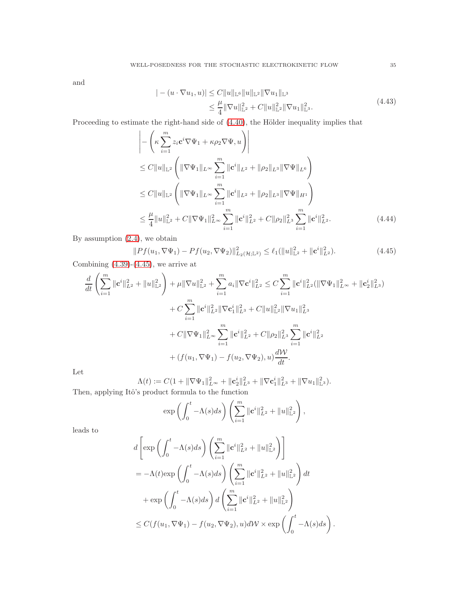and

$$
|-(u \cdot \nabla u_1, u)| \leq C \|u\|_{\mathbb{L}^6} \|u\|_{\mathbb{L}^2} \|\nabla u_1\|_{\mathbb{L}^3}
$$
  

$$
\leq \frac{\mu}{4} \|\nabla u\|_{\mathbb{L}^2}^2 + C \|u\|_{\mathbb{L}^2}^2 \|\nabla u_1\|_{\mathbb{L}^3}^2.
$$
 (4.43)

Proceeding to estimate the right-hand side of  $(4.40)$ , the Hölder inequality implies that

$$
\left| - \left( \kappa \sum_{i=1}^{m} z_i \mathbf{c}^i \nabla \Psi_1 + \kappa \rho_2 \nabla \Psi, u \right) \right|
$$
  
\n
$$
\leq C \|u\|_{\mathbb{L}^2} \left( \|\nabla \Psi_1\|_{L^\infty} \sum_{i=1}^m \|\mathbf{c}^i\|_{L^2} + \|\rho_2\|_{L^3} \|\nabla \Psi\|_{L^6} \right)
$$
  
\n
$$
\leq C \|u\|_{\mathbb{L}^2} \left( \|\nabla \Psi_1\|_{L^\infty} \sum_{i=1}^m \|\mathbf{c}^i\|_{L^2} + \|\rho_2\|_{L^3} \|\nabla \Psi\|_{H^1} \right)
$$
  
\n
$$
\leq \frac{\mu}{4} \|u\|_{\mathbb{L}^2}^2 + C \|\nabla \Psi_1\|_{L^\infty}^2 \sum_{i=1}^m \|\mathbf{c}^i\|_{L^2}^2 + C \|\rho_2\|_{L^3}^2 \sum_{i=1}^m \|\mathbf{c}^i\|_{L^2}^2. \tag{4.44}
$$

By assumption [\(2.4\)](#page-5-0), we obtain

<span id="page-34-0"></span>
$$
||Pf(u_1, \nabla\Psi_1) - Pf(u_2, \nabla\Psi_2)||_{L_2(\mathcal{H}; \mathbb{L}^2)}^2 \le \ell_1(||u||_{\mathbb{L}^2}^2 + ||\mathbf{c}^i||_{L^2}^2). \tag{4.45}
$$

Combining  $(4.39)-(4.45)$  $(4.39)-(4.45)$ , we arrive at

$$
\frac{d}{dt} \left( \sum_{i=1}^{m} \|\mathbf{c}^{i}\|_{L^{2}}^{2} + \|u\|_{\mathbb{L}^{2}}^{2} \right) + \mu \|\nabla u\|_{\mathbb{L}^{2}}^{2} + \sum_{i=1}^{m} a_{i} \|\nabla \mathbf{c}^{i}\|_{L^{2}}^{2} \leq C \sum_{i=1}^{m} \|\mathbf{c}^{i}\|_{L^{2}}^{2} (\|\nabla \Psi_{1}\|_{L^{\infty}}^{2} + \|\mathbf{c}_{2}^{i}\|_{L^{3}}^{2})
$$
  
+  $C \sum_{i=1}^{m} \|\mathbf{c}^{i}\|_{L^{2}}^{2} \|\nabla \mathbf{c}_{1}^{i}\|_{L^{3}}^{2} + C \|u\|_{\mathbb{L}^{2}}^{2} \|\nabla u_{1}\|_{L^{3}}^{2}$   
+  $C \|\nabla \Psi_{1}\|_{L^{\infty}}^{2} \sum_{i=1}^{m} \|\mathbf{c}^{i}\|_{L^{2}}^{2} + C \|p_{2}\|_{L^{3}}^{2} \sum_{i=1}^{m} \|\mathbf{c}^{i}\|_{L^{2}}^{2}$   
+  $(f(u_{1}, \nabla \Psi_{1}) - f(u_{2}, \nabla \Psi_{2}), u) \frac{dW}{dt}$ .

Let

$$
\Lambda(t) := C(1 + \|\nabla\Psi_1\|_{L^\infty}^2 + \|\mathbf{c}_2^i\|_{L^3}^2 + \|\nabla\mathbf{c}_1^i\|_{L^3}^2 + \|\nabla u_1\|_{L^3}^2).
$$
  
Then, applying Itô's product formula to the function

$$
\exp\left(\int_0^t -\Lambda(s)ds\right)\left(\sum_{i=1}^m \|\mathbf{c}^i\|_{L^2}^2 + \|u\|_{\mathbb{L}^2}^2\right),\,
$$

leads to

$$
d\left[\exp\left(\int_{0}^{t} -\Lambda(s)ds\right)\left(\sum_{i=1}^{m} \|\mathbf{c}^{i}\|_{L^{2}}^{2} + \|u\|_{\mathbb{L}^{2}}^{2}\right)\right]
$$
  
=  $-\Lambda(t)\exp\left(\int_{0}^{t} -\Lambda(s)ds\right)\left(\sum_{i=1}^{m} \|\mathbf{c}^{i}\|_{L^{2}}^{2} + \|u\|_{\mathbb{L}^{2}}^{2}\right)dt$   
+  $\exp\left(\int_{0}^{t} -\Lambda(s)ds\right)d\left(\sum_{i=1}^{m} \|\mathbf{c}^{i}\|_{L^{2}}^{2} + \|u\|_{\mathbb{L}^{2}}^{2}\right)$   
 $\leq C(f(u_{1}, \nabla\Psi_{1}) - f(u_{2}, \nabla\Psi_{2}), u)dW \times \exp\left(\int_{0}^{t} -\Lambda(s)ds\right).$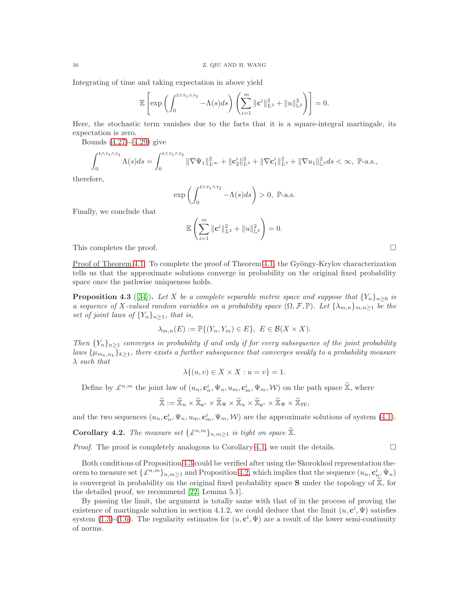Integrating of time and taking expectation in above yield

$$
\mathbb{E}\left[\exp\left(\int_0^{t\wedge\tau_1\wedge\tau_2}-\Lambda(s)ds\right)\left(\sum_{i=1}^m\|\mathbf{c}^i\|_{L^2}^2+\|u\|_{\mathbb{L}^2}^2\right)\right]=0.
$$

Here, the stochastic term vanishes due to the facts that it is a square-integral martingale, its expectation is zero.

Bounds [\(4.27\)](#page-30-2)-[\(4.29\)](#page-30-3) give

$$
\int_0^{t \wedge \tau_1 \wedge \tau_2} \Lambda(s) ds = \int_0^{t \wedge \tau_1 \wedge \tau_2} \|\nabla \Psi_1\|_{L^{\infty}}^2 + \|c_2^i\|_{L^3}^2 + \|\nabla c_1^i\|_{L^3}^2 + \|\nabla u_1\|_{L^3}^2 ds < \infty, \ \mathbb{P}\text{-a.s.},
$$

therefore,

$$
\exp\left(\int_0^{t\wedge\tau_1\wedge\tau_2} -\Lambda(s)ds\right) > 0, \ \mathbb{P}\text{-a.s.}
$$

Finally, we conclude that

$$
\mathbb{E}\left(\sum_{i=1}^m \|\mathbf{c}^i\|_{L^2}^2 + \|u\|_{\mathbb{L}^2}^2\right) = 0.
$$

This completes the proof.  $\Box$ 

Proof of Theorem  $4.1$ . To complete the proof of Theorem  $4.1$ , the Gyöngy-Krylov characterization tells us that the approximate solutions converge in probability on the original fixed probability space once the pathwise uniqueness holds.

<span id="page-35-0"></span>**Proposition 4.3** ([\[34\]](#page-41-30)). Let X be a complete separable metric space and suppose that  $\{Y_n\}_{n\geq 0}$  is *a sequence of* X-valued random variables on a probability space  $(\Omega, \mathcal{F}, \mathbb{P})$ *. Let*  $\{\lambda_{m,n}\}_{m,n\geq 1}$  *be the set of joint laws of*  $\{Y_n\}_{n\geq 1}$ *, that is,* 

$$
\lambda_{m,n}(E) := \mathbb{P}\{(Y_n, Y_m) \in E\}, \ E \in \mathcal{B}(X \times X).
$$

*Then*  ${Y_n}_{n>1}$  *converges in probability if and only if for every subsequence of the joint probability*  ${laws}$   $\{\mu_{m_k,n_k}\}_{k\geq 1}$ , there exists a further subsequence that converges weakly to a probability measure λ *such that*

$$
\lambda \{(u, v) \in X \times X : u = v\} = 1.
$$

Define by  $\mathcal{L}^{n,m}$  the joint law of  $(u_n, \mathbf{c}_n^i, \Psi_n, u_m, \mathbf{c}_m^i, \Psi_m, \mathcal{W})$  on the path space  $\widetilde{\mathbb{X}}$ , where

$$
\widetilde{\mathbb{X}} := \widetilde{\mathbb{X}}_u \times \widetilde{\mathbb{X}}_{\mathbf{c}^i} \times \widetilde{\mathbb{X}}_\Psi \times \widetilde{\mathbb{X}}_u \times \widetilde{\mathbb{X}}_{\mathbf{c}^i} \times \widetilde{\mathbb{X}}_\Psi \times \widetilde{\mathbb{X}}_{\mathcal{W}},
$$

and the two sequences  $(u_n, \mathbf{c}_n^i, \Psi_n, u_m, \mathbf{c}_m^i, \Psi_m, \mathcal{W})$  are the approximate solutions of system [\(4.1\)](#page-21-0).

**Corollary 4.2.** *The measure set*  $\{\mathcal{L}^{n,m}\}_{n,m\geq 1}$  *is tight on space*  $\widetilde{\mathbb{X}}$ *.* 

*Proof.* The proof is completely analogous to Corollary [4.1,](#page-30-0) we omit the details.

Both conditions of Proposition [4.3](#page-35-0) could be verified after using the Skorokhod representation theorem to measure set  $\{\pounds^{n,m}\}_{n,m\geq 1}$  and Proposition [4.2,](#page-33-4) which implies that the sequence  $(u_n, \mathbf{c}_{n}^i, \Psi_n)$ is convergent in probability on the original fixed probability space  $S$  under the topology of  $\mathbb{X}$ , for the detailed proof, we recommend [\[22,](#page-41-24) Lemma 5.1].

By passing the limit, the argument is totally same with that of in the process of proving the existence of martingale solution in section 4.1.2, we could deduce that the limit  $(u, \mathbf{c}^i, \Psi)$  satisfies system [\(1.3\)](#page-1-1)-[\(1.6\)](#page-1-2). The regularity estimates for  $(u, \mathbf{c}^i, \Psi)$  are a result of the lower semi-continuity of norms.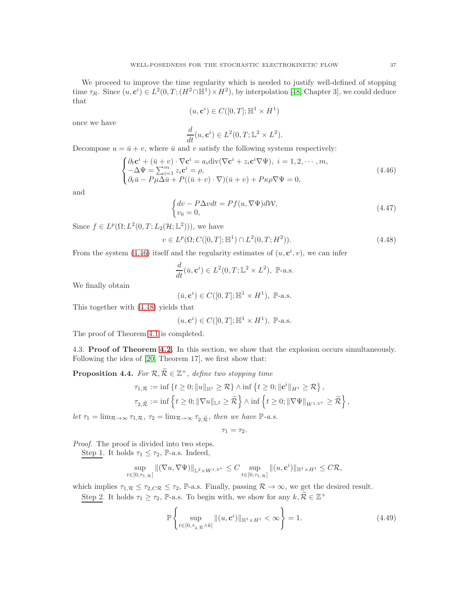We proceed to improve the time regularity which is needed to justify well-defined of stopping time  $\tau_R$ . Since  $(u, \mathbf{c}^i) \in L^2(0,T; (H^2 \cap \mathbb{H}^1) \times H^2)$ , by interpolation [\[48,](#page-42-5) Chapter 3], we could deduce that

$$
(u, \mathbf{c}^i) \in C([0, T]; \mathbb{H}^1 \times H^1)
$$

once we have

$$
\frac{d}{dt}(u, \mathbf{c}^i) \in L^2(0, T; \mathbb{L}^2 \times L^2).
$$

Decompose  $u = \bar{u} + v$ , where  $\bar{u}$  and v satisfy the following systems respectively:

<span id="page-36-0"></span>
$$
\begin{cases} \partial_t \mathbf{c}^i + (\bar{u} + v) \cdot \nabla \mathbf{c}^i = a_i \text{div}(\nabla \mathbf{c}^i + z_i \mathbf{c}^i \nabla \Psi), \ i = 1, 2, \cdots, m, \\ -\Delta \Psi = \sum_{i=1}^m z_i \mathbf{c}^i = \rho, \\ \partial_t \bar{u} - P\mu \Delta \bar{u} + P((\bar{u} + v) \cdot \nabla)(\bar{u} + v) + P\kappa \rho \nabla \Psi = 0, \end{cases}
$$
(4.46)

and

$$
\begin{cases} dv - P\Delta vdt = Pf(u, \nabla \Psi)dW, \\ v_0 = 0, \end{cases}
$$
\n(4.47)

Since  $f \in L^p(\Omega; L^2(0,T; L_2(\mathcal{H}; \mathbb{L}^2))),$  we have

<span id="page-36-1"></span>
$$
v \in L^{p}(\Omega; C([0, T]; \mathbb{H}^{1}) \cap L^{2}(0, T; H^{2})).
$$
\n(4.48)

From the system [\(4.46\)](#page-36-0) itself and the regularity estimates of  $(u, \mathbf{c}^i, v)$ , we can infer

$$
\frac{d}{dt}(\bar{u}, \mathbf{c}^i) \in L^2(0, T; \mathbb{L}^2 \times L^2), \ \mathbb{P}\text{-a.s.}
$$

We finally obtain

$$
(\bar{u}, \mathbf{c}^i) \in C([0, T]; \mathbb{H}^1 \times H^1), \mathbb{P}\text{-a.s.}
$$

This together with [\(4.48\)](#page-36-1) yields that

 $(u, \mathbf{c}^i) \in C([0,T]; \mathbb{H}^1 \times H^1)$ , P-a.s.

The proof of Theorem [4.1](#page-20-1) is completed.

4.3. Proof of Theorem [4.2.](#page-20-2) In this section, we show that the explosion occurs simultaneously. Following the idea of [\[20,](#page-41-31) Theorem 17], we first show that:

<span id="page-36-3"></span>**Proposition 4.4.** *For*  $\mathcal{R}, \widetilde{\mathcal{R}} \in \mathbb{Z}^+$ *, define two stopping time* 

$$
\tau_{1,\mathcal{R}} := \inf \left\{ t \geq 0; \|u\|_{\mathbb{H}^{1}} \geq \mathcal{R} \right\} \wedge \inf \left\{ t \geq 0; \|c^{i}\|_{H^{1}} \geq \mathcal{R} \right\},\
$$
  

$$
\tau_{2,\widetilde{\mathcal{R}}} := \inf \left\{ t \geq 0; \|\nabla u\|_{\mathbb{L}^{2}} \geq \widetilde{\mathcal{R}} \right\} \wedge \inf \left\{ t \geq 0; \|\nabla \Psi\|_{W^{1,3^+}} \geq \widetilde{\mathcal{R}} \right\},\
$$

Let  $\tau_1 = \lim_{\mathcal{R} \to \infty} \tau_{1,\mathcal{R}}, \tau_2 = \lim_{\mathcal{R} \to \infty} \tau_{2,\widetilde{\mathcal{R}}},$  then we have  $\mathbb{P}\text{-}a.s.$ 

 $\overline{a}$ 

<span id="page-36-2"></span>
$$
\tau_1=\tau_2.
$$

*Proof.* The proof is divided into two steps.

Step 1. It holds  $\tau_1 \leq \tau_2$ , P-a.s. Indeed,

$$
\sup_{t\in[0,\tau_{1},\mathcal{R}]} \| (\nabla u, \nabla \Psi) \|_{\mathbb{L}^{2}\times W^{1,3^{+}}} \leq C \sup_{t\in[0,\tau_{1},\mathcal{R}]} \| (u,\mathbf{c}^{i}) \|_{\mathbb{H}^{1}\times H^{1}} \leq C\mathcal{R},
$$

which implies  $\tau_{1,\mathcal{R}} \leq \tau_{2,\mathcal{CR}} \leq \tau_2$ , P-a.s. Finally, passing  $\mathcal{R} \to \infty$ , we get the desired result.

Step 2. It holds  $\tau_1 \geq \tau_2$ , P-a.s. To begin with, we show for any  $k, \widetilde{R} \in \mathbb{Z}^+$ 

$$
\mathbb{P}\left\{\sup_{t\in[0,\tau_{2},\overline{\mathcal{R}}^{\wedge k}]}||(u,\mathbf{c}^i)||_{\mathbb{H}^1\times H^1}<\infty\right\}=1.
$$
\n(4.49)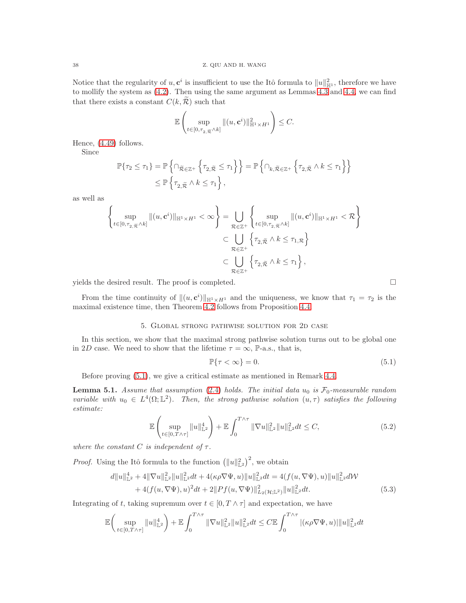Notice that the regularity of  $u, \mathbf{c}^i$  is insufficient to use the Itô formula to  $||u||_{\mathbb{H}^1}^2$ , therefore we have to mollify the system as [\(4.2\)](#page-22-0). Then using the same argument as Lemmas [4.3](#page-26-4) and [4.4,](#page-28-4) we can find that there exists a constant  $C(k, \mathcal{R})$  such that

$$
\mathbb{E}\left(\sup_{t\in[0,\tau_{2,\widetilde{\mathcal{R}}}\wedge k]}\|(u,\mathbf{c}^i)\|_{\mathbb{H}^1\times H^1}^2\right)\leq C.
$$

Hence, [\(4.49\)](#page-36-2) follows.

Since

$$
\mathbb{P}\{\tau_2 \leq \tau_1\} = \mathbb{P}\left\{\cap_{\widetilde{\mathcal{R}} \in \mathbb{Z}^+} \left\{\tau_{2,\widetilde{\mathcal{R}}} \leq \tau_1\right\}\right\} = \mathbb{P}\left\{\cap_{k,\widetilde{\mathcal{R}} \in \mathbb{Z}^+} \left\{\tau_{2,\widetilde{\mathcal{R}}} \wedge k \leq \tau_1\right\}\right\}
$$
  
\$\leq \mathbb{P}\left\{\tau\_{2,\widetilde{\mathcal{R}}} \wedge k \leq \tau\_1\right\},

as well as

$$
\left\{\sup_{t\in[0,\tau_2,\widehat{\pi}^{\wedge k}]} \|(u,\mathbf{c}^i)\|_{\mathbb{H}^1\times H^1} < \infty\right\} = \bigcup_{\mathcal{R}\in\mathbb{Z}^+} \left\{\sup_{t\in[0,\tau_2,\widehat{\pi}^{\wedge k}]} \|(u,\mathbf{c}^i)\|_{\mathbb{H}^1\times H^1} < \mathcal{R}\right\}
$$
  

$$
\subset \bigcup_{\mathcal{R}\in\mathbb{Z}^+} \left\{\tau_{2,\widehat{\mathcal{R}}}\wedge k \leq \tau_{1,\mathcal{R}}\right\}
$$
  

$$
\subset \bigcup_{\mathcal{R}\in\mathbb{Z}^+} \left\{\tau_{2,\widehat{\mathcal{R}}}\wedge k \leq \tau_{1}\right\},
$$

yields the desired result. The proof is completed.  $\square$ 

From the time continuity of  $||(u, c^i)||_{\mathbb{H}^1 \times H^1}$  and the uniqueness, we know that  $\tau_1 = \tau_2$  is the maximal existence time, then Theorem [4.2](#page-20-2) follows from Proposition [4.4.](#page-36-3)

### 5. Global strong pathwise solution for 2d case

In this section, we show that the maximal strong pathwise solution turns out to be global one in 2D case. We need to show that the lifetime  $\tau = \infty$ , P-a.s., that is,

$$
\mathbb{P}\{\tau < \infty\} = 0.\tag{5.1}
$$

Before proving [\(5.1\)](#page-37-0), we give a critical estimate as mentioned in Remark [4.4.](#page-28-5)

<span id="page-37-3"></span>**Lemma 5.1.** Assume that assumption [\(2.4\)](#page-5-0) holds. The initial data  $u_0$  is  $\mathcal{F}_0$ -measurable random *variable with*  $u_0 \in L^4(\Omega;\mathbb{L}^2)$ . Then, the strong pathwise solution  $(u,\tau)$  satisfies the following *estimate:*

$$
\mathbb{E}\left(\sup_{t\in[0,T\wedge\tau]}\|u\|_{\mathbb{L}^{2}}^{4}\right) + \mathbb{E}\int_{0}^{T\wedge\tau}\|\nabla u\|_{\mathbb{L}^{2}}^{2}\|u\|_{\mathbb{L}^{2}}^{2}dt \leq C,
$$
\n(5.2)

*where the constant*  $C$  *is independent of*  $\tau$ *.* 

*Proof.* Using the Itô formula to the function  $(||u||_{\mathbb{L}^2}^2)^2$ , we obtain

$$
d||u||_{\mathbb{L}^{2}}^{4} + 4||\nabla u||_{\mathbb{L}^{2}}^{2}||u||_{\mathbb{L}^{2}}^{2}dt + 4(\kappa\rho\nabla\Psi, u)||u||_{\mathbb{L}^{2}}^{2}dt = 4(f(u, \nabla\Psi), u)||u||_{\mathbb{L}^{2}}^{2}d\mathcal{W}
$$
  
+ 4(f(u, \nabla\Psi), u)<sup>2</sup>dt + 2||Pf(u, \nabla\Psi)||\_{L\_{2}(\mathcal{H}; \mathbb{L}^{2})}^{2}||u||\_{\mathbb{L}^{2}}^{2}dt. \t(5.3)

Integrating of t, taking supremum over  $t \in [0, T \wedge \tau]$  and expectation, we have

$$
\mathbb{E}\bigg(\sup_{t\in[0,T\wedge\tau]}\|u\|_{\mathbb{L}^{2}}^{4}\bigg)+\mathbb{E}\int_{0}^{T\wedge\tau}\|\nabla u\|_{\mathbb{L}^{2}}^{2}\|u\|_{\mathbb{L}^{2}}^{2}dt\leq C\mathbb{E}\int_{0}^{T\wedge\tau}|(\kappa\rho\nabla\Psi,u)|\|u\|_{\mathbb{L}^{2}}^{2}dt
$$

<span id="page-37-2"></span><span id="page-37-1"></span><span id="page-37-0"></span>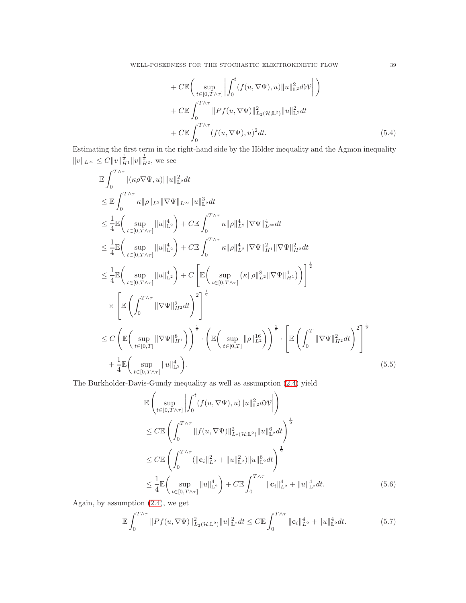<span id="page-38-0"></span>
$$
+ C \mathbb{E} \bigg( \sup_{t \in [0, T \wedge \tau]} \bigg| \int_0^t (f(u, \nabla \Psi), u) \|u\|_{\mathbb{L}^2}^2 d\mathcal{W} \bigg| \bigg)
$$
  
+ C \mathbb{E} \int\_0^{T \wedge \tau} \|Pf(u, \nabla \Psi)\|\_{L\_2(\mathcal{H};\mathbb{L}^2)}^2 \|u\|\_{\mathbb{L}^2}^2 dt  
+ C \mathbb{E} \int\_0^{T \wedge \tau} (f(u, \nabla \Psi), u)^2 dt. \tag{5.4}

Estimating the first term in the right-hand side by the Hölder inequality and the Agmon inequality  $||v||_{L^{\infty}} \leq C||v||_{H^1}^{\frac{1}{2}}||v||_{H^2}^{\frac{1}{2}},$  we see

$$
\mathbb{E} \int_{0}^{T \wedge \tau} |(\kappa \rho \nabla \Psi, u)| \|u\|_{\mathbb{L}^{2}}^{2} dt
$$
\n
$$
\leq \mathbb{E} \int_{0}^{T \wedge \tau} \kappa \|\rho\|_{L^{2}} \|\nabla \Psi\|_{L^{\infty}} \|u\|_{\mathbb{L}^{2}}^{3} dt
$$
\n
$$
\leq \frac{1}{4} \mathbb{E} \Big( \sup_{t \in [0, T \wedge \tau]} \|u\|_{\mathbb{L}^{2}}^{4} \Big) + C \mathbb{E} \int_{0}^{T \wedge \tau} \kappa \|\rho\|_{L^{2}}^{4} \|\nabla \Psi\|_{L^{\infty}}^{4} dt
$$
\n
$$
\leq \frac{1}{4} \mathbb{E} \Big( \sup_{t \in [0, T \wedge \tau]} \|u\|_{\mathbb{L}^{2}}^{4} \Big) + C \mathbb{E} \int_{0}^{T \wedge \tau} \kappa \|\rho\|_{L^{2}}^{4} \|\nabla \Psi\|_{H^{1}}^{2} \|\nabla \Psi\|_{H^{2}}^{2} dt
$$
\n
$$
\leq \frac{1}{4} \mathbb{E} \Big( \sup_{t \in [0, T \wedge \tau]} \|u\|_{\mathbb{L}^{2}}^{4} \Big) + C \left[ \mathbb{E} \Big( \sup_{t \in [0, T \wedge \tau]} (\kappa \|\rho\|_{L^{2}}^{8} \|\nabla \Psi\|_{H^{1}}^{4}) \Big) \right]^{2}
$$
\n
$$
\times \left[ \mathbb{E} \Big( \int_{0}^{T \wedge \tau} \|\nabla \Psi\|_{H^{2}}^{2} dt \Big)^{2} \right]^{2}
$$
\n
$$
\leq C \left( \mathbb{E} \Big( \sup_{t \in [0, T]} \|\nabla \Psi\|_{H^{1}}^{8} \Big) \right)^{2} \cdot \left( \mathbb{E} \Big( \sup_{t \in [0, T]} \|\rho\|_{L^{2}}^{1} \Big) \right)^{2} \cdot \left[ \mathbb{E} \Big( \int_{0}^{T} \|\nabla \Psi\|_{H^{2}}^{2} dt \Big)^{2} \right]^{2}
$$
\n
$$
+ \frac
$$

The Burkholder-Davis-Gundy inequality as well as assumption [\(2.4\)](#page-5-0) yield

$$
\mathbb{E}\left(\sup_{t\in[0,T\wedge\tau]}\left|\int_{0}^{t}(f(u,\nabla\Psi),u)\|u\|_{\mathbb{L}^{2}}^{2}d\mathcal{W}\right|\right) \n\leq C\mathbb{E}\left(\int_{0}^{T\wedge\tau}\|f(u,\nabla\Psi)\|_{L_{2}(\mathcal{H};\mathbb{L}^{2})}^{2}\|u\|_{\mathbb{L}^{2}}^{6}dt\right)^{\frac{1}{2}} \n\leq C\mathbb{E}\left(\int_{0}^{T\wedge\tau}(\|\mathbf{c}_{i}\|_{L^{2}}^{2}+\|u\|_{\mathbb{L}^{2}}^{2})\|u\|_{\mathbb{L}^{2}}^{6}dt\right)^{\frac{1}{2}} \n\leq \frac{1}{4}\mathbb{E}\left(\sup_{t\in[0,T\wedge\tau]}\|u\|_{\mathbb{L}^{2}}^{4}\right)+C\mathbb{E}\int_{0}^{T\wedge\tau}\|\mathbf{c}_{i}\|_{L^{2}}^{4}+\|u\|_{\mathbb{L}^{2}}^{4}dt.
$$
\n(5.6)

Again, by assumption [\(2.4\)](#page-5-0), we get

<span id="page-38-1"></span>
$$
\mathbb{E}\int_0^{T\wedge\tau} \|Pf(u,\nabla\Psi)\|_{L_2(\mathcal{H};\mathbb{L}^2)}^2 \|u\|_{\mathbb{L}^2}^2 dt \leq C \mathbb{E}\int_0^{T\wedge\tau} \|\mathbf{c}_i\|_{L^2}^4 + \|u\|_{\mathbb{L}^2}^4 dt. \tag{5.7}
$$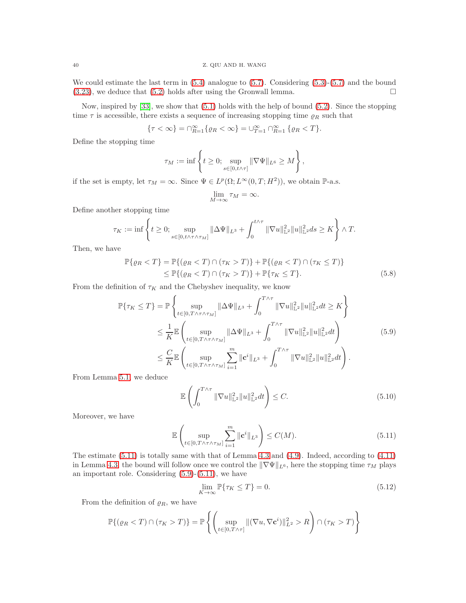We could estimate the last term in [\(5.4\)](#page-38-0) analogue to [\(5.7\)](#page-38-1). Considering [\(5.3\)](#page-37-1)-[\(5.7\)](#page-38-1) and the bound  $(3.23)$ , we deduce that  $(5.2)$  holds after using the Gronwall lemma.

Now, inspired by [\[33\]](#page-41-19), we show that [\(5.1\)](#page-37-0) holds with the help of bound [\(5.2\)](#page-37-2). Since the stopping time  $\tau$  is accessible, there exists a sequence of increasing stopping time  $\varrho_R$  such that

$$
\{\tau<\infty\}=\cap_{R=1}^\infty\{\varrho_R<\infty\}=\cup_{T=1}^\infty\cap_{R=1}^\infty\{\varrho_R
$$

Define the stopping time

$$
\tau_M:=\inf\left\{t\geq 0;\sup_{s\in[0,t\wedge\tau]}\|\nabla\Psi\|_{L^6}\geq M\right\},
$$

if the set is empty, let  $\tau_M = \infty$ . Since  $\Psi \in L^p(\Omega; L^\infty(0,T; H^2))$ , we obtain  $\mathbb{P}\text{-a.s.}$ 

<span id="page-39-2"></span>
$$
\lim_{M \to \infty} \tau_M = \infty.
$$

Define another stopping time

$$
\tau_K:=\inf\left\{t\geq 0;\sup_{s\in[0,t\wedge\tau\wedge\tau_M]}\|\Delta\Psi\|_{L^3}+\int_0^{t\wedge\tau}\|\nabla u\|_{\mathbb{L}^2}^2\|u\|_{\mathbb{L}^2}^2ds\geq K\right\}\wedge T.
$$

Then, we have

$$
\mathbb{P}\{\varrho_R < T\} = \mathbb{P}\{(\varrho_R < T) \cap (\tau_K > T)\} + \mathbb{P}\{(\varrho_R < T) \cap (\tau_K \le T)\} \\
 \le \mathbb{P}\{(\varrho_R < T) \cap (\tau_K > T)\} + \mathbb{P}\{\tau_K \le T\}.\n \tag{5.8}
$$

From the definition of  $\tau_K$  and the Chebyshev inequality, we know

$$
\mathbb{P}\{\tau_{K} \leq T\} = \mathbb{P}\left\{\sup_{t \in [0, T \wedge \tau \wedge \tau_{M}]} \|\Delta \Psi\|_{L^{3}} + \int_{0}^{T \wedge \tau} \|\nabla u\|_{\mathbb{L}^{2}}^{2} \|u\|_{\mathbb{L}^{2}}^{2} dt \geq K\right\}
$$
\n
$$
\leq \frac{1}{K} \mathbb{E}\left(\sup_{t \in [0, T \wedge \tau \wedge \tau_{M}]} \|\Delta \Psi\|_{L^{3}} + \int_{0}^{T \wedge \tau} \|\nabla u\|_{\mathbb{L}^{2}}^{2} \|u\|_{\mathbb{L}^{2}}^{2} dt\right)
$$
\n
$$
\leq \frac{C}{K} \mathbb{E}\left(\sup_{t \in [0, T \wedge \tau \wedge \tau_{M}]} \sum_{i=1}^{m} \|c^{i}\|_{L^{3}} + \int_{0}^{T \wedge \tau} \|\nabla u\|_{\mathbb{L}^{2}}^{2} \|u\|_{\mathbb{L}^{2}}^{2} dt\right).
$$
\n(5.9)

From Lemma [5.1,](#page-37-3) we deduce

<span id="page-39-1"></span>
$$
\mathbb{E}\left(\int_{0}^{T\wedge\tau} \|\nabla u\|_{\mathbb{L}^{2}}^{2} \|u\|_{\mathbb{L}^{2}}^{2} dt\right) \leq C.
$$
 (5.10)

Moreover, we have

$$
\mathbb{E}\left(\sup_{t\in[0,T\wedge\tau\wedge\tau_M]}\sum_{i=1}^m\|\mathbf{c}^i\|_{L^3}\right)\leq C(M). \tag{5.11}
$$

The estimate [\(5.11\)](#page-39-0) is totally same with that of Lemma [4.3](#page-26-4) and [\(4.9\)](#page-26-0). Indeed, according to [\(4.11\)](#page-26-3) in Lemma [4.3,](#page-26-4) the bound will follow once we control the  $\|\nabla\Psi\|_{L^6}$ , here the stopping time  $\tau_M$  plays an important role. Considering [\(5.9\)](#page-39-1)-[\(5.11\)](#page-39-0), we have

<span id="page-39-3"></span><span id="page-39-0"></span>
$$
\lim_{K \to \infty} \mathbb{P}\{\tau_K \le T\} = 0. \tag{5.12}
$$

From the definition of  $\rho_R$ , we have

$$
\mathbb{P}\{(\varrho_R < T) \cap (\tau_K > T)\} = \mathbb{P}\left\{ \left( \sup_{t \in [0, T \wedge \tau]} \| (\nabla u, \nabla \mathbf{c}^i) \|_{L^2}^2 > R \right) \cap (\tau_K > T) \right\}
$$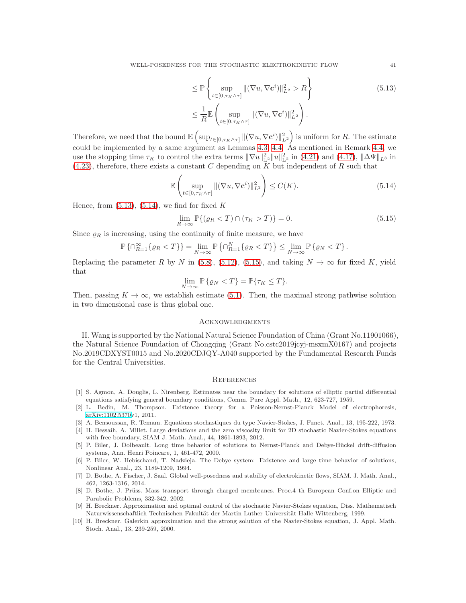$$
\leq \mathbb{P}\left\{\sup_{t\in[0,\tau_K\wedge\tau]}\|(\nabla u,\nabla \mathbf{c}^i)\|_{L^2}^2 > R\right\}
$$
\n
$$
\leq \frac{1}{R}\mathbb{E}\left(\sup_{t\in[0,\tau_K\wedge\tau]}\|(\nabla u,\nabla \mathbf{c}^i)\|_{L^2}^2\right).
$$
\n(5.13)

Therefore, we need that the bound  $\mathbb{E}\left(\sup_{t\in[0,\tau_K\wedge\tau]}\|(\nabla u,\nabla \mathbf{c}^i)\|_{L^2}^2\right)$  is uniform for R. The estimate could be implemented by a same argument as Lemmas [4.3,](#page-26-4) [4.4.](#page-28-4) As mentioned in Remark [4.4,](#page-28-5) we use the stopping time  $\tau_K$  to control the extra terms  $\|\nabla u\|_{\mathbb{L}^2}^2 \|u\|_{\mathbb{L}^2}^2$  in [\(4.21\)](#page-28-6) and [\(4.17\)](#page-27-3),  $\|\Delta \Psi\|_{L^3}$  in [\(4.23\)](#page-28-2), therefore, there exists a constant C depending on  $\overline{K}$  but independent of R such that

$$
\mathbb{E}\left(\sup_{t\in[0,\tau_K\wedge\tau]}\|(\nabla u,\nabla \mathbf{c}^i)\|_{L^2}^2\right)\leq C(K). \tag{5.14}
$$

Hence, from  $(5.13)$ ,  $(5.14)$ , we find for fixed K

$$
\lim_{R \to \infty} \mathbb{P}\{(\varrho_R < T) \cap (\tau_K > T)\} = 0. \tag{5.15}
$$

Since  $\rho_R$  is increasing, using the continuity of finite measure, we have

$$
\mathbb{P}\left\{\cap_{R=1}^{\infty}\left\{\varrho_{R} < T\right\}\right\} = \lim_{N \to \infty} \mathbb{P}\left\{\cap_{R=1}^{N}\left\{\varrho_{R} < T\right\}\right\} \leq \lim_{N \to \infty} \mathbb{P}\left\{\varrho_{N} < T\right\}.
$$

Replacing the parameter R by N in [\(5.8\)](#page-39-2), [\(5.12\)](#page-39-3), [\(5.15\)](#page-40-12), and taking  $N \to \infty$  for fixed K, yield that

$$
\lim_{N \to \infty} \mathbb{P}\left\{\varrho_N < T\right\} = \mathbb{P}\left\{\tau_K \le T\right\}.
$$

Then, passing  $K \to \infty$ , we establish estimate [\(5.1\)](#page-37-0). Then, the maximal strong pathwise solution in two dimensional case is thus global one.

## **ACKNOWLEDGMENTS**

H. Wang is supported by the National Natural Science Foundation of China (Grant No.11901066), the Natural Science Foundation of Chongqing (Grant No.cstc2019jcyj-msxmX0167) and projects No.2019CDXYST0015 and No.2020CDJQY-A040 supported by the Fundamental Research Funds for the Central Universities.

## **REFERENCES**

- <span id="page-40-9"></span>[1] S. Agmon, A. Douglis, L. Nirenberg. Estimates near the boundary for solutions of elliptic partial differential equations satisfying general boundary conditions, Comm. Pure Appl. Math., 12, 623-727, 1959.
- <span id="page-40-4"></span>[2] L. Bedin, M. Thompson. Existence theory for a Poisson-Nernst-Planck Model of electrophoresis, [arXiv:1102.5370v](http://arxiv.org/abs/1102.5370)1, 2011.
- <span id="page-40-6"></span><span id="page-40-5"></span>[3] A. Bensoussan, R. Temam. Equations stochastiques du type Navier-Stokes, J. Funct. Anal., 13, 195-222, 1973.
- [4] H. Bessaih, A. Millet. Large deviations and the zero viscosity limit for 2D stochastic Navier-Stokes equations with free boundary, SIAM J. Math. Anal., 44, 1861-1893, 2012.
- <span id="page-40-3"></span>[5] P. Biler, J. Dolbeault. Long time behavior of solutions to Nernst-Planck and Debye-H¨uckel drift-diffusion systems, Ann. Henri Poincare, 1, 461-472, 2000.
- <span id="page-40-2"></span>[6] P. Biler, W. Hebischand, T. Nadzieja. The Debye system: Existence and large time behavior of solutions, Nonlinear Anal., 23, 1189-1209, 1994.
- <span id="page-40-1"></span>[7] D. Bothe, A. Fischer, J. Saal. Global well-posedness and stability of electrokinetic flows, SIAM. J. Math. Anal., 462, 1263-1316, 2014.
- <span id="page-40-0"></span>[8] D. Bothe, J. Prüss. Mass transport through charged membranes. Proc.4 th European Conf.on Elliptic and Parabolic Problems, 332-342, 2002.
- <span id="page-40-7"></span>[9] H. Breckner. Approximation and optimal control of the stochastic Navier-Stokes equation, Diss. Mathematisch Naturwissenschaftlich Technischen Fakultät der Martin Luther Universität Halle Wittenberg, 1999.
- <span id="page-40-8"></span>[10] H. Breckner. Galerkin approximation and the strong solution of the Navier-Stokes equation, J. Appl. Math. Stoch. Anal., 13, 239-259, 2000.

<span id="page-40-12"></span><span id="page-40-11"></span><span id="page-40-10"></span>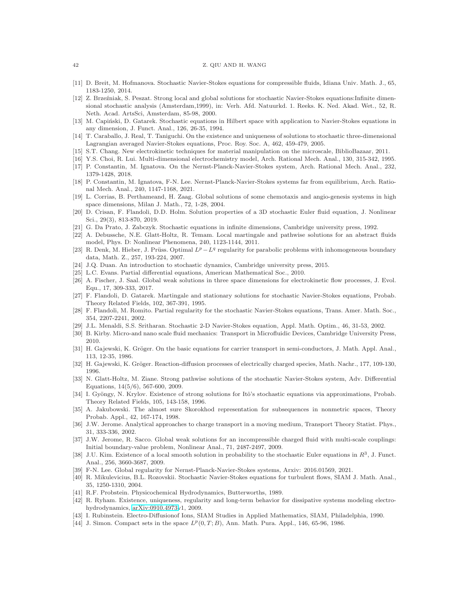#### 42 Z. QIU AND H. WANG

- <span id="page-41-25"></span><span id="page-41-15"></span>[11] D. Breit, M. Hofmanova. Stochastic Navier-Stokes equations for compressible fluids, Idiana Univ. Math. J., 65, 1183-1250, 2014.
- [12] Z. Brzeźniak, S. Peszat. Strong local and global solutions for stochastic Navier-Stokes equations: Infinite dimensional stochastic analysis (Amsterdam,1999), in: Verh. Afd. Natuurkd. 1. Reeks. K. Ned. Akad. Wet., 52, R. Neth. Acad. ArtsSci, Amsterdam, 85-98, 2000.
- [13] M. Capiński, D. Gatarek. Stochastic equations in Hilbert space with application to Navier-Stokes equations in any dimension, J. Funct. Anal., 126, 26-35, 1994.
- <span id="page-41-16"></span>[14] T. Caraballo, J. Real, T. Taniguchi. On the existence and uniqueness of solutions to stochastic three-dimensional Lagrangian averaged Navier-Stokes equations, Proc. Roy. Soc. A, 462, 459-479, 2005.
- <span id="page-41-6"></span><span id="page-41-0"></span>[15] S.T. Chang. New electrokinetic techniques for material manipulation on the microscale, BiblioBazaar, 2011.
- <span id="page-41-10"></span>[16] Y.S. Choi, R. Lui. Multi-dimensional electrochemistry model, Arch. Rational Mech. Anal., 130, 315-342, 1995.
- [17] P. Constantin, M. Ignatova. On the Nernst-Planck-Navier-Stokes system, Arch. Rational Mech. Anal., 232, 1379-1428, 2018.
- <span id="page-41-11"></span>[18] P. Constantin, M. Ignatova, F-N. Lee. Nernst-Planck-Navier-Stokes systems far from equilibrium, Arch. Rational Mech. Anal., 240, 1147-1168, 2021.
- <span id="page-41-4"></span>[19] L. Corrias, B. Perthameand, H. Zaag. Global solutions of some chemotaxis and angio-genesis systems in high space dimensions, Milan J. Math., 72, 1-28, 2004.
- <span id="page-41-31"></span>[20] D. Crisan, F. Flandoli, D.D. Holm. Solution properties of a 3D stochastic Euler fluid equation, J. Nonlinear Sci., 29(3), 813-870, 2019.
- <span id="page-41-24"></span><span id="page-41-23"></span>[21] G. Da Prato, J. Zabczyk. Stochastic equations in infinite dimensions, Cambridge university press, 1992.
- [22] A. Debussche, N.E. Glatt-Holtz, R. Temam. Local martingale and pathwise solutions for an abstract fluids model, Phys. D: Nonlinear Phenomena, 240, 1123-1144, 2011.
- <span id="page-41-29"></span>[23] R. Denk, M. Hieber, J. Prüss. Optimal  $L^p - L^q$  regularity for parabolic problems with inhomogeneous boundary data, Math. Z., 257, 193-224, 2007.
- <span id="page-41-22"></span><span id="page-41-8"></span>[24] J.Q. Duan. An introduction to stochastic dynamics, Cambridge university press, 2015.
- <span id="page-41-9"></span>[25] L.C. Evans. Partial differential equations, American Mathematical Soc., 2010.
- [26] A. Fischer, J. Saal. Global weak solutions in three space dimensions for electrokinetic flow processes, J. Evol. Equ., 17, 309-333, 2017.
- <span id="page-41-17"></span>[27] F. Flandoli, D. Gatarek. Martingale and stationary solutions for stochastic Navier-Stokes equations, Probab. Theory Related Fields, 102, 367-391, 1995.
- [28] F. Flandoli, M. Romito. Partial regularity for the stochastic Navier-Stokes equations, Trans. Amer. Math. Soc., 354, 2207-2241, 2002.
- <span id="page-41-18"></span><span id="page-41-1"></span>[29] J.L. Menaldi, S.S. Sritharan. Stochastic 2-D Navier-Stokes equation, Appl. Math. Optim., 46, 31-53, 2002.
- <span id="page-41-5"></span>[30] B. Kirby. Micro-and nano scale fluid mechanics: Transport in Microfluidic Devices, Cambridge University Press, 2010.
- [31] H. Gajewski, K. Gröger. On the basic equations for carrier transport in semi-conductors, J. Math. Appl. Anal., 113, 12-35, 1986.
- <span id="page-41-19"></span><span id="page-41-7"></span>[32] H. Gajewski, K. Gröger. Reaction-diffusion processes of electrically charged species, Math. Nachr., 177, 109-130, 1996.
- [33] N. Glatt-Holtz, M. Ziane. Strong pathwise solutions of the stochastic Navier-Stokes system, Adv. Differential Equations, 14(5/6), 567-600, 2009.
- <span id="page-41-30"></span>[34] I. Gyöngy, N. Krylov. Existence of strong solutions for Itô's stochastic equations via approximations, Probab. Theory Related Fields, 105, 143-158, 1996.
- <span id="page-41-27"></span>[35] A. Jakubowski. The almost sure Skorokhod representation for subsequences in nonmetric spaces, Theory Probab. Appl., 42, 167-174, 1998.
- <span id="page-41-12"></span>[36] J.W. Jerome. Analytical approaches to charge transport in a moving medium, Transport Theory Statist. Phys., 31, 333-336, 2002.
- <span id="page-41-13"></span>[37] J.W. Jerome, R. Sacco. Global weak solutions for an incompressible charged fluid with multi-scale couplings: Initial boundary-value problem, Nonlinear Anal., 71, 2487-2497, 2009.
- <span id="page-41-28"></span>[38] J.U. Kim. Existence of a local smooth solution in probability to the stochastic Euler equations in  $R^3$ , J. Funct. Anal., 256, 3660-3687, 2009.
- <span id="page-41-21"></span><span id="page-41-20"></span>[39] F-N. Lee. Global regularity for Nernst-Planck-Navier-Stokes systems, Arxiv: 2016.01569, 2021.
- [40] R. Mikulevicius, B.L. Rozovskii. Stochastic Navier-Stokes equations for turbulent flows, SIAM J. Math. Anal., 35, 1250-1310, 2004.
- <span id="page-41-14"></span><span id="page-41-2"></span>[41] R.F. Probstein. Physicochemical Hydrodynamics, Butterworths, 1989.
- [42] R. Ryham. Existence, uniqueness, regularity and long-term behavior for dissipative systems modeling electrohydrodynamics, [arXiv:0910.4973v](http://arxiv.org/abs/0910.4973)1, 2009.
- <span id="page-41-26"></span><span id="page-41-3"></span>[43] I. Rubinstein. Electro-Diffusionof Ions, SIAM Studies in Applied Mathematics, SIAM, Philadelphia, 1990.
- [44] J. Simon. Compact sets in the space  $L^p(0,T;B)$ , Ann. Math. Pura. Appl., 146, 65-96, 1986.